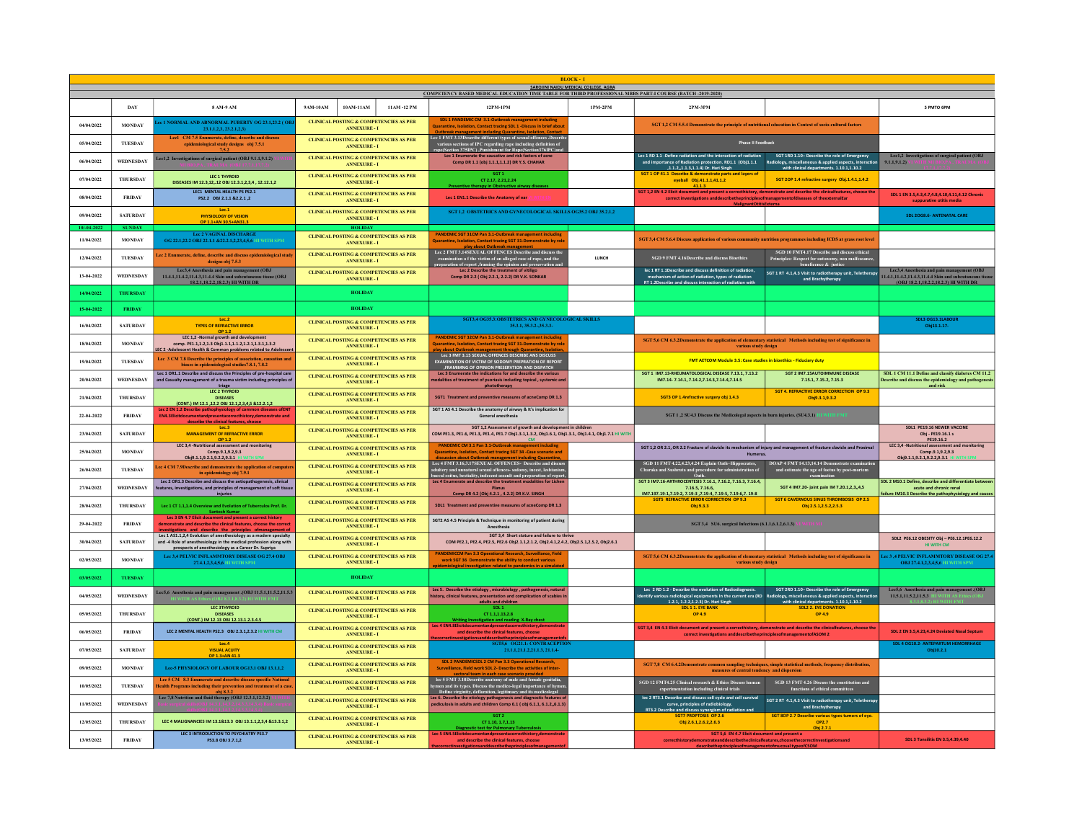| <b>BLOCK</b><br>SAROJINI NAIDU MEDICAL COLLEGE, AGRA<br>COMPETENCY BASED MEDICAL EDUCATION TIME TABLE FOR THIRD PROFESSIONAL MBBS PART-I COURSE (BATCH -2019-2020) |                  |                                                                                                                                                                                                        |                                                                                                                                         |                                                                                                                                                                                                                                                           |              |                                                                                                                                                                                                                                                                                                                       |                                                                                                                                              |  |  |  |  |  |
|--------------------------------------------------------------------------------------------------------------------------------------------------------------------|------------------|--------------------------------------------------------------------------------------------------------------------------------------------------------------------------------------------------------|-----------------------------------------------------------------------------------------------------------------------------------------|-----------------------------------------------------------------------------------------------------------------------------------------------------------------------------------------------------------------------------------------------------------|--------------|-----------------------------------------------------------------------------------------------------------------------------------------------------------------------------------------------------------------------------------------------------------------------------------------------------------------------|----------------------------------------------------------------------------------------------------------------------------------------------|--|--|--|--|--|
|                                                                                                                                                                    |                  |                                                                                                                                                                                                        |                                                                                                                                         |                                                                                                                                                                                                                                                           |              |                                                                                                                                                                                                                                                                                                                       |                                                                                                                                              |  |  |  |  |  |
|                                                                                                                                                                    | DAY              | 8 AM-9 AM                                                                                                                                                                                              | 9AM-10AM<br>10AM-11AM<br>11AM-12 PM                                                                                                     | 12PM-1PM                                                                                                                                                                                                                                                  | 1PM-2PM      | 2PM-3PM                                                                                                                                                                                                                                                                                                               | 5 PMTO 6PM                                                                                                                                   |  |  |  |  |  |
| 04/04/2022                                                                                                                                                         | <b>MONDAY</b>    | ee 1 NORMAL AND ABNORMAL PUBERTY OG 23.1,23.2 (OF<br>23.1.1.2.3, 23.2.1.2.3)                                                                                                                           | CLINICAL POSTING & COMPETENCIES AS PER<br><b>ANNEXTRE-T</b>                                                                             | SDL 1 PANDEMIC CM 3.1-Outbreak management including<br>Jarantine, Isolation, Contact tracing SDL 1 -Discuss in brief about                                                                                                                                |              | SGT 1,2 CM 5.5.4 Demonstrate the principle of nutritional education in Context of socio-cultural factors                                                                                                                                                                                                              |                                                                                                                                              |  |  |  |  |  |
| 05/04/2022                                                                                                                                                         | TUESDAY          | Lec1 CM 7.5 Enumerate, define, describe and discuss<br>epidemiological study designs obj 7.5.1<br>7.5.2                                                                                                | <b>CLINICAL POSTING &amp; COMPETENCIES AS PER</b><br><b>ANNEXURE - I</b>                                                                | Lee 1 FMT 3.13Describe different types of sexual offences .Describe<br>various sections of IPC regarding rape including definition of<br>rape(Section 375IPC) ,Punishment for Rape(Section376IPC)and                                                      |              | <b>Phase II Feedback</b>                                                                                                                                                                                                                                                                                              |                                                                                                                                              |  |  |  |  |  |
| 06/04/2022                                                                                                                                                         | WEDNESDAY        | .ec1,2 Investigations of surgical patient (OBJ 9.1.1,9.1.2)                                                                                                                                            | <b>CLINICAL POSTING &amp; COMPETENCIES AS PER</b><br><b>ANNEXURE - I</b>                                                                | Lec 1 Enumerate the causative and risk factors of acne<br>Comp DR 1.1 (obi 1.1.1.1.1.2) DR Y.S. CHAHAR                                                                                                                                                    |              | Lec 1 RD 1.1 -Define radiation and the interaction of radiation<br>SGT 1RD 1.10- Describe the role of Emergency<br>and importance of Radiation protection. RD1.1 (Obj1.1.1<br>Radiology, miscellaneous & applied aspects, interactic<br>with clinical departments. 1.10.1.1.10.2<br>.1.1.21.1.3.1.1.4) Dr. Hari Singh | Lec1,2 Investigations of surgical patient (OBJ<br>9.1.1.9.1.2                                                                                |  |  |  |  |  |
| 07/04/2022                                                                                                                                                         | <b>THURSDAY</b>  | LEC 1 THYROID<br>DISFASES IM 12.3.1212 ORI 12.3.1.2.3.4 . 12.12.1.2                                                                                                                                    | <b>CLINICAL POSTING &amp; COMPETENCIES AS PER</b><br><b>ANNEXURE-I</b>                                                                  | CT 2.17, 2.21.2.24<br>Preventive therapy in Obstructive airway diseases                                                                                                                                                                                   |              | Prescribe & demonstrate par<br>SGT 20P 1.4 refractive surgery Obj.1.4.1,1.4.2<br>41.1.3                                                                                                                                                                                                                               |                                                                                                                                              |  |  |  |  |  |
| 08/04/2022                                                                                                                                                         | <b>FRIDAY</b>    | <b>IFC1 MENTAL HEALTH PS PS2.1</b><br>PS2.2 OBJ 2.1.1 & 2.2.1 .2                                                                                                                                       | <b>CLINICAL POSTING &amp; COMPETENCIES AS PER</b><br><b>ANNEXURE - I</b>                                                                | Lec 1 EN1.1 Describe the Anatomy of ear                                                                                                                                                                                                                   |              | SGT 1,2 EN 4.2 Elicit document and present a correcthistory, demonstrate and describe the clinicalfeatures, choose th<br>correct investigations and describe the principle sofmanagement of diseases of the external Ear                                                                                              | SDL 1 EN 3.5,4.3,4.7,4.8,4.10,4.11,4.12 Chronic<br>suppurative otitis med                                                                    |  |  |  |  |  |
| 09/04/2022                                                                                                                                                         | <b>SATURDAY</b>  | Tec.1<br>PHYSIOLOGY OF VISION<br>OP 1.1+AN 30.5+AN31.3                                                                                                                                                 | <b>CLINICAL POSTING &amp; COMPETENCIES AS PER</b><br><b>ANNEXURE - I</b>                                                                | SGT 1.2 OBSTETRICS AND GYNECOLOGICAL SKILLS OG35.2 OBJ 35.2.1.2                                                                                                                                                                                           |              |                                                                                                                                                                                                                                                                                                                       | <b>SDL 20G8.6- ANTENATAL CARE</b>                                                                                                            |  |  |  |  |  |
| $10/-04-20$                                                                                                                                                        | <b>SUNDAY</b>    |                                                                                                                                                                                                        |                                                                                                                                         |                                                                                                                                                                                                                                                           |              |                                                                                                                                                                                                                                                                                                                       |                                                                                                                                              |  |  |  |  |  |
| 11/04/2022                                                                                                                                                         | <b>MONDAY</b>    | <b>Lee 2 VAGINAL DISCHARGE</b><br>OG 22.1,22.2 OBJ 22.1.1 &22.2.1,2,23,4,5,6 HI WITH SPM                                                                                                               | <b>CLINICAL POSTING &amp; COMPETENCIES AS PER</b><br><b>ANNEXURE - I</b>                                                                | PANDEMIC SGT 31CM Pan 3.1-Outbreak management including<br>uarantine. Isolation. Contact tracing SGT 31-Demonstrate by ro                                                                                                                                 |              | SGT 3,4 CM 5.6.4 Discuss application of various community nutrition programmes including ICDS at grass root level                                                                                                                                                                                                     |                                                                                                                                              |  |  |  |  |  |
| 12/04/2022                                                                                                                                                         | TUESDAY          | ec 2 Enumerate, define, describe and discuss epidemiological study<br>designs obi 7.5.3                                                                                                                | <b>CLINICAL POSTING &amp; COMPETENCIES AS PER</b><br><b>ANNEXURE - I</b>                                                                | Lec 2 FMT 3.14SEXUAL OFFENCES Describe and discuss the<br>T 3.145EACAL OFFENCES DESCRIBE and discuss the<br>tion of the victim of an alleged case of rape, and the<br>m of report ,framing the opinion and preservation and                               | <b>TUNCH</b> | SGD 10 FMT4.17 Describe and discuss ethical<br><b>SGD 9 FMT 4.16Describe and discuss Bioethics</b><br>Principles: Respect for aut<br>noficance & inst                                                                                                                                                                 |                                                                                                                                              |  |  |  |  |  |
| 13-04-2022                                                                                                                                                         | WEDNESDAY        | Lec3,4 Anesthesia and pain management (OBJ<br>11.4.1,11.4.2,11.4.3,11.4.4 Skin and subcutaneous tissue (OBJ<br>18.2.1.18.2.2.18.2.3) HI WITH DR                                                        | <b>CLINICAL POSTING &amp; COMPETENCIES AS PER</b><br><b>ANNEXURE - I</b>                                                                | Lec 2 Describe the treatment of vitiligi<br>Comp DR 2.2 ( Obj 2.2.1, 2.2.2) DR V.K. SONKAR                                                                                                                                                                |              | lec 1 RT 1.1Describe and discuss definition of radiation,<br>SGT 1 RT 4.1,4.3 Visit to radiotherapy unit, Teletherap<br>mechanism of action of radiation, types of radiation<br>and Brachytherapy<br>RT 1.2Describe and discuss interaction of radiation with                                                         | Lec3,4 Anesthesia and pain management (OBJ<br>11.4.1,11.4.2,11.4.3,11.4.4 Skin and subcutaneous tis<br>(OBJ 18.2.1.18.2.2.18.2.3) HI WITH DR |  |  |  |  |  |
| 14/04/2022                                                                                                                                                         | <b>THURSDAY</b>  |                                                                                                                                                                                                        | <b>HOLIDAY</b>                                                                                                                          |                                                                                                                                                                                                                                                           |              |                                                                                                                                                                                                                                                                                                                       |                                                                                                                                              |  |  |  |  |  |
| 15-04-2022                                                                                                                                                         | <b>FRIDAY</b>    |                                                                                                                                                                                                        | <b>HOLIDAY</b>                                                                                                                          |                                                                                                                                                                                                                                                           |              |                                                                                                                                                                                                                                                                                                                       |                                                                                                                                              |  |  |  |  |  |
| 16/04/2022                                                                                                                                                         | <b>SATURDAY</b>  | Lec.2<br><b>TYPES OF REFRACTIVE ERROR</b><br>OP 1.2<br>LEC 1,2 -Normal growth and development                                                                                                          | <b>CLINICAL POSTING &amp; COMPETENCIES AS PER</b><br><b>ANNEXURE - I</b>                                                                | SGT3,4 OG35.3:OBSTETRICS AND GYNECOLOGICAL SKILLS<br>35.3.1, 35.3.2-, 35.3.3-                                                                                                                                                                             |              |                                                                                                                                                                                                                                                                                                                       | <b>SDL3 OG13.1LABOUR</b><br>Obj13.1.17-                                                                                                      |  |  |  |  |  |
| 18/04/2022                                                                                                                                                         | <b>MONDAY</b>    | comp. PE1.1,1.2,1.3 Obj1.1.1,1.1.2,1.2.1,1.3.1,1.3.2<br>EC 2 -Adolescent Health & Common problems related to Adolescer                                                                                 | <b>CLINICAL POSTING &amp; COMPETENCIES AS PER</b><br>$\operatorname{\mathbf{ANNEXURE}}\nolimits$ - $\operatorname{\mathbf{I}}\nolimits$ | PANDEMIC SGT 32CM Pan 3.1-Outbreak management including<br>uarantine, Isolation, Contact tracing SGT 31-Demonstrate by n                                                                                                                                  |              | SGT 5,6 CM 6.3.2Demonstrate the application of elementary statistical Methods including test of significance in<br>various study design                                                                                                                                                                               |                                                                                                                                              |  |  |  |  |  |
| 19/04/2022                                                                                                                                                         | THESDAY          | Lec 3 CM 7.8 Describe the principles of association, causation and<br>biases in epidemiological studies 7.8.1, 7.8.2                                                                                   | <b>CLINICAL POSTING &amp; COMPETENCIES AS PER</b><br><b>ANNEXURE - I</b>                                                                | Lec 3 FMT 3.15 SEXUAL OFFENCES DESCRIBE ANS DISCUSS<br><b>EXAMINATION OF VICTIM OF SODOMY PREPRATION OF REPORT</b><br>FRAMIMNG OF OPINION PRESERVTION AND DISPATCH<br>Lec 3 Enumerate the indications for and describe the various                        |              | FMT AETCOM Module 3.5: Case studies in bioethics - Fiduciary duty                                                                                                                                                                                                                                                     |                                                                                                                                              |  |  |  |  |  |
| 20/04/2022                                                                                                                                                         | <b>WEDNESDAY</b> | Lec 1 OR1.1 Describe and discuss the Principles of pre-hospital care<br>and Casualty management of a trauma victim including principles of                                                             | <b>CLINICAL POSTING &amp; COMPETENCIES AS PER</b><br>$\operatorname{\mathbf{ANNEXURE}}\nolimits$ - $\operatorname{\mathbf{I}}\nolimits$ | odalities of treatment of psoriasis including topical, systemic and<br>phototherapy                                                                                                                                                                       |              | SGT 1 IM7.13-RHEUMATOLOGICAL DISEASE 7.13.1, 7.13.2<br>SGT 2 IM7.15AUTOIMMUNE DISEASE<br>IM7.14-7.14.1, 7.14.2, 7.14.3, 7.14.4, 7.14.5<br>7.15.1, 7.15.2, 7.15.3                                                                                                                                                      | SDL 1 CM 11.1 Define and classify diabetes CM 11.2<br>Describe and discuss the epidemiology and pathogenes<br>and risk                       |  |  |  |  |  |
| 21/04/2022                                                                                                                                                         | <b>THURSDAY</b>  | triage<br>LEC 2 THYROID<br><b>DISEASES</b><br>(CONT.) IM 12.1 .12.2 OBJ 12.1.2.3.4.5 &12.2.1.2                                                                                                         | <b>CLINICAL POSTING &amp; COMPETENCIES AS PER</b><br>$\operatorname{\mathbf{ANNEXURE}}\nolimits$ - $\operatorname{\mathbf{I}}\nolimits$ | SGT1 Treatment and preventive measures of acneComp DR 1.3                                                                                                                                                                                                 |              | <b>SGT 4. REFRACTIVE ERROR CORRECTION OP 9.3</b><br>SGT3 OP 1.4refractive surgery obj 1.4.3<br>Obj9.3.1,9.3.2                                                                                                                                                                                                         |                                                                                                                                              |  |  |  |  |  |
| 22-04-2022                                                                                                                                                         | <b>FRIDAY</b>    | Lec 2 EN 1.2 Describe pathophysiology of common diseases of ENT<br>EN4.3 Elicitdocumentand present acorrecthistory, demonstrate and<br>describe the clinical features, choose                          | <b>CLINICAL POSTING &amp; COMPETENCIES AS PER</b><br><b>ANNEXURE - I</b>                                                                | SGT 1 AS 4.1 Describe the anatomy of airway & It's implication for<br>General anesthesia                                                                                                                                                                  |              | SGT 1 ,2 SU4.3 Discuss the Medicolegal aspects in burn injuries. (SU4.3.1)                                                                                                                                                                                                                                            |                                                                                                                                              |  |  |  |  |  |
| 23/04/2022                                                                                                                                                         | <b>SATURDAY</b>  | Lec.3<br><b>MANAGEMENT OF REFRACTIVE ERROR</b>                                                                                                                                                         | <b>CLINICAL POSTING &amp; COMPETENCIES AS PER</b><br><b>ANNEXURE - I</b>                                                                | SGT 1,2 Assessment of growth and development in children<br>COM PE1.3, PE1.6, PE1.3, PE1.4, PE1.7 Obj1.3.1,1.3.2, Obj1.6.1, Obj1.3.1, Obj1.4.1, Obj1.7.1 HI WITH                                                                                          |              |                                                                                                                                                                                                                                                                                                                       | SDL1 PE19.16 NEWER VACCINE<br>Obj - PE19.16.1 s<br>PE19.16.2                                                                                 |  |  |  |  |  |
| 25/04/2022                                                                                                                                                         | <b>MONDAY</b>    | OP 1.2<br>LEC 3,4 -Nutritional assessment and monitoring<br>Comp.9.1,9.2,9.3<br>Obi9.1.1.9.2.1.9.2.2.9.3.1 HL                                                                                          | <b>CLINICAL POSTING &amp; COMPETENCIES AS PER</b><br><b>ANNEXURE - I</b>                                                                | PANDEMIC CM 3.1 Pan 3.1-Outbreak management including<br>Quarantine, Isolation, Contact tracing SGT 34 -Case scenario and                                                                                                                                 |              | SGT 1,2 OR 2.1, OR 2.2 Fracture of clavicle its mechanism of injury and management of fracture clavicle and Proximal<br>Humerus                                                                                                                                                                                       | LEC 3,4 -Nutritional assessment and monitoring<br>Comp.9.1,9.2,9.3<br>Obi9.1.1.9.2.1.9.2.2.9.3.1 HI                                          |  |  |  |  |  |
| 26/04/2022                                                                                                                                                         | THESDAY          | ec 4 CM 7.9Describe and demonstrate the application of computer<br>in epidemiology obj 7.9.1                                                                                                           | <b>CLINICAL POSTING &amp; COMPETENCIES AS PER</b><br><b>ANNEXURE-I</b>                                                                  | Lee 4 FMT 3.16,3.17SEXUAL OFFENCES- Describe and discus<br>adultery and unnatural sexual offences-sodomy, incest, lesbianism<br>buccal coitus, bestiality, indecent assault and preparation of repor                                                      |              | $\label{thm:sob} {\bf SGD\ 11\ FMT\ 4.22,} 4.23, 4.24\ {\bf Explain\ Oath-th-Hippocrates},$ Charaka and Sushruta and procedure for administration of<br>DOAP 4 FMT 14.13,14.14 Demonstrate examination<br>and estimate the age of foetus by post-mortem<br>Oath.<br>exar                                              |                                                                                                                                              |  |  |  |  |  |
| 27/04/2022                                                                                                                                                         | <b>WEDNESDAY</b> | Lec 2 OR1.3 Describe and discuss the aetiopathogenesis, clinical<br>eatures, investigations, and principles of management of soft tissue<br>injuries                                                   | <b>CLINICAL POSTING &amp; COMPETENCIES AS PER</b><br><b>ANNEXURE - I</b>                                                                | Lec 4 Enumerate and describe the treatment modalities for Liche<br>Planus<br>Comp DR 4.2 (Obi 4.2.1 . 4.2.2) DR K.V. SINGH                                                                                                                                |              | SGT 3 IM7.16-ARTHROCENTESIS 7.16.1, 7.16.2, 7.16.3, 7.16.4,<br>7.16.5, 7.16.6.<br>SGT 4 IM7.20- joint pain IM 7.20.1,2,3,,4,5<br>IM7.197.19-1.7.19-2. 7.19-3.7.19-4.7.19-5.7.19-6.7.19-8                                                                                                                              | SDL 2 M10.1 Define, describe and differentiate betwee<br>acute and chronic renal<br>ilure IM10.3 Describe the pathophysiology and            |  |  |  |  |  |
| 28/04/2022                                                                                                                                                         | <b>THURSDAY</b>  | Lec 1 CT 1.1,1.4 Overview and Evolution of Tuberculos Prof. Dr.                                                                                                                                        | <b>CLINICAL POSTING &amp; COMPETENCIES AS PER</b><br><b>ANNEXTRE-T</b>                                                                  | SDL1 Treatment and preventive measures of acneComp DR 1.3                                                                                                                                                                                                 |              | <b>SGT 6 CAVERNOUS SINUS THROMBOSIS OP 2.5</b><br><b>SGTS REFRACTIVE ERROR CORRECTION OP 9.3</b><br>Obi 9.3.3<br>Obi 2.5.1.2.5.2.2.5.3                                                                                                                                                                                |                                                                                                                                              |  |  |  |  |  |
| 29-04-2022                                                                                                                                                         | <b>FRIDAY</b>    | Santosh Kumar<br>Lec 3 EN 4.7 Elicit document and present a correct history<br>demonstrate and describe the clinical features, choose the correct                                                      | <b>CLINICAL POSTING &amp; COMPETENCIES AS PER</b><br><b>ANNEXURE - I</b>                                                                | SGT2 AS 4.5 Principle & Technique in monitoring of patient during<br>Anesthesia                                                                                                                                                                           |              | SGT 3,4 SU6. surgical Infections (6.1.1, 6.1.2, 6.1.3)                                                                                                                                                                                                                                                                |                                                                                                                                              |  |  |  |  |  |
| 30/04/2022                                                                                                                                                         | <b>SATURDAY</b>  | investigations and describe the principles of management of<br>Lec 1 AS1.1,2,4 Evolution of anesthesiology as a modern specialty<br>and -4 Role of anesthesiology in the medical profession along with | <b>CLINICAL POSTING &amp; COMPETENCIES AS PER</b><br><b>ANNEXURE-I</b>                                                                  | SGT 3,4 Short stature and failure to thrive<br>COM PE2.1, PE2.4, PE2.5, PE2.6 Obj2.1.1,2.1.2, Obj2.4.1,2.4.2, Obj2.5.1,2.5.2, Obj2.6.1                                                                                                                    |              |                                                                                                                                                                                                                                                                                                                       | SDL2 PE6.12 OBESITY Obj - PE6.12.1PE6.12.2<br>HI WITH CM                                                                                     |  |  |  |  |  |
| 02/05/2022                                                                                                                                                         | <b>MONDAY</b>    | prospects of anesthesiology as a Career Dr. Supriva<br>Lee 3,4 PELVIC INFLAMMTORY DISEASE OG 27.4 OBJ<br>27.4.1.2.3.4.5.6 HI                                                                           | CLINICAL POSTING & COMPETENCIES AS PER<br><b>ANNEXTRE-T</b>                                                                             | PANDEMICCM Pan 3.3 Operational Research, Surveillance, Field<br>work SGT 36 Demonstrate the ability to conduct various<br>ogical investigation related to pandemics in a simulate                                                                         |              | SGT 5,6 CM 6.3.2Demonstrate the application of elementary statistical Methods including test of significance in<br>various study design                                                                                                                                                                               | ee 3 ,4 PELVIC INFLAMMTORY DISEASE OG 27.<br>OBJ 27.4.1,2,3,4,5,6 HI                                                                         |  |  |  |  |  |
| 03/05/2022                                                                                                                                                         | TUESDAY          |                                                                                                                                                                                                        | <b>HOLIDAY</b>                                                                                                                          |                                                                                                                                                                                                                                                           |              |                                                                                                                                                                                                                                                                                                                       |                                                                                                                                              |  |  |  |  |  |
| 04/05/2022                                                                                                                                                         | WEDNESDAY        | .ec5,6 Anesthesia and pain management .(OBJ 11.5.1,11.5.2,11.5.3                                                                                                                                       | <b>CLINICAL POSTING &amp; COMPETENCIES AS PER</b><br><b>ANNEXURE - I</b>                                                                | Lec 5. Describe the etiology , microbiology , pathogenesis, natural<br>history, clinical features, presentation and complication of scabies i                                                                                                             |              | Lec 2 RD 1.2 - Describe the evolution of Radiodiagnosis.<br>SGT 2RD 1.10- Describe the role of Emergency<br>dentify various radiological equipments In the current era (RD Radiology, miscellaneous & applied aspects, interactio<br>1.2.1. 1.2.2.1.2.3) Dr. Hari Singh<br>with clinical departments. 1.10.1.1.10.2   | Lec5,6 Anesthesia and pain management .(OBJ<br>11.5.1,11.5.2,11.5.3 HI WITH AS Ethics (OBJ                                                   |  |  |  |  |  |
| 05/05/2022                                                                                                                                                         | <b>THURSDAY</b>  | LEC 3THYROID<br><b>DISEASES</b><br>(CONT.) IM 12.13 OBJ 12.13.1.2.3.4.5                                                                                                                                | <b>CLINICAL POSTING &amp; COMPETENCIES AS PER</b><br><b>ANNEXURE-I</b>                                                                  | adults and children<br>CT 1.1.1.13.2.8<br>Writing Investigation and reading X-Ray chest                                                                                                                                                                   |              | <b>SDL2 2. EYE DONATI</b><br>OP 4.9<br>OP 4.9                                                                                                                                                                                                                                                                         |                                                                                                                                              |  |  |  |  |  |
| 06/05/2022                                                                                                                                                         | <b>FRIDAY</b>    | LEC 2 MENTAL HEALTH PS2.3 OBJ 2.3.1,2.3.2 HI WITH CM                                                                                                                                                   | <b>CLINICAL POSTING &amp; COMPETENCIES AS PER</b><br><b>ANNEXURE - I</b>                                                                | ec 4 EN4.8Elicitd<br>Elicitdocumentandpresentacorrecthistory, demonstrat<br>and describe the clinical features, choose                                                                                                                                    |              | SGT 3,4 EN 4.3 Elicit document and present a correcthistory, demonstrate and describe the clinicalfeatures, choose the<br>correct investigations anddescribetheprinciplesofmanagementofASOM 2                                                                                                                         | SDL 2 EN 3.5,4.23,4.24 Deviated Nasal Septum                                                                                                 |  |  |  |  |  |
| 07/05/2022                                                                                                                                                         | <b>SATURDAY</b>  | <b>VISUAL ACUITY</b>                                                                                                                                                                                   | <b>CLINICAL POSTING &amp; COMPETENCIES AS PER</b><br><b>ANNEXURE - I</b>                                                                | esticationsanddescribetheorinciplesofmanacementols<br>SGT5,6 OG21.1: CONTRACEPTION<br>21.1.1.21.1.2.21.1.3, 21.1.4-                                                                                                                                       |              |                                                                                                                                                                                                                                                                                                                       | SDL 4 OG10.2- ANTEPARTUM HI<br>Obj10.2.1                                                                                                     |  |  |  |  |  |
| 09/05/2022                                                                                                                                                         | <b>MONDAY</b>    | OP 1.3+AN 41.3<br>Lee-5 PHYSIOLOGY OF LABOUR OG13.1 OBJ 13.1.1,2                                                                                                                                       | <b>CLINICAL POSTING &amp; COMPETENCIES AS PER</b><br><b>ANNEXURE - I</b>                                                                | SDL 2 PANDEMICSDL 2 CM Pan 3.3 Operational Research<br>Surveillance, Field work SDL 2- Describe the activities of inter-                                                                                                                                  |              | SGT 7,8 CM 6.4.2Demonstrate common sampling techniques, simple statistical methods, frequency distribution,<br>measures of central tendency and dispersion                                                                                                                                                            |                                                                                                                                              |  |  |  |  |  |
| 10/05/2022                                                                                                                                                         | TUESDAY          | Lee 5 CM 8.3 Enumerate and describe disease specific National<br>ealth Programs including their prevention and treatment of a case                                                                     | <b>CLINICAL POSTING &amp; COMPETENCIES AS PER</b><br><b>ANNEXURE - I</b>                                                                | sectoral team in each case scenario provided<br>lec 5 FMT 3.18Describe anatomy of male and female genitalia,<br>iver of the state of hypes. Discuss the medico-legal importance of hymer<br>Define virginity, defloration, legitimacy and its medicolegal |              | SGD 12 FMT4.25 Clinical research & Ethics Discuss hur<br>experimentation including clinical trials<br>$\rm SGD$ 13 FMT 4.26 Discuss the constitution and functions of ethical committees                                                                                                                              |                                                                                                                                              |  |  |  |  |  |
| 11/05/2022                                                                                                                                                         | WEDNESDAY        | $\frac{\text{obj 8.3.2}}{\text{Lee 7,8 Nutrition and fluid therapy (OBJ 12.3.1,12.3.2)}}$                                                                                                              | <b>CLINICAL POSTING &amp; COMPETENCIES AS PER</b><br><b>ANNEXURE - I</b>                                                                | Lec 6. Describe the etiology pathogenesis and diagnostic features of pediculosis in adults and children Comp $6.1$ (obj $6.1.1$ , $6.1.2$ , $6.1.3$ )                                                                                                     |              | lec 2 RT3.1 Describe and discuss cell cycle and cell survival<br>SGT 2 RT 4.1,4.3 Visit to radiotherapy unit, Teletherapy<br>curve, principles of radiobiology.<br>and Brachytherapy                                                                                                                                  |                                                                                                                                              |  |  |  |  |  |
| 12/05/2022                                                                                                                                                         | THURSDAY         | LEC 4 MALIGNANCIES IM 13.1&13.3 OBJ 13.1.1,2,3,4 &13.3.1,2                                                                                                                                             | <b>CLINICAL POSTING &amp; COMPETENCIES AS PER</b><br><b>ANNEXURE - I</b>                                                                | SGT:<br>CT 1.10, 1.7, 1.13                                                                                                                                                                                                                                |              | RT3.2 Describe and discuss svnereism of radiation and<br>SGT 8OP 2.7 Describe various types tumors of eye<br>Obj 2.6.1, 2.6.2, 2.6.3<br>OP2.7                                                                                                                                                                         |                                                                                                                                              |  |  |  |  |  |
|                                                                                                                                                                    |                  | LEC 3 INTRODUCTION TO PSYCHIATRY PS3.7                                                                                                                                                                 | <b>CLINICAL POSTING &amp; COMPETENCIES AS PER</b>                                                                                       | Diagnostic test for Pulmonary Tuberculosis<br>Lec 5 EN4.5Elicitdocumentandpresentacorrecthistory.demonstrat                                                                                                                                               |              | Obi 2.7.1<br>SGT 5,6 EN 4.7 Elicit document and present a                                                                                                                                                                                                                                                             |                                                                                                                                              |  |  |  |  |  |
| 13/05/2022                                                                                                                                                         | <b>FRIDAY</b>    | PS3.8 OBJ 3.7.1.2                                                                                                                                                                                      | <b>ANNEXURE - I</b>                                                                                                                     | and describe the clinical features, choose                                                                                                                                                                                                                |              | correcthistorydemonstrateanddescribetheclinicalfeatures, choosethecorrectinvestigationsand                                                                                                                                                                                                                            | <b>SDL 3 Tonsilitis EN 3.5.4.39.4.40</b>                                                                                                     |  |  |  |  |  |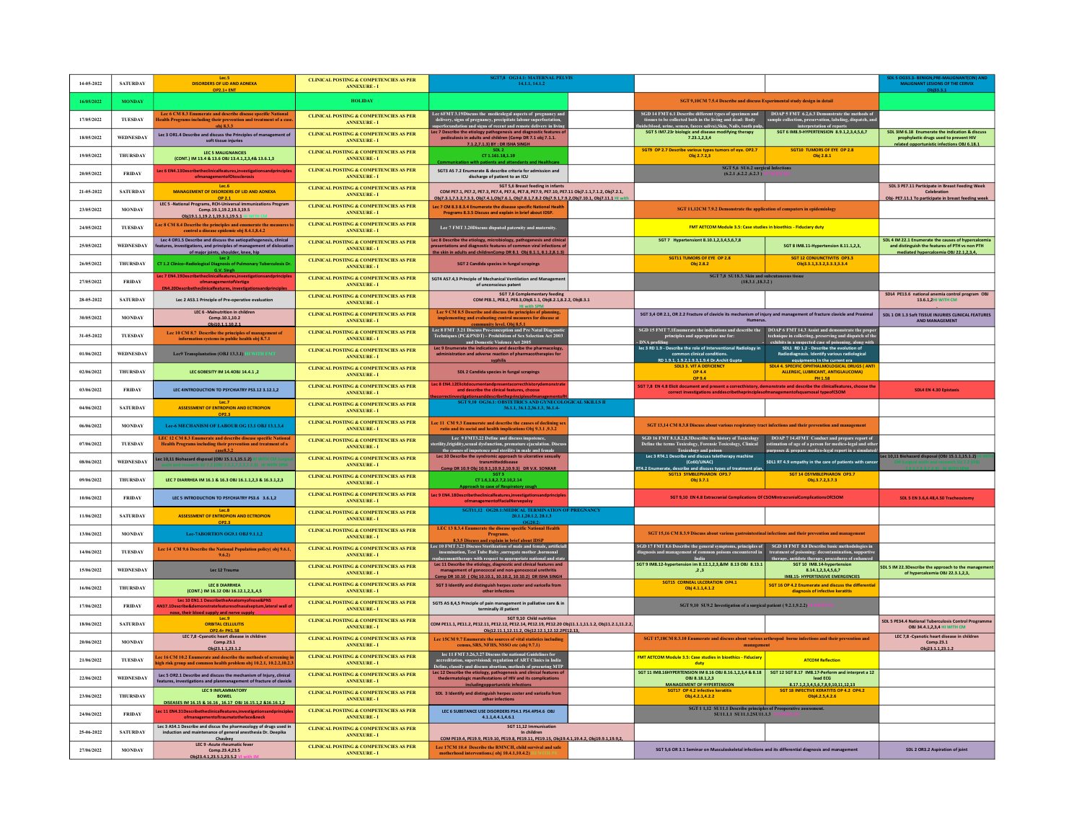| 14-05-2022 | <b>SATURDAY</b>  | <b>DISORDERS OF LID AND ADNEXA</b><br><b>OP2.1+ ENT</b>                                                                                                                          | <b>CLINICAL POSTING &amp; COMPETENCIES AS PER</b><br><b>ANNEXURE - I</b> | SGT7,8 OG14.1: MATERNAL PELVIS<br>14.1.1, 14.1.2                                                                                                                                                                                                                     |                                                                                                                                                                                                                                                                                                    |                                                                                                                                                                   | SDL 5 OG33.3- BENIGN.PRE<br><b>MALIGNANT LESIONS OF THE CERVIX</b><br>Obi33.3.1                                                                 |
|------------|------------------|----------------------------------------------------------------------------------------------------------------------------------------------------------------------------------|--------------------------------------------------------------------------|----------------------------------------------------------------------------------------------------------------------------------------------------------------------------------------------------------------------------------------------------------------------|----------------------------------------------------------------------------------------------------------------------------------------------------------------------------------------------------------------------------------------------------------------------------------------------------|-------------------------------------------------------------------------------------------------------------------------------------------------------------------|-------------------------------------------------------------------------------------------------------------------------------------------------|
| 16/05/2022 | <b>MONDAY</b>    |                                                                                                                                                                                  | <b>HOLIDAY</b>                                                           |                                                                                                                                                                                                                                                                      | SGT 9,10CM 7.5.4 Describe and discuss Experimental study design in detail                                                                                                                                                                                                                          |                                                                                                                                                                   |                                                                                                                                                 |
| 17/05/2022 | <b>TUESDAY</b>   | Lec 6 CM 8.3 Enumerate and describe disease specific National<br><b>Tealth Programs including their prevention and treatment of a cas</b><br>obi 8.3.3                           | <b>CLINICAL POSTING &amp; COMPETENCIES AS PER</b><br><b>ANNEXURE-I</b>   | Lee 6FMT 3.19<br>Discuss the medicolegal aspects of pregnancy and delivery, signs of pregnancy, precipitate labour superfoctation,<br>sunerfecundation and signs of recent and remote delivery in living                                                             | $\text{SGD}$ 14 FMT 6.1 Describe different types of specimen and $\text{DOAP}$ S FMT 6.2,6.3 Demonstrate the methods of tissues to be collected both in the living and deall: Body sample collection, preservation, location process a                                                             |                                                                                                                                                                   |                                                                                                                                                 |
| 18/05/2022 | <b>WEDNESDAY</b> | Lec 3 OR1.4 Describe and discuss the Principles of management of<br>soft tissue injuries                                                                                         | <b>CLINICAL POSTING &amp; COMPETENCIES AS PER</b><br><b>ANNEXURE-I</b>   | ec 7 Describe the etiology pathogenesis and diagnostic features<br>pediculosis in adults and children (Comp DR 7.1 obj 7.1.1.<br>7.1.2.7.1.3) BY : DR ISHA SINGH                                                                                                     | ds(blood, urine, semen, faeces saliva). Skin, Nails, tooth puln<br>SGT 5 IM7.23r biologic and disease modifying therapy<br>7.23.1, 2, 3, 4                                                                                                                                                         | SGT 6 IM8.9-HYPERTENSION 8.9.1,2,3,4,5,6,7                                                                                                                        | SDL 3IM 6.18 Enumerate the indication & discuss<br>prophylactic drugs used to prevent HIV<br>related opportunistic infections OBJ 6.18.1        |
| 19/05/2022 | THURSDAY         | LEC 5 MALIGNANCIES<br>(CONT.) IM 13.4 & 13.6 OBJ 13.4.1,2,3,4& 13.6.1,3                                                                                                          | <b>CLINICAL POSTING &amp; COMPETENCIES AS PER</b><br><b>ANNEXURE - I</b> | CT1.161.18.1.19<br>munication with patients and attendants and Healthcare                                                                                                                                                                                            | SGT9 OP 2.7 Describe various types tumors of eye. OP2.7<br>Obi 2.7.2.3                                                                                                                                                                                                                             | SGT10 TUMORS OF EYE OP 2.8<br>Obi 2.8.1                                                                                                                           |                                                                                                                                                 |
| 20/05/2022 | <b>FRIDAY</b>    | Lec 6 EN4.13Describetheclinicalfeatures, investigations and principles<br>ofmanagementofOtosclerosis                                                                             | <b>CLINICAL POSTING &amp; COMPETENCIES AS PER</b><br><b>ANNEXURE - I</b> | SGT3 AS 7.2 Enumerate & describe criteria for admission and<br>discharge of patient to an ICU                                                                                                                                                                        | SGT 5,6 SU6.2 surgical Infections<br>(6.2.1, 6.2.2, 6.2.3) V1 W11H M1                                                                                                                                                                                                                              |                                                                                                                                                                   |                                                                                                                                                 |
| 21-05-2022 | <b>SATURDAY</b>  | 1006<br>MANAGEMENT OF DISORDERS OF LID AND ADNEXA                                                                                                                                | <b>CLINICAL POSTING &amp; COMPETENCIES AS PER</b><br><b>ANNEXURE - I</b> | <b>SGT 5,6 Breast feeding in infants</b><br>COM PE7.1, PE7.2, PE7.3, PE7.4, PE7.6, PE7.8, PE7.9, PE7.10, PE7.11 Obi7.1.1.7.1.2, Obi7.2.1,<br>Obj7.3.1.7.3.2.7.3.3, Obj7.4.1.Obj7.6.1, Obj7.8.1.7.8.2 Obj7.9.1.7.9.2.Obj7.10.1, Obj7.11.1 HI wit                      |                                                                                                                                                                                                                                                                                                    |                                                                                                                                                                   | SDL 3 PE7.11 Participate in Breast Feeding Week<br>Celebration<br>Obi- PE7.11.1 To participate in breast feeding week                           |
| 23/05/2022 | <b>MONDAY</b>    | OP 2.1<br>LEC 5 -National Programs, RCH-Universal immunizations Program<br>Comp.19.1,19.2,19.3,19.5<br>Obi19.1.1.19.2.1.19.3.1.19.5.1 HI WI                                      | <b>CLINICAL POSTING &amp; COMPETENCIES AS PER</b><br><b>ANNEXURE - I</b> | Lec 7 CM 8.3 8.3.4 Enumerate the disease specific National Health<br>Programs 8.3.5 Discuss and explain in brief about IDSP.                                                                                                                                         | SGT 11,12CM 7.9.2 Demonstrate the application of computers in epidemiology                                                                                                                                                                                                                         |                                                                                                                                                                   |                                                                                                                                                 |
| 24/05/2022 | TUESDAY          | ec 8 CM 8.4 Describe the principles and enumerate the measures<br>control a disease epidemic obj 8.4.1,8.4.2                                                                     | <b>CLINICAL POSTING &amp; COMPETENCIES AS PER</b><br><b>ANNEXURE - I</b> | Lee 7 FMT 3.20Discuss disputed paternity and maternity.                                                                                                                                                                                                              | FMT AETCOM Module 3.5: Case studies in bioethics - Fiduciary duty                                                                                                                                                                                                                                  |                                                                                                                                                                   |                                                                                                                                                 |
| 25/05/2022 | WEDNESDAY        | Lec 4 OR1.5 Describe and discuss the aetiopathogenesis, clinical<br>eatures, investigations, and principles of management of dislocation<br>of maior ioints. shoulder. knee. hip | <b>CLINICAL POSTING &amp; COMPETENCIES AS PER</b><br><b>ANNEXURE - I</b> | Lec 8 Describe the etiology, microbiology, pathogenesis and clinic<br>esentations and diagnostic features of common viral inf<br>the skin in adults and childrenComp DR 8.1 Obi 8.1.1.8.1.2.8.1.3)                                                                   | SGT 7 Hypertensiont 8.10.1,2,3,4,5,6,7,8                                                                                                                                                                                                                                                           | SGT 8 IM8.11-Hypertension 8.11.1,2,3                                                                                                                              | SDL 4 IM 22.1 Enumerate the causes of hypercalcemia<br>and distinguish the features of PTH vs non PTH<br>mediated hypercalcemia OBJ 22.1.2.3.4. |
| 26/05/2022 | THURSDAY         | Lec <sub>2</sub><br>CT 1.2 Clinico-Radiological Diagnosis of Pulmonary Tuberculosis D                                                                                            | <b>CLINICAL POSTING &amp; COMPETENCIES AS PER</b><br><b>ANNEXURE - I</b> | <b>SGT 2 Candida species in fungal scrapings</b>                                                                                                                                                                                                                     | SGT11 TUMORS OF EYE OP 2.8<br>Obj 2.8.2                                                                                                                                                                                                                                                            | <b>SGT 12 CONJUNCTIVITIS OP3.3</b><br>Obj3.3.1,3.3.2,3.3.3,3.3.4                                                                                                  |                                                                                                                                                 |
| 27/05/2022 | <b>FRIDAY</b>    | G.V. Singh<br>Lec 7 EN4.19Describetheclinicalfeatures,investigationsandprinciple<br>ofmanagementofVertigo<br><b>EN4.20Describetheclinicalfeatures, investig</b>                  | <b>CLINICAL POSTING &amp; COMPETENCIES AS PER</b><br><b>ANNEXURE - I</b> | SGT4 AS7.4,3 Principle of Mechanical Ventilation and Management<br>of unconscious patent                                                                                                                                                                             | SGT 7,8 SU18.3. Skin and subcutaneous tissue<br>(18.3.1, 18.3.2)                                                                                                                                                                                                                                   |                                                                                                                                                                   |                                                                                                                                                 |
| 28-05-2022 | <b>SATURDAY</b>  | Lec 2 AS3.1 Principle of Pre-operative evaluation                                                                                                                                | <b>CLINICAL POSTING &amp; COMPETENCIES AS PER</b><br><b>ANNEXURE-I</b>   | SGT 7,8 Complementary feeding<br>COM PE8.1, PE8.2, PE8.3, Obj8.1.1, Obj8.2.1,8.2.2, Obj8.3.1                                                                                                                                                                         |                                                                                                                                                                                                                                                                                                    |                                                                                                                                                                   | SDL4 PE13.6 national anemia control program OBJ<br>13.6.1.2HI WITH CM                                                                           |
| 30/05/2022 | <b>MONDAY</b>    | LEC 6 -Malnutrition in children<br>Comp.10.1.10.2<br>Obi10.1.1.10.2.1                                                                                                            | <b>CLINICAL POSTING &amp; COMPETENCIES AS PER</b><br><b>ANNEXURE-I</b>   | Lec 9 CM 8.5 Describe and discuss the principles of pl<br>implementing and evaluating control measures for disease at<br>community level. Obi 8.5.                                                                                                                   | SGT 3,4 OR 2.1, OR 2.2 Fracture of clavicle its mechanism of injury and management of fracture clavicle and Proximal<br>Humerus.                                                                                                                                                                   |                                                                                                                                                                   | SDL 1 OR 1.3 Soft TISSUE INJURIES CLINICAL FEATURES<br><b>AND MANAGEMENT</b>                                                                    |
| 31-05-2022 | <b>TUESDAY</b>   | Lec 10 CM 8.7 Describe the principles of management of<br>information systems in public health obj 8.7.1                                                                         | <b>CLINICAL POSTING &amp; COMPETENCIES AS PER</b><br><b>ANNEXURE - I</b> | Lee 8 FMT 3.21 Discuss Pre-conception and Pre Natal Diagnostic<br>Techniques (PC&PNDT) - Prohibition of Sex Selection Act 2003<br>and Domestic Violence Act 2005                                                                                                     | SGD 15 FMT 7.1<br>Enumerate the indications and describe the DOAP 6 FMT 14.3 Assist and demonstrate the proper<br>transpectively principles and appropriate use for:<br>DNA profiling the collecting preserving and dispatch of the<br>le                                                          |                                                                                                                                                                   |                                                                                                                                                 |
| 01/06/2022 | WEDNESDAY        | Lec9 Transplantation (OBJ 13.3.1)                                                                                                                                                | <b>CLINICAL POSTING &amp; COMPETENCIES AS PER</b><br><b>ANNEXURE - I</b> | Lec 9 Enumerate the indications and describe the pharmacology.<br>administration and adverse reaction of pharmacotherapies for<br>svohilis                                                                                                                           | common clinical conditions.<br>RD 1.9.1.1.9.2.1.9.3.1.9.4 Dr.Archit Guota                                                                                                                                                                                                                          | Radiodiagnosis. Identify various radiological<br>equipments in the current era                                                                                    |                                                                                                                                                 |
| 02/06/2022 | THURSDAY         | LEC 6OBESITY IM 14.40BJ 14.4.1,2                                                                                                                                                 | <b>CLINICAL POSTING &amp; COMPETENCIES AS PER</b><br><b>ANNEXURE - I</b> | SDL 2 Candida species in fungal scrapings                                                                                                                                                                                                                            | <b>SDL3 3. VIT A DEFICIENCY</b><br><b>OP 4.4</b><br>OP 9.4                                                                                                                                                                                                                                         | <b>SDL4 4. SPECIFIC OPHTHALMOLOGICAL DRUGS (ANT</b><br>ALLERGIC, LUBRICANT, ANTIGLAUCOMA)<br>PH 1.58                                                              |                                                                                                                                                 |
| 03/06/2022 | <b>FRIDAY</b>    | LEC 4INTRODUCTION TO PSYCHIATRY PS3.12 3.12.1.2                                                                                                                                  | CLINICAL POSTING & COMPETENCIES AS PER<br><b>ANNEXURE - I</b>            | Lec 8 EN4.12Elicitdocumentandpresentacorrecthistorydemonstrate<br>and describe the clinical features, choose                                                                                                                                                         | SGT 7,8 EN 4.8 Elicit document and present a correcthistory, demonstrate and describe the clinicalfeatures, choose the<br>correct investigations anddescribetheprinciplesofmanagementofsquamosal typeofCSOM                                                                                        |                                                                                                                                                                   | SDL4 EN 4.30 Epistaxis                                                                                                                          |
| 04/06/2022 | <b>SATURDAY</b>  | Lec.7<br><b>ASSESSMENT OF ENTROPION AND ECTROPION</b><br>OP2.3                                                                                                                   | <b>CLINICAL POSTING &amp; COMPETENCIES AS PER</b><br><b>ANNEXURE - I</b> | SGT 9,10 OG36.1: OBSTETRICS AND GYNECOLOGICAL SKILLS II<br>36.1.1, 36.1.2, 36.1.3, 36.1.4-                                                                                                                                                                           |                                                                                                                                                                                                                                                                                                    |                                                                                                                                                                   |                                                                                                                                                 |
| 06/06/2022 | <b>MONDAY</b>    | Lee-6 MECHANISM OF LABOUR OG 13.1 OBJ 13.1.3.4                                                                                                                                   | <b>CLINICAL POSTING &amp; COMPETENCIES AS PER</b><br><b>ANNEXURE - I</b> | Lee 11 CM 9.3 Enumerate and describe the causes of declining sex<br>io and its social and health implications Obj 9.3.1 ,9.3.2                                                                                                                                       | SGT 13,14 CM 8.3.8 Discuss about various respiratory tract infections and their prevention and management                                                                                                                                                                                          |                                                                                                                                                                   |                                                                                                                                                 |
| 07/06/2022 | TUESDAY          | LEC 12 CM 8.3 Enumerate and describe disease specific National Health Programs including their prevention and treatment of a                                                     | <b>CLINICAL POSTING &amp; COMPETENCIES AS PER</b><br><b>ANNEXURE - I</b> | Lee 9 FMT3.22 Define and discuss impotence,<br>terility,frigidity,sexual dysfunction, premature ejaculation. Discu<br>the causes of impotence and sterility in male and female                                                                                       | SGD 16 FMT 8.1,8.2,8.3Describe the history of Toxicology<br>Define the terms Toxicology, Forensic Toxicology, Clinical<br>Toxicology and poison                                                                                                                                                    | DOAP 7 14.4FMT Conduct and prepare report of<br>estimation of age of a person for medico-legal and other<br>purposes & prepare medico-legal report in a simulated |                                                                                                                                                 |
| 08/06/2022 | <b>WEDNESDAY</b> | ec 10,11 Biohazard disposal (OBJ 15.1.1,15.1.2)                                                                                                                                  | <b>CLINICAL POSTING &amp; COMPETENCIES AS PER</b><br><b>ANNEXURE - I</b> | Lec 10 Describe the syndromic approach to ulcerative sexually<br>transmitteddisease<br>Comp DR 10.9 Obi 10.9.1.10.9.2.10.9.3) DR V.K. SONKAR                                                                                                                         | Lec 3 RT4.1 Describe and discuss teletherapy machine<br>(Co60/LINAC)<br>T4.2 Enumerate. describe and discuss types of treatment plan                                                                                                                                                               | SDL1 RT 4.9 empathy in the care of patients with cance                                                                                                            | c 10,11 Biohazard disposal (OBJ 15.1.1,15.1.2)                                                                                                  |
| 09/06/2022 | THURSDAY         | LEC 7 DIARRHEA IM 16.1 & 16.3 OBJ 16.1.1,2,3 & 16.3.1,2,3                                                                                                                        | <b>CLINICAL POSTING &amp; COMPETENCIES AS PER</b><br><b>ANNEXURE - I</b> | CT 1.6,1.8,2.7,2.10,2.14<br>Approach to case of Respiratory cough                                                                                                                                                                                                    | SGT13 SYMBLEPHARON OP3.7<br>Obj 3.7.1                                                                                                                                                                                                                                                              | <b>SGT 14 OSYMBLEPHARON OP3.7</b><br>Obj.3.7.2,3.7.3                                                                                                              |                                                                                                                                                 |
| 10/06/2022 | <b>FRIDAY</b>    | LEC 5 INTRODUCTION TO PSYCHIATRY PS3.6 3.6.1,2                                                                                                                                   | <b>CLINICAL POSTING &amp; COMPETENCIES AS PER</b><br><b>ANNEXURE - I</b> | Lec 9 EN4.18Describetheclinicalfeatures, investigations and principles<br>ofmanagementofFacialNervepalsy                                                                                                                                                             | SGT 9,10 EN 4.8 Extracranial Complications Of CSOMIntracranialComplicationsOfCSOM                                                                                                                                                                                                                  |                                                                                                                                                                   | SDL 5 EN 3.6,4.48,4.50 Tracheostom                                                                                                              |
| 11/06/2022 | <b>SATURDAY</b>  | Lec.8<br><b>ASSESSMENT OF ENTROPION AND ECTROPION</b><br>OP2.3                                                                                                                   | <b>CLINICAL POSTING &amp; COMPETENCIES AS PER</b><br><b>ANNEXURE - I</b> | SGT11,12 OG20.1:MEDICAL TERMINATION OF PREGNANCY<br>20.1.1, 20.1.2, 20.1.3                                                                                                                                                                                           |                                                                                                                                                                                                                                                                                                    |                                                                                                                                                                   |                                                                                                                                                 |
| 13/06/2022 | <b>MONDAY</b>    | Lee-7ABORTION OG9.1 OBJ 9.1.1,2                                                                                                                                                  | CLINICAL POSTING & COMPETENCIES AS PER<br><b>ANNEXURE - I</b>            | LEC 13 8.3.4 Enumerate the disease specific National Health                                                                                                                                                                                                          | SGT 15,16 CM 8.3.9 Discuss about various gastrointestinal infections and their prevention and management                                                                                                                                                                                           |                                                                                                                                                                   |                                                                                                                                                 |
| 14/06/2022 | <b>TUESDAY</b>   | Lee 14 CM 9.6 Describe the National Population policy(obj 9.6.1,<br>9,6.21                                                                                                       | <b>CLINICAL POSTING &amp; COMPETENCIES AS PER</b><br><b>ANNEXURE - I</b> | 8.3.5 Discuss and explain in brief about IDSP<br>Lee 10 FMT 3.23 Discuss Sterilization of male and female, artificia<br>insemination, Test Tube Baby ,surrogate mother ,hormonal<br>placementtherapy with respect to appropriate national and stat                   | $\textbf{SGD 17 FMT 8.6}\textbf{ Describe the general symptoms, principles ofdiagonois B-NT 8.8}\textbf{ Describe basic methods ofdiagonois and management of proannos. Therandom becomes encountered inthere, andtheray, antidote therein, type of two-torthonormalism, superclures ofenhanced.}$ |                                                                                                                                                                   |                                                                                                                                                 |
| 15/06/2022 | <b>WEDNESDAY</b> | Lec 12 Trauma                                                                                                                                                                    | <b>CLINICAL POSTING &amp; COMPETENCIES AS PER</b><br><b>ANNEXURE - I</b> | Lec 11 Describe the etiology, diagnostic and clinical features and<br>management of gonococcal and non-gonococcal urethritis<br>Comp DR 10.10 ( Obi 10.10.1. 10.10.2. 10.10.2) DR ISHA SINGH                                                                         | SGT 9 IM8.12-hypertension im 8.12.1,2,3,&IM 8.13 OBJ 8.13.1<br>, 2, 3                                                                                                                                                                                                                              | SGT 10 IM8.14-hvp<br>8.14.1.2.3.4.5.6.7<br>IM8.15- HYPERTENSIVE EMERGENCIES                                                                                       | SDL 5 IM 22.3Describe the approach to the managen<br>of hypercalcemia OBJ 22.3.1,2,3,                                                           |
| 16/06/2022 | THURSDAY         | LEC 8 DIARRHEA<br>(CONT.) IM 16.12 OBJ 16.12.1.2.3.4.5                                                                                                                           | <b>CLINICAL POSTING &amp; COMPETENCIES AS PER</b><br><b>ANNEXURE - I</b> | SGT 3 Identify and distinguish herpes zoster and varicella from<br>other infections                                                                                                                                                                                  | SGT15 CORNEAL ULCERATION OP4.1<br>Obi 4.1.1.4.1.2                                                                                                                                                                                                                                                  | SGT 16 OP 4.2 Enumerate and discuss the differentia<br>diagnosis of infective keratitis                                                                           |                                                                                                                                                 |
| 17/06/2022 | <b>FRIDAY</b>    | Lec 10 EN1.1 DescribetheAnatomyofnose&PNS<br>AN37.1Describe&demonstratefeaturesofnasalseptum,lateral wall of<br>nose, their blood supply and nerve supply VI V                   | <b>CLINICAL POSTING &amp; COMPETENCIES AS PER</b><br><b>ANNEXURE - I</b> | SGTS AS 8,4,5 Principle of pain management in palliative care & in<br>terminally ill patient                                                                                                                                                                         | SGT 9,10 SU9.2 Investigation of a surgical patient (9.2.1,9.2.2)                                                                                                                                                                                                                                   |                                                                                                                                                                   |                                                                                                                                                 |
| 18/06/2022 | <b>SATURDAY</b>  | Lec.9<br><b>ORBITAL CELLULITIS</b><br>OP2.4+ PH1.58<br>LEC 7,8 -Cyanotic heart disease in children                                                                               | <b>CLINICAL POSTING &amp; COMPETENCIES AS PER</b><br><b>ANNEXURE - I</b> | SGT 9,10 Child nutrition<br>COM PE11.1, PE11.2, PE12.11, PE12.12, PE12.14, PE12.19, PE12.20 Obj11.1.1,11.1.2, Obj11.2.1,11.2.2<br>Obi12.11.1.12.11.2, Obi12.12.1.12.12.2PE12.13.                                                                                     |                                                                                                                                                                                                                                                                                                    |                                                                                                                                                                   | SDL 5 PE34.4 National Tuberculosis Control Programm<br>OBJ 34.4.1.2.3.4 HI WITH CM                                                              |
| 20/06/2022 | <b>MONDAY</b>    | Comp.23.1<br>Obi23.1.1.23.1.2                                                                                                                                                    | <b>CLINICAL POSTING &amp; COMPETENCIES AS PER</b><br><b>ANNEXURE - I</b> | Lee 15CM 9.7 Enumerate the sources of vital statistics including<br>census, SRS, NFHS, NSSO etc (obi 9.7.1)                                                                                                                                                          | SGT 17,18CM 8.3.10 Enumerate and discuss about various arthropod borne infections and their prevention and<br>management                                                                                                                                                                           |                                                                                                                                                                   | LEC 7.8 -Cyanotic heart disease in children<br>Comp.23.1<br>Obi23.1.1.23.1.2                                                                    |
| 21/06/2022 | THESDAY          | ec 16 CM 10.2 Enumerate and describe the methods of screening<br>igh risk group and common health problem obj 10.2.1, 10.2.2,10.2                                                | <b>CLINICAL POSTING &amp; COMPETENCIES AS PER</b><br><b>ANNEXURE - I</b> | lee 11 FMT 3.26,3.27 Discuss the national Guidelines for<br>accreditation, supervision& regulation of ART Clinics in India<br>Define. classify and discuss abortion. methods of procuring MTP<br>Lec 12 Describe the etiology, pathogenesis and clinical features of | <b>FMT AETCOM Module 3.5: Case studies in bioethics - Fiduciary</b><br>duty                                                                                                                                                                                                                        | <b>ATCOM Reflection</b>                                                                                                                                           |                                                                                                                                                 |
| 22/06/2022 | <b>WEDNESDAY</b> | Lec 5 OR2.1 Describe and discuss the mechanism of Injury, clinical<br>features, investigations and planmanagement of fracture of clavicle                                        | <b>CLINICAL POSTING &amp; COMPETENCIES AS PER</b><br><b>ANNEXURE - I</b> | the dermatologic manifestations of HIV and its complications<br>including opportunistic infections                                                                                                                                                                   | SGT 11 IM8.16HYPERTENSION IM 8.16 OBJ 8.16.1,2,3,4 & 8.18<br>OBL8.18.1.2.3<br><b>MANAGEMENT OF HYPERTENSION</b>                                                                                                                                                                                    | SGT 12 SGT 8.17 IM8.17-Perform and interpret a 12<br>lead ECG<br>8.17.1.2.3.4.5.6.7.8.9.10.11.12.13                                                               |                                                                                                                                                 |
| 23/06/2022 | <b>THURSDAY</b>  | LEC 9 INFLAMMATORY<br><b>BOWEL</b><br>DISEASES IM 16.15 & 16.16 . 16.17 OBJ 16.15.1.2 & 16.16.1.2                                                                                | <b>CLINICAL POSTING &amp; COMPETENCIES AS PER</b><br><b>ANNEXTRE-T</b>   | SDL 3 Identify and distinguish herpes zoster and varicella from<br>other infections                                                                                                                                                                                  | Obi.4.2.1.4.2.2                                                                                                                                                                                                                                                                                    | SGT 18 INFECTIVE KERATITIS OP 4.2 OP4.2                                                                                                                           |                                                                                                                                                 |
| 24/06/2022 | <b>FRIDAY</b>    | ec 11 EN4.31Describetheclinicalfeatures, investigations and principle<br>$of management of trauma to the face {\&} neck$                                                         | <b>CLINICAL POSTING &amp; COMPETENCIES AS PER</b><br><b>ANNEXURE - I</b> | LEC 6 SUBSTANCE USE DISORDERS PS4.1 PS4.4PS4.6 OBJ<br>4.1.1.4.4.1.4.6.1                                                                                                                                                                                              | $\frac{\text{SGT 1 1,12 } \text{SU11.1 } \text{Describe principles of } \text{Preoperative assessment.}}{\text{SU11.1.1 } \text{SU11.1.2} \text{SU11.1.3 } \text{V1 W11H} \text{AS}}$                                                                                                              |                                                                                                                                                                   |                                                                                                                                                 |
| 25-06-2022 | <b>SATURDAY</b>  | Lec 3 AS4.1 Describe and discus the pharmacology of drugs used in<br>induction and maintenance of general anesthesia Dr. Deepika<br>Chaubev                                      | <b>CLINICAL POSTING &amp; COMPETENCIES AS PER</b><br><b>ANNEXURE-I</b>   | SGT 11.12 Immunisation<br>In children<br>COM PE19.4, PE19.9, PE19.10, PE19.8, PE19.11, PE19.15, Obi19.4.1,19.4.2, Obi19.9.1,19.9.2,                                                                                                                                  |                                                                                                                                                                                                                                                                                                    |                                                                                                                                                                   |                                                                                                                                                 |
| 27/06/2022 | <b>MONDAY</b>    | LEC 9 - Acute rheumatic fever<br>Comp.23.4,23.5<br>Obi23.4.1.23.5.1.23.5.2                                                                                                       | <b>CLINICAL POSTING &amp; COMPETENCIES AS PER</b><br><b>ANNEXURE - I</b> | Lee 17CM 10.4 Describe the RMNCH, child survival and safe<br>motherhood interventions.(obj 10.4.1,10.4.2) I                                                                                                                                                          | SGT 5,6 OR 3.1 Seminar on Musculoskeletal infections and its differential diagnosis and management                                                                                                                                                                                                 |                                                                                                                                                                   | SDL 2 OR3.2 Aspiration of joint                                                                                                                 |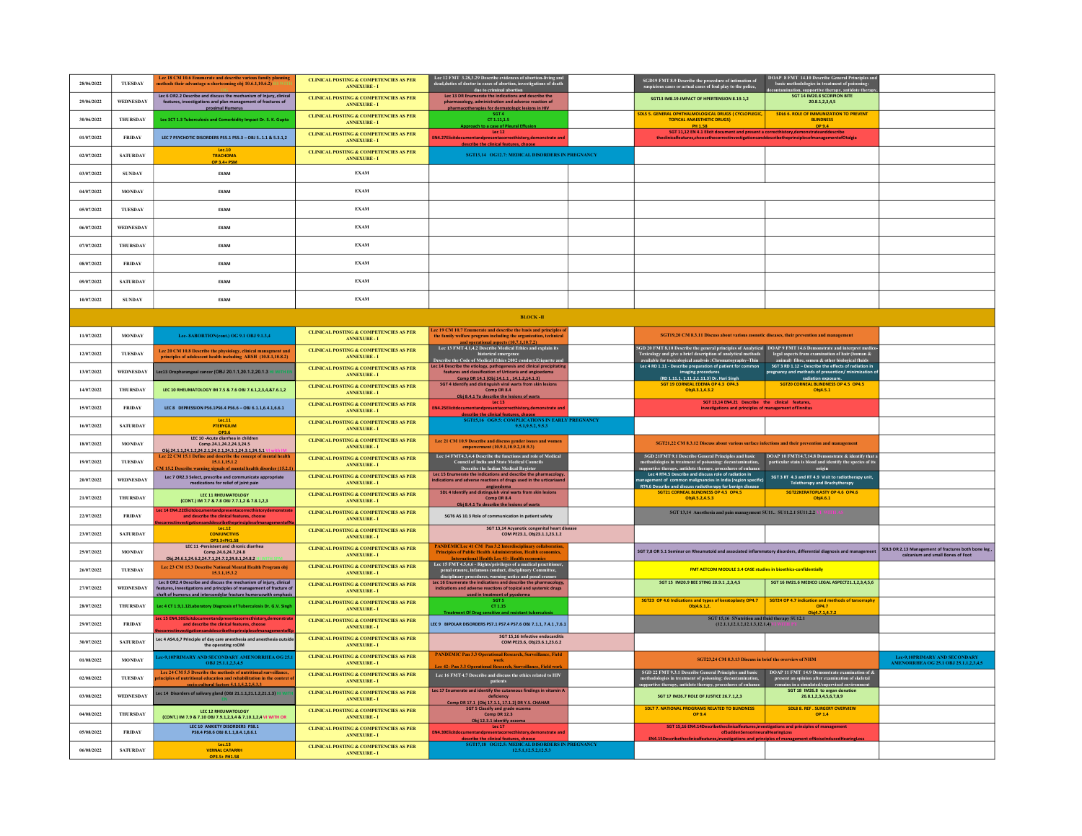| 28/06/2022 | TUESDAY         | Lee 18 CM 10.6 Enumerate and describe various family planning<br>nethods their advantage n shortcoming obj 10.6.1,10.6.2)                                                                                      | <b>CLINICAL POSTING &amp; COMPETENCIES AS PER</b><br><b>ANNEXURE - I</b>          | Lee 12 FMT 3.28,3.29 Describe evidences of abortion-living and dead,<br>duties of doctor in cases of abortion, investigations of death<br>due to criminal abortion                        | $\operatorname{SGD19}$ FMT 8.9 Describe the procedure of intimation of<br>suspicious cases or actual cases of foul play to the police,                                                                                             | DOAP 8 FMT 14.10 Describe General Principles a<br>basic methodologies in treatment of poisoning<br>contamination, supportive therapy, antidote the |                                                                                          |
|------------|-----------------|----------------------------------------------------------------------------------------------------------------------------------------------------------------------------------------------------------------|-----------------------------------------------------------------------------------|-------------------------------------------------------------------------------------------------------------------------------------------------------------------------------------------|------------------------------------------------------------------------------------------------------------------------------------------------------------------------------------------------------------------------------------|----------------------------------------------------------------------------------------------------------------------------------------------------|------------------------------------------------------------------------------------------|
| 29/06/2022 | WEDNESDAY       | Lec 6 OR2.2 Describe and discuss the mechanism of Injury, clinical<br>features, investigations and plan management of fractures of<br>proximal Humerus                                                         | <b>CLINICAL POSTING &amp; COMPETENCIES AS PER</b><br><b>ANNEXURE - I</b>          | Lec 13 DR Enumerate the indications and describe the<br>pharmacology, administration and adverse reaction of<br>pharmacotherapies for dermatologic lesions in HIV                         | SGT13 IM8.19-IMPACT OF HPERTENSION 8.19.1,2                                                                                                                                                                                        | SGT 14 IM20.8 SCORPION BITE<br>20.8.1.2.3.4.5                                                                                                      |                                                                                          |
| 30/06/2022 | THURSDAY        | Lec 3CT 1.3 Tuberculosis and Comorbidity Impact Dr. S. K. Gupta                                                                                                                                                | <b>CLINICAL POSTING &amp; COMPETENCIES AS PER</b><br><b>ANNEXURE - I</b>          | SGT 4<br>CT 1.11, 1.5<br>Approach to a case of Pleural Effusion                                                                                                                           | SDLS 5. GENERAL OPHTHALMOLOGICAL DRUGS ( CYCLOPLEGIC,<br><b>TOPICAL ANAESTHETIC DRUGS)</b>                                                                                                                                         | SDL6 6, ROLE OF IMMUNIZATION TO PREVENT<br><b>BUNDNESS</b>                                                                                         |                                                                                          |
| 01/07/2022 | <b>FRIDAY</b>   | LEC 7 PSYCHOTIC DISORDERS PS5.1 PS5.3 - OBJ 51.1 & 5.3.1,2                                                                                                                                                     | CLINICAL POSTING & COMPETENCIES AS PER<br><b>ANNEXURE - I</b>                     | Lec 12<br>EN4.27Elicitdocumentandpresentacorrectl<br>history, demonstrate an<br>describe the clinical features, choose                                                                    | PH 1.58 OP 9.4<br>SGT 11,12 EN 4.1 Elicit document and present a correcthistory, demonstrate and describe<br>theclinicalfeatures, choose the correctinvestigations and describe the principles of management of Otalgia            |                                                                                                                                                    |                                                                                          |
| 02/07/2022 | <b>SATURDAY</b> | Lec.10<br><b>TRACHOMA</b><br><b>OP 3.4+ PSM</b>                                                                                                                                                                | <b>CLINICAL POSTING &amp; COMPETENCIES AS PER</b><br><b>ANNEXURE - I</b>          | SGT13,14 OG12.7: MEDICAL DISORDERS IN PREGNANCY                                                                                                                                           |                                                                                                                                                                                                                                    |                                                                                                                                                    |                                                                                          |
| 03/07/2022 | <b>SUNDAY</b>   | <b>FXAM</b>                                                                                                                                                                                                    | <b>EXAM</b>                                                                       |                                                                                                                                                                                           |                                                                                                                                                                                                                                    |                                                                                                                                                    |                                                                                          |
| 04/07/2022 | <b>MONDAY</b>   | EXAM                                                                                                                                                                                                           | <b>EXAM</b>                                                                       |                                                                                                                                                                                           |                                                                                                                                                                                                                                    |                                                                                                                                                    |                                                                                          |
| 05/07/2022 | TUESDAY         | EXAM                                                                                                                                                                                                           | <b>EXAM</b>                                                                       |                                                                                                                                                                                           |                                                                                                                                                                                                                                    |                                                                                                                                                    |                                                                                          |
| 06/07/2022 | WEDNESDAY       | EXAM                                                                                                                                                                                                           | <b>EXAM</b>                                                                       |                                                                                                                                                                                           |                                                                                                                                                                                                                                    |                                                                                                                                                    |                                                                                          |
| 07/07/2022 | THURSDAY        | EXAM                                                                                                                                                                                                           | <b>EXAM</b>                                                                       |                                                                                                                                                                                           |                                                                                                                                                                                                                                    |                                                                                                                                                    |                                                                                          |
| 08/07/2022 | <b>FRIDAY</b>   | EXAM                                                                                                                                                                                                           | <b>EXAM</b>                                                                       |                                                                                                                                                                                           |                                                                                                                                                                                                                                    |                                                                                                                                                    |                                                                                          |
| 09/07/2022 | <b>SATURDAY</b> | EXAM                                                                                                                                                                                                           | <b>EXAM</b>                                                                       |                                                                                                                                                                                           |                                                                                                                                                                                                                                    |                                                                                                                                                    |                                                                                          |
| 10/07/2022 | <b>SUNDAY</b>   | EXAM                                                                                                                                                                                                           | <b>EXAM</b>                                                                       |                                                                                                                                                                                           |                                                                                                                                                                                                                                    |                                                                                                                                                    |                                                                                          |
|            |                 |                                                                                                                                                                                                                |                                                                                   | <b>BLOCK-II</b>                                                                                                                                                                           |                                                                                                                                                                                                                                    |                                                                                                                                                    |                                                                                          |
| 11/07/2022 | <b>MONDAY</b>   | Lec-8ABORTION(cont.) OG 9.1 OBJ 9.1.3,4                                                                                                                                                                        | <b>CLINICAL POSTING &amp; COMPETENCIES AS PER</b><br><b>ANNEXURE-I</b>            | Lee 19 CM 10.7 Enumerate and describe the basis and principles of<br>the family welfare program including the organization, technical                                                     | SGT19,20 CM 8.3.11 Discuss about various zoonotic diseases, their prevention and management                                                                                                                                        |                                                                                                                                                    |                                                                                          |
| 12/07/2022 | TUESDAY         | Lee 20 CM 10.8 Describe the physiology, clinical managment and<br>principles of adolescent health including ARSH (10.8.1.10.8.2)                                                                               | <b>CLINICAL POSTING &amp; COMPETENCIES AS PER</b><br><b>ANNEXURE - I</b>          | Lec 13 FMT 4.1,4.2 Describe Medical Ethics and explain its<br>historical emergence<br>ibe the Code of Medical Ethics 2002 conduct, Etiqu                                                  | SGD 20 FMT 8.10 Describe the general principles of Analytical DOAP 9 FMT 14.6 Demonstrate and interpret medic<br>Toxicology and give a brief description of analytical methods legal aspects from examination of hair (buman & a   |                                                                                                                                                    |                                                                                          |
| 13/07/2022 | WEDNESDAY       | Lec13 Oropharangeal cancer (OBJ 20.1.1,20.1.2,20.1.3                                                                                                                                                           | <b>CLINICAL POSTING &amp; COMPETENCIES AS PER</b><br><b>ANNEXURE - I</b>          | Lec 14 Describe the etiology, pathogenesis and clinical precipitatin<br>features and classification of Urticaria and angioedema<br>Comp DR 14.1 (Obi 14.1.1 . 14.1.2.14.1.3)              | imaging procedures<br>(RD 1.11.1. 1.11.2.1.11.3) Dr. Hari Singh                                                                                                                                                                    | pregnancy and methods of prevention/minimization of                                                                                                |                                                                                          |
| 14/07/2022 | THURSDAY        | LEC 10 RHEUMATOLOGY IM 7.5 & 7.6 OBJ 7.6.1,2,3,4,&7.6.1,2                                                                                                                                                      | <b>CLINICAL POSTING &amp; COMPETENCIES AS PER</b><br><b>ANNEXURE - I</b>          | SGT 4 Identify and distinguish viral warts from skin lesions<br>Comp DR 8.4<br>Obi 8.4.1 To describe the lesions of warts                                                                 | SGT 19 CORNEAL EDEMA OP 4.3 OP4.3<br>Obj4.3.1,4.3.2                                                                                                                                                                                | radiation exposure.<br>SGT20 CORNEAL BLINDNESS OP 4.5 OP4.5<br>Obj4.5.1                                                                            |                                                                                          |
| 15/07/2022 | <b>FRIDAY</b>   | IEC 8 DEPRESSION PS6.1PS6.4 PS6.6 - OBL6.1.1.6.4.1.6.6.1                                                                                                                                                       | <b>CLINICAL POSTING &amp; COMPETENCIES AS PER</b><br><b>ANNEXURE - I</b>          | Lec 13<br>EN4.25Elicitdocumentandpresentacorrecthistory,demonstrate and                                                                                                                   | SGT 13,14 EN4.21 Describe the clinical features,<br>investigations and principles of management of Tinnitus                                                                                                                        |                                                                                                                                                    |                                                                                          |
| 16/07/2022 | <b>SATURDAY</b> | Lec.11<br><b>PTERYGIUM</b><br>OP3.6                                                                                                                                                                            | CLINICAL POSTING & COMPETENCIES AS PER<br><b>ANNEXURE - I</b>                     | describe the dinical features, choose<br>9.5.1.9.5.2, 9.5.3                                                                                                                               |                                                                                                                                                                                                                                    |                                                                                                                                                    |                                                                                          |
| 18/07/2022 | <b>MONDAY</b>   | LEC 10 -Acute diarrhea in children<br>Comp.24.1.24.2.24.3.24.5<br>Obi.24.1.1.24.1.2.24.2.1.24.2.1.24.3.1.24.3.1.24.5.1                                                                                         | <b>CLINICAL POSTING &amp; COMPETENCIES AS PER</b><br><b>ANNEXURE-I</b>            | Lec 21 CM 10.9 Describe and discuss gender issues and women<br>empowerment (10.9.1,10.9.2,10.9.3)                                                                                         | SGT21,22 CM 8.3.12 Discuss about various surface infections and their prevention and management                                                                                                                                    |                                                                                                                                                    |                                                                                          |
| 19/07/2022 | TUESDAY         | Lee 22 CM 15.1 Define and describe the concept of mental health<br>15.1.1,15.1.2<br>M 15.2 Describe warning signals of mental health disorder (15.2.1                                                          | <b>CLINICAL POSTING &amp; COMPETENCIES AS PER</b><br><b>ANNEXURE - I</b>          | Lee 14 FMT4.3,4.4 Describe the functions and role of Medical<br>Council of India and State Medical Councils<br>Describe the Indian Medical Register                                       | SGD 21FMT 9.1 Describe General Principles and basic<br>methodologies in treatment of poisoning: decontamination,<br>supportive therapy, antidote therapy, procedures of enhance                                                    | $\boxed{\text{DOAP 10 FMT14.7,14.8 Demonstrate & identify that a particular strain is blood and identify the species of its}}$                     |                                                                                          |
| 20/07/2022 | WEDNESDAY       | Lec 7 OR2.3 Select, prescribe and communicate appropriate<br>medications for relief of joint pain                                                                                                              | <b>CLINICAL POSTING &amp; COMPETENCIES AS PER</b><br><b>ANNEXURE - I</b>          | Lec 15 Enumerate the indications and describe the pharmacology<br>ndications and adverse reactions of drugs used in the urticariaand                                                      | Lec 4 RT4.5 Describe and discuss role of radiation in<br>nagement of common malignancies in India (region specific)<br>RT4.6 Describe and discuss radiotherapy for benien disease                                                  | SGT 3 RT 4.3 and RT 4.9 Visit to radiotherapy unit<br><b>Teletherapy and Brachytherapy</b>                                                         |                                                                                          |
| 21/07/2022 | THURSDAY        | <b>IFC 11 RHFUMATOLOGY</b><br>(CONT.) IM 7.7 & 7.8 OBJ 7.7.1,2 & 7.8.1,2,3                                                                                                                                     | <b>CLINICAL POSTING &amp; COMPETENCIES AS PER</b><br><b>ANNEXURE - I</b>          | angioedema<br>SDL 4 Identify and distinguish viral warts from skin lesions<br>Comp DR 8.4<br>Obi 8.4.1 To describe the lesions of warts                                                   | SGT21 CORNEAL BLINDNESS OP 4.5 OP4.5<br>Obi4.5.2.4.5.3                                                                                                                                                                             | SGT22KERATOPLASTY OP 4.6 OP4.6<br>Obi4.6.1                                                                                                         |                                                                                          |
| 22/07/2022 | <b>FRIDAY</b>   | ec 14 EN4.22Elicitdocumentandpresentacorrecthistoryder<br>and describe the clinical features, choose<br>ctinvestigationsanddescribetheorinciplesofmana<br>Lec.12                                               | <b>CLINICAL POSTING &amp; COMPETENCIES AS PER</b><br><b>ANNEXURE - I</b>          | SGT6 AS 10.3 Role of communication in patient safety                                                                                                                                      | SGT 13,14 Anesthesia and pain management SU11 SU11.2.1 SU11.2.2                                                                                                                                                                    |                                                                                                                                                    |                                                                                          |
| 23/07/2022 | <b>SATURDAY</b> | <b>CONJUNCTIVIS</b><br>OP3.3+PH1.58<br>LEC 11 -Persistent and chronic diarrhea                                                                                                                                 | <b>CLINICAL POSTING &amp; COMPETENCIES AS PER</b><br><b>ANNEXURE - I</b>          | SGT 13,14 Acyanotic congenital heart disease<br>COM PE23.1, Obj23.1.1,23.1.2                                                                                                              |                                                                                                                                                                                                                                    |                                                                                                                                                    |                                                                                          |
| 25/07/2022 | <b>MONDAY</b>   | Comp.24.6,24.7,24.8<br>Obi.24.6.1.24.6.2.24.7.1.24.7.2.24.8.1.24.8.2                                                                                                                                           | <b>CLINICAL POSTING &amp; COMPETENCIES AS PER</b><br><b>ANNEXURE - I</b>          | PANDEMICLee 41 CM Pan 3.2 Interdisciplinary collaboration,<br>Principles of Public Health Administration, Health econom                                                                   | SGT 7.8 OR 5.1 Seminar on Rheumatoid and associated inflammatory disorders, differential diagnosis and management                                                                                                                  |                                                                                                                                                    | SDL3 OR 2.13 Management of fractures both bone leg,<br>calcanium and small Bones of Foot |
| 26/07/2022 | <b>TUESDAY</b>  | Lec 23 CM 15.3 Describe National Mental Health Program obj<br>15.3.1, 15.3.2                                                                                                                                   | CLINICAL POSTING & COMPETENCIES AS PER<br><b>ANNEXURE - I</b>                     | Lec 15 FMT 4.5,4.6 - Rights/privileges of a medical practitioner<br>penal erasure, infamous conduct, disciplinary Committee,<br>disciplinary procedures, warning notice and penal erasure | FMT AETCOM MODULE 3.4 CASE studies in bioethics-confidentially                                                                                                                                                                     |                                                                                                                                                    |                                                                                          |
| 27/07/2022 | WEDNESDAY       | Lec 8 OR2.4 Describe and discuss the mechanism of injury, clinical<br>features, investigations and principles of management of fracture of<br>shaft of humerus and intercondvlar fracture humeruswith emphasis | CLINICAL POSTING & COMPETENCIES AS PER<br><b>ANNEXURE - I</b>                     | Lec 16 Enumerate the indications and describe the pharm<br>indications and adverse reactions of topical and systemic drugs<br>used in treatment of pvoderma                               | SGT 15 IM20.9 BEE STING 20.9.1 2,3,4,5                                                                                                                                                                                             | SGT 16 IM21.6 MEDICO LEGAL ASPECT21.1.2.3.4.5.6                                                                                                    |                                                                                          |
| 28/07/2022 | THURSDAY        | Lec 4 CT 1.9,1.12Laboratory Diagnosis of Tuberculosis Dr. G.V. Sing                                                                                                                                            | <b>CLINICAL POSTING &amp; COMPETENCIES AS PER</b><br><b>ANNEXURE - I</b>          | CT 1.15<br><b>Treatment Of Drug sensitive and resistant tuberculos</b>                                                                                                                    | SGT23 OP 4.6 Indications and types of keratoplasty OP4.7<br>Obj4.6.1,2.                                                                                                                                                            | SGT24 OP 4.7 indication and methods of tarsorraph<br>OP4.7                                                                                         |                                                                                          |
| 29/07/2022 | <b>FRIDAY</b>   | ec 15 EN4.30Elicitdocumentandpresentacorrecthistory.demonstrat<br>and describe the clinical features, choose                                                                                                   | <b>CLINICAL POSTING &amp; COMPETENCIES AS PER</b><br><b>ANNEXURE - I</b>          | LEC 9 BIPOLAR DISORDERS PS7.1 PS7.4 PS7.6 OBJ 7.1.1, 7.4.1 ,7.6.1                                                                                                                         | SGT 15,16 SNutrition and fluid therapy SU12.1<br>(12.1.1, 12.1.2, 12.1.3, 12.1.4)                                                                                                                                                  |                                                                                                                                                    |                                                                                          |
| 30/07/2022 | <b>SATURDAY</b> | Lec 4 AS4.6,7 Principle of day care anesthesia and anesthesia outsid<br>the operating roOM                                                                                                                     | <b>CLINICAL POSTING &amp; COMPETENCIES AS PER</b><br><b>ANNEXURE - I</b>          | SGT 15.16 Infective endocarditis<br>COM PE23.6, Obj23.6.1,23.6.2                                                                                                                          |                                                                                                                                                                                                                                    |                                                                                                                                                    |                                                                                          |
| 01/08/2022 | <b>MONDAY</b>   | e-9,10PRIMARY AND SECONDARY AMENORRHEA OG 25.<br>OBJ 25.1.1.2.3.4.5                                                                                                                                            | CLINICAL POSTING & COMPETENCIES AS PER<br><b>ANNEXURE - I</b>                     | <b>PANDEMIC Pan 3.3 Operational Research, Surveillance, Field</b>                                                                                                                         | SGT23.24 CM 8.3.13 Discuss in brief the overview of NHM                                                                                                                                                                            |                                                                                                                                                    | Lec-9,10PRIMARY AND SECONDARY<br>AMENORRHEA OG 25.1 OBJ 25.1.1,2,3,4,5                   |
| 02/08/2022 | <b>TUESDAY</b>  | Lec 24 CM 5.5 Describe the methods of nutritional surveillance<br>inciples of nutritional education and rehabilitation in the context<br>ocio-cultural factors 5.1.1.5.2.2.5.3.3                               | <b>CLINICAL POSTING &amp; COMPETENCIES AS PER</b><br><b>ANNEXURE - I</b>          | Lec 16 FMT 4.7 Describe and discuss the ethics related to HIV<br>patients                                                                                                                 | SGD 22 FMT 9.3.1 Describe General Principles and basic   DOAP 11 FMT 14.9 Demonstrate examination of &<br>methodologies in treatment of poisoning: decontamination,<br>supportive therapy, antidote therapy, procedures of enhance | present an opinion after examination of skeletal<br>remains in a simulated/sunervised environment                                                  |                                                                                          |
| 03/08/2022 | WEDNESDAY       | ec 14 Disorders of salivary gland (OBJ 21.1.1,21.1.2,21.1.3) HIV                                                                                                                                               | <b>CLINICAL POSTING &amp; COMPETENCIES AS PER</b><br><b>ANNEXURE - I</b>          | ec 17 Enumerate and identify the cutaneous findings in vitamin A<br>deficiency<br>Comp DR 17.1 (Obi 17.1.1. 17.1.2) DR Y.S. CHAHAR                                                        | SGT 17 IM26.7 ROLE OF JUSTICE 26.7.1.2.3                                                                                                                                                                                           | SGT 18 IM26.8 to organ donation<br>26.8.1.2.3.4.5.6.7.8.9                                                                                          |                                                                                          |
| 04/08/2022 | <b>THURSDAY</b> | LEC 12 RHEUMATOLOGY<br>(CONT.) IM 7.9 & 7.10 OBJ 7.9.1.2.3.4 & 7.10.1.2.4 VI WITH OF                                                                                                                           | <b>CLINICAL POSTING &amp; COMPETENCIES AS PER</b><br><b>ANNEXURE-I</b>            | <b>SGT 5 Classify and grade eczema</b><br>Comp DR 12.3<br>Obi 12.3.1 identify eczema                                                                                                      | <b>SDL7 7. NATIONAL PROGRAMS RELATED TO BLINDNESS</b><br>OP 9.4                                                                                                                                                                    | <b>SDL8 8. REF. SURGERY OVERVIEW</b><br>OP 1.4                                                                                                     |                                                                                          |
| 05/08/2022 | <b>FRIDAY</b>   | LEC 10 ANXIETY DISORDERS PS8.1<br>PS8.4 PS8.6 OBJ 8.1.1.8.4.1.8.6.1                                                                                                                                            | <b>CLINICAL POSTING &amp; COMPETENCIES AS PER</b><br><b>ANNEXURE - I</b>          | <b>Lec 17</b><br>EN4.39Elicitdocumentandpresentacorrecthistory.demonstrate and                                                                                                            | SGT 15,16 EN4.14Describetheclinicalfeatures, investigations and principles of management<br>ofSuddenSensorineuralHearingLoss<br>ons and principles of ma                                                                           |                                                                                                                                                    |                                                                                          |
| 06/08/2022 | <b>SATURDAY</b> | Lec.13<br><b>VERNAL CATARRH</b><br>OP3.5+ PH1.58                                                                                                                                                               | <b>CLINICAL POSTING &amp; COMPETENCIES AS PER</b><br>${\bf ANNEXURE}\cdot{\bf I}$ | 12.5.1, 12.5.2, 12.5.3                                                                                                                                                                    |                                                                                                                                                                                                                                    |                                                                                                                                                    |                                                                                          |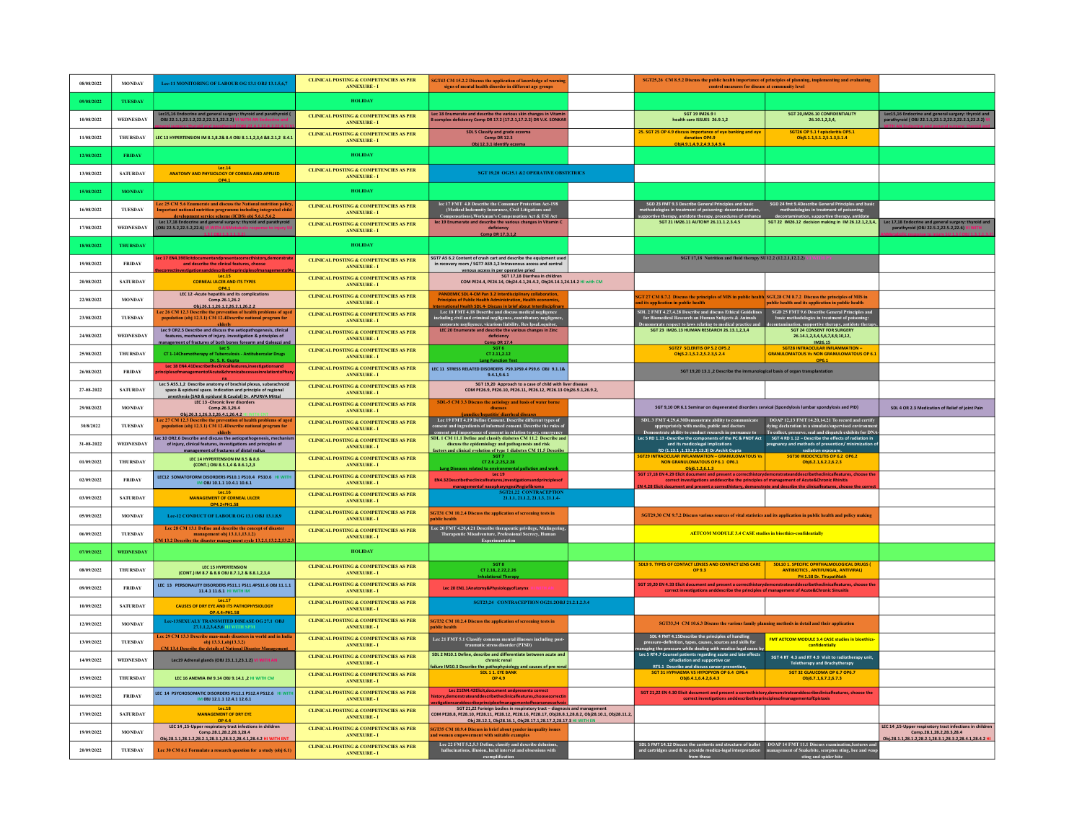| 08/08/2022 | <b>MONDAY</b>    | Lee-11 MONITORING OF LABOUR OG 13.1 OBJ 13.1.5.6.7                                                                                                                                                 | CLINICAL POSTING & COMPETENCIES AS PER<br><b>ANNEXURE-1</b>              | SGT43 CM 15.2.2 Discuss the application of knowledge of warnin<br>signs of mental health disorder in different age groups                                                                                                                      | SGT25,26 CM 8.5.2 Discuss the public health importance of principles of planning, implementing and evaluating<br>control measures for disease at community level                                                                                                                                                                |                                                                                                                                                  |                                                                                                                                                 |
|------------|------------------|----------------------------------------------------------------------------------------------------------------------------------------------------------------------------------------------------|--------------------------------------------------------------------------|------------------------------------------------------------------------------------------------------------------------------------------------------------------------------------------------------------------------------------------------|---------------------------------------------------------------------------------------------------------------------------------------------------------------------------------------------------------------------------------------------------------------------------------------------------------------------------------|--------------------------------------------------------------------------------------------------------------------------------------------------|-------------------------------------------------------------------------------------------------------------------------------------------------|
| 09/08/2022 | TUESDAY          |                                                                                                                                                                                                    | <b>HOLIDAY</b>                                                           |                                                                                                                                                                                                                                                |                                                                                                                                                                                                                                                                                                                                 |                                                                                                                                                  |                                                                                                                                                 |
| 10/08/2022 | <b>WEDNESDAY</b> | Lec15,16 Endocrine and general surgery: thyroid and parathyroid (<br>OBJ 22.1.1,22.1.2,22.2,22.2.1,22.2.2) VI WITH AN Endocrine and                                                                | <b>CLINICAL POSTING &amp; COMPETENCIES AS PER</b><br><b>ANNEXURE - I</b> | Lec 18 Enumerate and describe the various skin changes in Vitami<br>complex deficiency Comp DR 17.2 (17.2.1,17.2.2) DR V.K. SONKA                                                                                                              | SGT 19 IM26.9 I<br>ealth care ISSUES 26.9.1,2                                                                                                                                                                                                                                                                                   | SGT 20, IM26.10 CONFIDENTIALITY<br>26.10.1,2,3,4,                                                                                                | Lec15,16 Endocrine and general surgery: thyroid and<br>parathyroid (OBJ 22.1.1,22.1.2,22.2,22.2.1,22.2.2) VI                                    |
| 11/08/2022 | <b>THURSDAY</b>  | LEC 13 HYPERTENSION IM 8.1,8.2& 8.4 OBJ 8.1.1,2,3,4 &8.2.1,2 8.4.1                                                                                                                                 | <b>CLINICAL POSTING &amp; COMPETENCIES AS PER</b><br><b>ANNEXURE - I</b> | SDL 5 Classify and grade eczema<br>Comp DR 12.3<br>Obi 12.3.1 identify eczem:                                                                                                                                                                  | 25. SGT 25 OP 4.9 discuss importance of eye banking and eye<br>donation OP4.9<br>Obi4.9.1.4.9.2.4.9.3.4.9.4                                                                                                                                                                                                                     | SGT26 OP 5.1 f episcleritis OP5.1<br>Obj5.1.1,5.1.2,5.1.3,5.1.4                                                                                  |                                                                                                                                                 |
| 12/08/2022 | <b>FRIDAY</b>    |                                                                                                                                                                                                    | <b>HOLIDAY</b>                                                           |                                                                                                                                                                                                                                                |                                                                                                                                                                                                                                                                                                                                 |                                                                                                                                                  |                                                                                                                                                 |
| 13/08/2022 | <b>SATURDAY</b>  | Lec.14<br>ANATOMY AND PHYSIOLOGY OF CORNEA AND APPLIED<br>OP4.1                                                                                                                                    | CLINICAL POSTING & COMPETENCIES AS PER<br><b>ANNEXURE - I</b>            | SGT 19,20 OG15.1 &2 OPERATIVE OBSTETRICS                                                                                                                                                                                                       |                                                                                                                                                                                                                                                                                                                                 |                                                                                                                                                  |                                                                                                                                                 |
| 15/08/2022 | <b>MONDAY</b>    |                                                                                                                                                                                                    | <b>HOLIDAY</b>                                                           |                                                                                                                                                                                                                                                |                                                                                                                                                                                                                                                                                                                                 |                                                                                                                                                  |                                                                                                                                                 |
| 16/08/2022 | TUESDAY          | ec 25 CM 5.6 Enumerate and discuss the National nutrition policy<br>mportant national nutrition programms including integrated child                                                               | <b>CLINICAL POSTING &amp; COMPETENCIES AS PER</b><br><b>ANNEXURE-1</b>   | lec 17 FMT 4.8 Describe the Consumer Protection Act-198<br>(Medical Indemnity Insurance, Civil Litigations and<br>Compensations),Workman's Compensation Act & ESI Act                                                                          | SGD 23 FMT 9.3 Describe General Principles and basic<br>lologies in treatment of poisoning: decontami<br>we theraov. antidote theraov. procedures of e                                                                                                                                                                          | SGD 24 fmt 9.4Describe General Principles and basis<br>methodologies in treatment of poisoning:<br>decontamination. supportive therapy. antidote |                                                                                                                                                 |
| 17/08/2022 | WEDNESDAY        | development service scheme (ICDS) obj 5.6.1.5.6.2<br>Lec 17,18 Endocrine and general surgery: thyroid and parathyroid<br>OBJ 22.5.2.22.5.2.22.6)                                                   | <b>CLINICAL POSTING &amp; COMPETENCIES AS PER</b><br><b>ANNEXURE - I</b> | lec 19 Enumerate and describe the various changes in Vitamin C<br>deficiency<br>Comp DR 17.3.1.2                                                                                                                                               | SGT 21 IM26.11 AUTONY 26.11.1.2.3.4.5                                                                                                                                                                                                                                                                                           | SGT 22 IM26.12 decision making in IM 26.12.1,2,3,4,                                                                                              | Lec 17.18 Endocrine and gen<br>c 17,18 Endocrine and general surgery: thyroid and<br>parathyroid (OBJ 22.5.2,22.5.2,22.6) VI WITH               |
| 18/08/2022 | THURSDAY         |                                                                                                                                                                                                    | <b>HOLIDAY</b>                                                           |                                                                                                                                                                                                                                                |                                                                                                                                                                                                                                                                                                                                 |                                                                                                                                                  |                                                                                                                                                 |
| 19/08/2022 | <b>FRIDAY</b>    | ec 17 EN4.39Elicitdocumentandpresentacorrecthistory,demonstrat<br>and describe the clinical features, choose                                                                                       | <b>CLINICAL POSTING &amp; COMPETENCIES AS PER</b><br><b>ANNEXURE-I</b>   | SGT7 AS 6.2 Content of crash cart and describe the equipment used<br>in recovery room / SGT7 AS9.1,2 Intravenous access and central                                                                                                            | SGT 17,18 Nutrition and fluid therapy SU12.2 (12.2.1,12.2.2)                                                                                                                                                                                                                                                                    |                                                                                                                                                  |                                                                                                                                                 |
| 20/08/2022 | <b>SATURDAY</b>  | rectinvestigationsanddescribetheorinciplesofmana<br>Lec.15<br><b>CORNEAL ULCER AND ITS TYPES</b><br>OP4.1                                                                                          | CLINICAL POSTING & COMPETENCIES AS PER<br><b>ANNEXURE-1</b>              | venous access in per operative pried<br>SGT 17,18 Diarrhea in children<br>COM PE24.4, PE24.14, Obj24.4.1,24.4.2, Obj24.14.1,24.14.2 HI with CM                                                                                                 |                                                                                                                                                                                                                                                                                                                                 |                                                                                                                                                  |                                                                                                                                                 |
| 22/08/2022 | <b>MONDAY</b>    | LEC 12 -Acute hepatitis and its complications<br>Comp.26.1.26.2<br>Obi.26.1.1.26.1.2.26.2.1.26.2.2                                                                                                 | CLINICAL POSTING & COMPETENCIES AS PER<br><b>ANNEXURE - I</b>            | <b>PANDEMIC SDL 4-CM Pan 3.2 Interdisciplinary collaboration</b><br><b>Principles of Public Health Administration. Health economic</b>                                                                                                         | GT 27 CM 8.7.2 Discuss the principles of MIS in public health SGT,28 CM 8.7.2 Discuss the principles of MIS in<br>its application in public health                                                                                                                                                                              | public health and its application in public health                                                                                               |                                                                                                                                                 |
| 23/08/2022 | TUESDAY          | Lee 26 CM 12.3 Des<br>ec 26 CM 12.3 Describe the prevention of health problems of age<br>population (obj 12.3.1) CM 12.4Describe national program for                                              | CLINICAL POSTING & COMPETENCIES AS PER<br><b>ANNEXURE - I</b>            | International Health 5Dt 4- Discuss in brief about Interdisciplinary<br>Lec 18 FMT 4.18 Describe and discuss medical negligence<br>including civil and criminal negligence, contributory negligence,<br>corrorate neelisence, vicarious        | SDL 2 FMT 4.27,4.28 Describe and discuss Ethical Guidelines<br>for Biomedical Research on Human Subjects & Animals<br>Demonstrate respect to laws relating to medical practice and                                                                                                                                              | SGD 25 FMT 9.6 Describe General Principles and<br>basic methodologies in treatment of poisonir<br>contamination, supportive therapy, antidote th |                                                                                                                                                 |
| 24/08/2022 | <b>WEDNESDAY</b> | Lec 9 OR2.5 Describe and discuss the aetiopathogenesis, clinical<br>features, mechanism of injury. investigation & principles of<br>nanagement of fractures of both bones forearm and Galeazzi and | <b>CLINICAL POSTING &amp; COMPETENCIES AS PER</b><br><b>ANNEXURE - I</b> | LEC 20 Enumerate and describe the various changes in Zinc<br>deficiency<br><b>Comp DR 17.4</b>                                                                                                                                                 | SGT 23 IM26.13 HUMAN RESEARCH 26.13.1.2.3.4                                                                                                                                                                                                                                                                                     | SGT 24 CONSENT FOR SURGERY<br>26.14.1,2,3,4,5,6,7,8,9,10,12,<br>IM26.15                                                                          |                                                                                                                                                 |
| 25/08/2022 | THURSDAY         | Lec <sub>5</sub><br>CT 1-14Chemotherapy of Tuberculosis - Antitubercular Drugs                                                                                                                     | CLINICAL POSTING & COMPETENCIES AS PER<br><b>ANNEXURE-I</b>              | SGT 6<br>CT 2.11, 2.12<br><b>Lune Function Test</b>                                                                                                                                                                                            | SGT27 SCLERITIS OP 5.2 OP5.2<br>Obj5.2.1,5.2.2,5.2.3,5.2.4                                                                                                                                                                                                                                                                      | SGT28 INTRAOCULAR INFLAMMATION<br><b>GRANULOMATOUS Vs NON GRANULOMATOUS OP 6.</b>                                                                |                                                                                                                                                 |
| 26/08/2022 | <b>FRIDAY</b>    | Dr. S. K. Gunta<br>Lec 18 EN4.41Describetheclinicalfeatures,investigationsand<br>iples of management of Acute & chronicabscesses in relation to Pha                                                | <b>CLINICAL POSTING &amp; COMPETENCIES AS PER</b><br><b>ANNEXURE - I</b> | LEC 11 STRESS RELATED DISORDERS PS9.1PS9.4 PS9.6 OBJ 9.1.1&<br>9,4,1,9,6,1                                                                                                                                                                     | SGT 19,20 13.1, 2 Describe the immunological basis of organ transplantation                                                                                                                                                                                                                                                     |                                                                                                                                                  |                                                                                                                                                 |
| 27-08-2022 | <b>SATURDAY</b>  | Lec 5 AS5.1,2 Describe anatomy of brachial plexus, subarachnoid<br>space & epidural space. Indication and principle of regional                                                                    | CLINICAL POSTING & COMPETENCIES AS PER<br><b>ANNEXURE - I</b>            | SGT 19,20 Approach to a case of child with liver disease<br>COM PE26.9, PE26.10, PE26.11, PE26.12, PE26.13 Obj26.9.1,26.9.2,                                                                                                                   |                                                                                                                                                                                                                                                                                                                                 |                                                                                                                                                  |                                                                                                                                                 |
| 29/08/2022 | <b>MONDAY</b>    | anesthesia (SAB & epidural & Caudal) Dr. APURVA Mittal<br>LEC 13 -Chronic liver disorders<br>Comp.26.3,26.4                                                                                        | <b>CLINICAL POSTING &amp; COMPETENCIES AS PER</b><br><b>ANNEXURE-I</b>   | SDL-5 CM 3.3 Discuss the aetiology and basis of water borne<br>disease                                                                                                                                                                         | SGT 9,10 OR 6.1 Seminar on degenerated disorders cervical (Spondylosis lumbar spondylosis and PID)                                                                                                                                                                                                                              |                                                                                                                                                  | SDL 4 OR 2.3 Medication of Relief of joint Pain                                                                                                 |
| 30/8/2022  | <b>TUESDAY</b>   | Obi.26.3.1.26.3.2.26.4.1.26.4.2 HEWITH ENT<br>Lec 27 CM 12.3 Describe the prevention of health problems of age<br>population (obj 12.3.1) CM 12.4Describe national program for                     | CLINICAL POSTING & COMPETENCIES AS PER<br><b>ANNEXURE - I</b>            | iaundice/henatitis/ diarrheal diseases<br>Lee 19 FMT 4.19 Define Consent. Describe different types of<br>consent and ingredients of informed consent. Describe the rules of<br>consent and importance of consent in relation to age, emergency | SDL 3 FMT 4.29,4.30Demonstrate ability to communicate DOAP 12,13 FMT 14.20,14.21 To record and certify<br>appropriately with media, public and doctors dying declaration in a simulate/supervised environment<br>monstrate ability to conduct research in nursuance to To collect, preserve, seal and dispatch exhibits for DN/ |                                                                                                                                                  |                                                                                                                                                 |
| 31-08-2022 | <b>WEDNESDAY</b> | Lec 10 OR2.6 Describe and discuss the aetiopathogenesis, mechani<br>of injury, clinical features, investigations and principles of<br>management of fractures of distal radius                     | <b>CLINICAL POSTING &amp; COMPETENCIES AS PER</b><br><b>ANNEXURE - I</b> | SDL 1 CM 11.1 Define and classify diabetes CM 11.2 Describe an<br>discuss the epidemiology and pathogenesis and risk<br>factors and clinical evolution of type 1 diabetes CM 11.5 Describe                                                     | Lec 5 RD 1.13 -Describe the components of the PC & PNDT Act SGT 4 RD 1.12 - Describe the effects of radiation in<br>and its medicolegal implications<br>RD (1.13.1 .1.13.2.1.13.3) Dr.Archit Gunta                                                                                                                              | pregnancy and methods of prevention/minimization of<br>radiation exposure.                                                                       |                                                                                                                                                 |
| 01/09/2022 | THURSDAY         | LEC 14 HYPERTENSION IM 8.5 & 8.6<br>(CONT.) OBJ 8.5.1.4 & 8.6.1.2.3                                                                                                                                | <b>CLINICAL POSTING &amp; COMPETENCIES AS PER</b><br><b>ANNEXURE - I</b> | CT 2.6 2.25.2.28<br>Lune Diseases related to environmental pollution and work                                                                                                                                                                  | <b>SGT29</b><br><b>GRANULOMATOUS Vs</b><br>NON GRANULOMATOUS OP 6.1 OP6.1<br>Obi6.1.2.6.1.3                                                                                                                                                                                                                                     | SGT30 IRIDOCYCUTIS OP 6.2 OP6.2<br>Obi6.2.1.6.2.2.6.2.3                                                                                          |                                                                                                                                                 |
| 02/09/2022 | <b>FRIDAY</b>    | LEC12 SOMATOFORM DISORDERS PS10.1 PS10.4 PS10.6 HI WIT<br>IM OBJ 10.1.1 10.4.1 10.6.1                                                                                                              | <b>CLINICAL POSTING &amp; COMPETENCIES AS PER</b><br><b>ANNEXURE - I</b> | <b>Lec 19</b><br>EN4.32Describetheclinicalfeatures, investigations and principles of                                                                                                                                                           | SGT 17,18 EN 4.29 Elicit document and present a correcthistorydemonstrateanddescribetheclinicalfeatures, choose the<br>correct investigations and describe the principles of management of Acute&Chronic Rhinitis                                                                                                               |                                                                                                                                                  |                                                                                                                                                 |
| 03/09/2022 | <b>SATURDAY</b>  | <b>MANAGEMENT OF CORNEAL ULCER</b><br>OP4.2+PH1.58                                                                                                                                                 | <b>CLINICAL POSTING &amp; COMPETENCIES AS PER</b><br><b>ANNEXURE - I</b> | <u>eementof nasooharvneealAneiofibroma<br/>SGT21.22_CONTRACEPTION</u><br>21.1.1, 21.1.2, 21.1.3, 21.1.4-                                                                                                                                       |                                                                                                                                                                                                                                                                                                                                 |                                                                                                                                                  |                                                                                                                                                 |
| 05/09/2022 | <b>MONDAY</b>    | Lee-12 CONDUCT OF LABOUR OG 13.1 OBJ 13.1.8,9                                                                                                                                                      | <b>CLINICAL POSTING &amp; COMPETENCIES AS PER</b><br><b>ANNEXURE - I</b> | <b>SGT31 CM 10.2.4 Discuss the application of screening tests in</b><br><b>iblic</b> health                                                                                                                                                    | SGT29,30 CM 9.7.2 Discuss various sources of vital statistics and its application in public health and policy making                                                                                                                                                                                                            |                                                                                                                                                  |                                                                                                                                                 |
| 06/09/2022 | <b>TUESDAY</b>   | Lec 28 CM 13.1 Define and describe the concept of disaster<br>management obj 13.1.1,13.1.2)<br>113.2 Describe the disaster management cycle 13.2.1,13.2.2,13.2                                     | CLINICAL POSTING & COMPETENCIES AS PER<br><b>ANNEXURE - I</b>            | Lec 20 FMT 4.20,4.21 Describe therapeutic privilege, Malingering<br>Therapeutic Misadventure, Professional Secrecy, Human<br>Experimentation                                                                                                   | <b>AETCOM MODULE 3.4 CASE studies in bioethics-confidentially</b>                                                                                                                                                                                                                                                               |                                                                                                                                                  |                                                                                                                                                 |
| 07/09/2022 | <b>WEDNESDAY</b> |                                                                                                                                                                                                    | <b>HOLIDAY</b>                                                           |                                                                                                                                                                                                                                                |                                                                                                                                                                                                                                                                                                                                 |                                                                                                                                                  |                                                                                                                                                 |
| 08/09/2022 | THURSDAY         | LEC 15 HYPERTENSION<br>(CONT.) IM 8.7 & 8.8 ORI 8.7.1.2 & 8.8.1.2.3.4                                                                                                                              | <b>CLINICAL POSTING &amp; COMPETENCIES AS PER</b><br><b>ANNEXURE - I</b> | SGTR<br>CT 2.18.2.22.2.26<br><b>Inhalational Therapy</b>                                                                                                                                                                                       | SDL9 9. TYPES OF CONTACT LENSES AND CONTACT LENS CARE<br>OP 9.3                                                                                                                                                                                                                                                                 | SDL10 1. SPECIFIC OPHTHALMOLOGICAL DRUGS (<br><b>ANTIBIOTICS, ANTIFUNGAL, ANTIVIRAL)</b><br>PH 1.58 Dr. TirupatiNath                             |                                                                                                                                                 |
| 09/09/2022 | <b>FRIDAY</b>    | LEC 13 PERSONALITY DISORDERS PS11.1 PS11.4PS11.6 OBJ 11.1.1<br>11.4.1 11.6.1 HI WITH IM                                                                                                            | <b>CLINICAL POSTING &amp; COMPETENCIES AS PER</b><br><b>ANNEXURE - I</b> | Lec 20 EN1.1Anatomy&PhysiologyofLarynx                                                                                                                                                                                                         | SGT 19,20 EN 4.33 Elicit document and present a correcthistorydemonstrateanddescribetheclinicalfeatures, choose the<br>correct investigations anddescribe the principles of management of Acute&Chronic Sinusitis                                                                                                               |                                                                                                                                                  |                                                                                                                                                 |
| 10/09/2022 | <b>SATURDAY</b>  | <b>Tec.17</b><br><b>CAUSES OF DRY EYE AND ITS PATHOPHYSIOLOGY</b><br>OP.4.4+PH1.58                                                                                                                 | <b>CLINICAL POSTING &amp; COMPETENCIES AS PER</b><br><b>ANNEXURE - I</b> | SGT23,24 CONTRACEPTION OG21.2OBJ 21.2.1.2.3.4                                                                                                                                                                                                  |                                                                                                                                                                                                                                                                                                                                 |                                                                                                                                                  |                                                                                                                                                 |
| 12/09/2022 | <b>MONDAY</b>    | Lee-13SEXUALY TRANSMITED DISEASE OG 27.1 OBJ<br>27.1.1.2.3.4.5.6 HI WITH SPM                                                                                                                       | <b>CLINICAL POSTING &amp; COMPETENCIES AS PER</b><br><b>ANNEXURE-1</b>   | SGT32 CM 10.2.4 Discuss the application of screening tests in<br>ablic health                                                                                                                                                                  | SGT33,34 CM 10.6.3 Discuss the various family planning methods in detail and their application                                                                                                                                                                                                                                  |                                                                                                                                                  |                                                                                                                                                 |
| 13/09/2022 | TUESDAY          | ec 29 CM 13.3 Describe man-made disasters in world and in India<br>obj 13.3.1, obj13.3.2)<br>M 13.4 Describe the details of National Disaster Ma                                                   | <b>CLINICAL POSTING &amp; COMPETENCIES AS PER</b><br><b>ANNEXURE - I</b> | Lec 21 FMT 5.1 Classify common mental illnesses including post<br>traumatic stress disorder (PTSD)                                                                                                                                             | SDL 4 FMT 4.15Describe the principles of handling                                                                                                                                                                                                                                                                               | FMT AETCOM MODULE 3.4 CASE studies in bioethics-<br>confidentially                                                                               |                                                                                                                                                 |
| 14/09/2022 | WEDNESDAY        | Lec19 Adrenal glands (OBJ 23.1.1,23.1.2)                                                                                                                                                           | <b>CLINICAL POSTING &amp; COMPETENCIES AS PER</b><br><b>ANNEXURE - I</b> | SDL 2 M10.1 Define, describe and differentiate between acute and<br>chronic renal                                                                                                                                                              | ofradiation and supportive car<br>RT5.1 Describe and discuss cancer prevention.<br>SGT 31 HYPHAEMA VS HYPOPYON OP 6.4 OP6.4                                                                                                                                                                                                     | SGT 4 RT 4.3 and RT 4.9 Visit to radiotherapy unit,<br>Teletherapy and Brachytherapy                                                             |                                                                                                                                                 |
| 15/09/2022 | <b>THURSDAY</b>  | LEC 16 ANEMIA IM 9.14 OBJ 9.14.1 .2 HI WITH CM                                                                                                                                                     | CLINICAL POSTING & COMPETENCIES AS PER<br><b>ANNEXURE - I</b>            | ailure IM10.3 Describe the pathophysiology and causes of pre reni<br>SDL 1 1. EYE BANK<br>OP 4.9                                                                                                                                               | Obi6.4.1.6.4.2.6.4.3                                                                                                                                                                                                                                                                                                            | SGT 32 GLAUCOMA OP 6.7 OP6.7<br>Obi6.7.1.6.7.2.6.7.3                                                                                             |                                                                                                                                                 |
| 16/09/2022 | <b>FRIDAY</b>    | LEC 14 PSYCHOSOMATIC DISORDERS PS12.1 PS12.4 PS12.6 HI WI<br>IM 0BJ 12.1.1 12.4.1 12.6.1                                                                                                           | <b>CLINICAL POSTING &amp; COMPETENCIES AS PER</b><br><b>ANNEXURE - I</b> | Lec 21EN4.42Elicit, document and presenta correct<br>istory.demonstrateanddescribethedinicalfeatures.choosecorrect                                                                                                                             | SGT 21,22 EN 4.30 Elicit document and present a correcthistory,demonstrateanddescribeclinicalfeatures, choose the<br>correct investigations anddescribetheprinciplesofmanagementofEpistaxis                                                                                                                                     |                                                                                                                                                  |                                                                                                                                                 |
| 17/09/2022 | <b>SATURDAY</b>  | $-1ec.18$<br><b>MANAGEMENT OF DRY EYE</b><br>OP 4.4<br>LEC 14,15-Upper respiratory tract infections in children                                                                                    | <b>CLINICAL POSTING &amp; COMPETENCIES AS PER</b><br><b>ANNEXURE - I</b> | SGT 21.22 Forieign bodies in respiratory tract - diagnosis and man<br>.<br>COM PE28.8, PE28.10, PE28.11, PE28.12, PE28.16, PE28.17, Obj28.8.1,28.8.2, Obj28.10.1, Obj28.11.2<br>Obi 28.12.1, Obi28.16.1, Obi28.17.1.28.17.2.28.17.3 HI WITH EN |                                                                                                                                                                                                                                                                                                                                 |                                                                                                                                                  |                                                                                                                                                 |
| 19/09/2022 | <b>MONDAY</b>    | Comp.28.1.28.2.28.3.28.4<br>Obi.28.1.1.28.1.2.28.2.1.28.3.1.28.3.2.28.4.1.28.4.2 HI WI                                                                                                             | <b>CLINICAL POSTING &amp; COMPETENCIES AS PER</b><br><b>ANNEXURE - I</b> | GT35 CM 10.9.4 Discuss in brief about gender inequality issues<br>d women empowerment with suitable examples                                                                                                                                   |                                                                                                                                                                                                                                                                                                                                 |                                                                                                                                                  | LEC 14 .15-Upper respiratory tract infections in children<br>Comp.28.1.28.2.28.3.28.4<br>0bi.28.1.1.28.1.2.28.2.1.28.3.1.28.3.2.28.4.1.28.4.2 H |
| 20/09/2022 | TUESDAY          | Lee 30 CM 6.1 Formulate a research question for a study (obj 6.1)                                                                                                                                  | <b>CLINICAL POSTING &amp; COMPETENCIES AS PER</b><br><b>ANNEXURE - I</b> | Lec 22 FMT 5.2,5.3 Define, classify and describe delusions,<br>hallucinations, illusion, lucid interval and obsessions with<br>exemplification                                                                                                 | SDL 5 FMT 14.12 Discuss the contents and structure of bullet DOAP 14 FMT 11.1 Discuss examination, features and and cartridges used & to provide medico-legal interpretation management of Snakehite, tecorion sting, bec and                                                                                                   |                                                                                                                                                  |                                                                                                                                                 |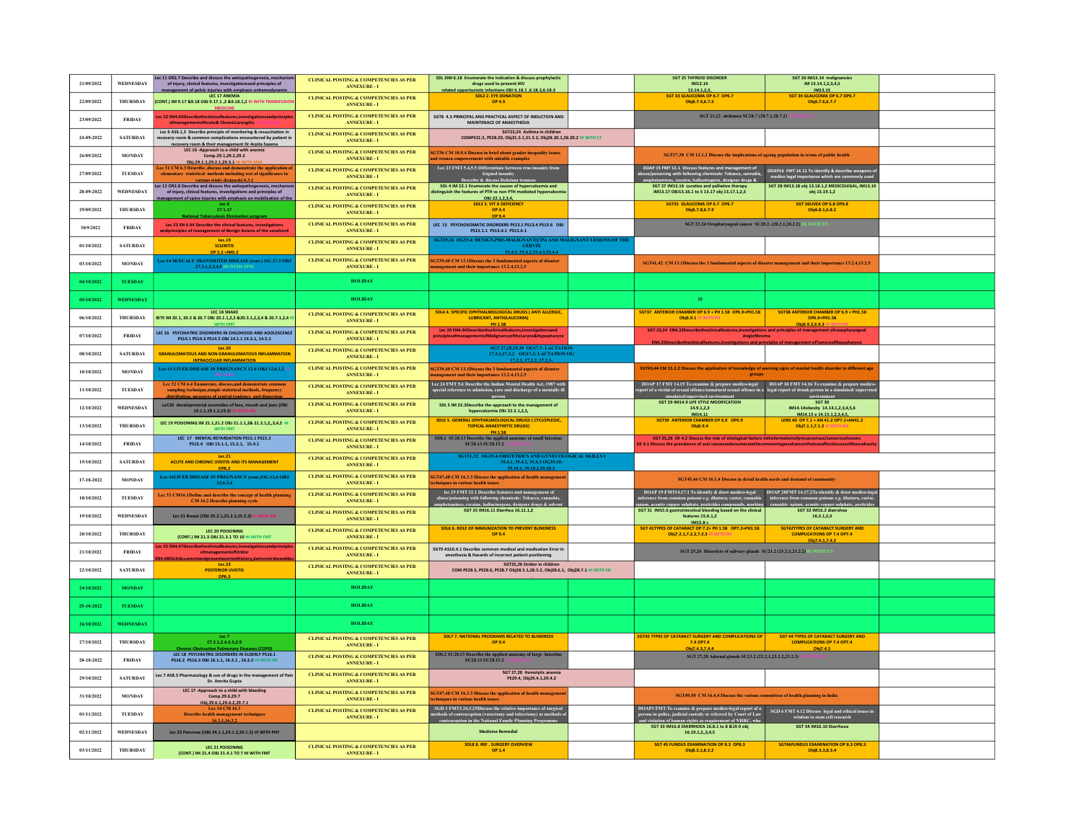| 21/09/2022 | WEDNESDAY        | Lec 11 OR2.7 Describe and discuss the aetiopathogenesis, mechanis<br>of injury, clinical features, investigationsand principles of                                                                            | <b>CLINICAL POSTING &amp; COMPETENCIES AS PER</b><br><b>ANNEXURE - I</b> | SDL 3IM 6.18 Enumerate the indication & discuss prophylactic<br>drugs used to prevent HIV                                                                                                    | <b>SGT 25 THYROID DISORDER</b><br>IM12.14                                                                                                                                                                                                                                                                                                 | SGT 26 IM13.14 malignancies<br>IM 13.14.1,2,3,4,5                                                |  |
|------------|------------------|---------------------------------------------------------------------------------------------------------------------------------------------------------------------------------------------------------------|--------------------------------------------------------------------------|----------------------------------------------------------------------------------------------------------------------------------------------------------------------------------------------|-------------------------------------------------------------------------------------------------------------------------------------------------------------------------------------------------------------------------------------------------------------------------------------------------------------------------------------------|--------------------------------------------------------------------------------------------------|--|
| 22/09/2022 | <b>THURSDAY</b>  | management of pelvic iniuries with emphasis onhemodynamic<br>LEC 17 ANEMIA<br>(CONT.) IM 9.17 &9.18 OBJ 9.17.1 ,2 &9.18.1,2 VI WITH TRANSFUSI                                                                 | <b>CLINICAL POSTING &amp; COMPETENCIES AS PER</b><br><b>ANNEXURE-I</b>   | related opportunistic infections OBJ 6.18.1 .6.18.2.6.18.3<br><b>SDL2 2. EYE DONATION</b><br>OP 4.9                                                                                          | 12.14.1.2.3.<br>SGT 33 GLAUCOMA OP 6.7 OP6.7<br>Obi6.7.4.6.7.5                                                                                                                                                                                                                                                                            | IM13.15<br>SGT 34 GLAUCOMA OP 6.7 OP6.7<br>Obi6.7.6.6.7.7                                        |  |
| 23/09/2022 | <b>FRIDAY</b>    | ec 22 EN4.43Describetheclinicalfeatures,investigationsandprinciple<br>ofmanagementofAcute& ChronicLaryngitis                                                                                                  | <b>CLINICAL POSTING &amp; COMPETENCIES AS PER</b><br><b>ANNEXURE - I</b> | SGT8 4.3 PRINCIPAL AND PRACTICAL ASPECT OF INDUCTION AND<br>MAINTENACE OF ANAESTHESIA                                                                                                        | SGT 21,22 abdomen SU28.7 (28.7.1,28.7.2)                                                                                                                                                                                                                                                                                                  |                                                                                                  |  |
| 24-09-2022 | <b>SATURDAY</b>  | Lec 6 AS6.1,3 Describe principle of monitoring & resuscitation in<br>recovery room & common complications encountered by patient in                                                                           | <b>CLINICAL POSTING &amp; COMPETENCIES AS PER</b><br><b>ANNEXURE - I</b> | SGT23,24 Asthma in children<br>COMPE31.5, PE28.20, Obj31.5.1,31.5.2, Obj28.20.1,28.20.2 HI WITH CT                                                                                           |                                                                                                                                                                                                                                                                                                                                           |                                                                                                  |  |
| 26/09/2022 | <b>MONDAY</b>    | recovery room & their management Dr Aroita Saxena<br>LEC 16 -Approach to a child with anemia<br>Comp.29.1,29.2,29.3                                                                                           | <b>CLINICAL POSTING &amp; COMPETENCIES AS PER</b><br><b>ANNEXURE - I</b> | SGT36 CM 10.9.4 Discuss in brief about gender inequality issues<br>d women empowerment with suitable examples                                                                                | SGT37,38 CM 12.1.2 Discuss the implications of ageing population in terms of public health                                                                                                                                                                                                                                                |                                                                                                  |  |
| 27/09/2022 | TUESDAY          | Obi.29.1.1.29.2.1.29.3.1 HI WITH SPM<br>ce 31 CM 6.3 Describe discuss and demonstrate the application of<br>elementary statistical methods including test of significance in<br>various study designobj 6.3.1 | <b>CLINICAL POSTING &amp; COMPETENCIES AS PER</b><br><b>ANNEXURE - I</b> | Lee 23 FMT 5.4,5.5 Differentiate between true insanity from<br>feigned insanity<br>Describe & discuss Delirium tren                                                                          | DOAP 15 FMT 12.1 Discuss features and management of<br>buse/poisoning with following chemicals: Tobacco, cannabis,                                                                                                                                                                                                                        | DOAP16 FMT 14.11 To identify & describe weapons o<br>medico legal importance which are comm      |  |
| 28-09-2022 | WEDNESDAY        | ec 12 OR2.8 Describe and discuss the aetiopathogenesis, mechanis<br>of injury, clinical features, investigations and principles of                                                                            | <b>CLINICAL POSTING &amp; COMPETENCIES AS PER</b><br><b>ANNEXURE - I</b> | SDL 4 IM 22.1 Enumerate the causes of hypercalcemia and<br>distinguish the features of PTH vs non PTH mediated hypercalcemia                                                                 | es, cocaine, hallucinogens, designer drugs &<br>SGT 27 IM13.16 curative and palliative therapy<br>IM13.17 OBJ13.16.1 to 5 13.17 obj 13.17.1,2,3                                                                                                                                                                                           | SGT 28 IM13.18 obj 13.18.1,2 MEDICOLEGAL, IM13.19<br>obj 13.19.1,2                               |  |
| 29/09/2022 | <b>THURSDAY</b>  | nagement of spine injuries with emphasis on mobilization of the<br>CT 1.17                                                                                                                                    | <b>CLINICAL POSTING &amp; COMPETENCIES AS PER</b><br><b>ANNEXURE - I</b> | OBJ 22.1.2.3.4.<br><b>SDL3 3. VIT A DEFICIENCY</b><br><b>OP 4.4</b>                                                                                                                          | SGT35 GLAUCOMA OP 6.7 OP6.7<br>Obi6.7.8.6.7.9                                                                                                                                                                                                                                                                                             | <b>SGT 36UVEA OP 6.8 OP6.8</b><br>Obi6.8.1.6.8.2                                                 |  |
| 30/9/2022  | <b>FRIDAY</b>    | <b>National Tuberculosis Elimination program</b><br>Lec 23 EN 4.44 Describe the clinical features, investigations<br>andprinciples of management of Benign lesions of the vocalcord                           | <b>CLINICAL POSTING &amp; COMPETENCIES AS PER ANNEXURE - I</b>           | OP 9.4<br>LEC 15 PSYCHOSOMATIC DISORDERS PS13.1 PS13.4 PS13.6 OBJ<br>PS13.1.1 PS13.4.1 PS13.6.1                                                                                              | SGT 23,24 Oropharyngeal cancer SU20.2. (20.2.1,20.2.2) HI WITH EN                                                                                                                                                                                                                                                                         |                                                                                                  |  |
| 01/10/2022 | <b>SATURDAY</b>  | Let.19<br><b>SCLERITIS</b>                                                                                                                                                                                    | <b>CLINICAL POSTING &amp; COMPETENCIES AS PER</b><br><b>ANNEXURE - I</b> | SGT25,26 OG33.4: BENIGN,PRE-MALIGNANT(CIN) AND MALIGNANT LESIONS OF THE<br><b>CERVIX</b>                                                                                                     |                                                                                                                                                                                                                                                                                                                                           |                                                                                                  |  |
| 03/10/2022 | <b>MONDAY</b>    | OP 5.2 +IM5.2<br>Lec-14 SEXUALY TRANSMITED DISEASE (cont.) OG 27.3 OBJ<br>27.3.1.2.3.4.5 HI WITH                                                                                                              | <b>CLINICAL POSTING &amp; COMPETENCIES AS PER</b><br><b>ANNEXURE - I</b> | 33.4.1, 33.4.2, 33.4.3, 33.4.4<br>SGT39,40 CM 13.1Discuss the 3 fundamental aspects of disaster<br>management and their importance 13.2.4,13.2.5                                             | SGT41,42 CM 13.1Discuss the 3 fundamental aspects of disaster management and their importance 13.2.4,13.2.5                                                                                                                                                                                                                               |                                                                                                  |  |
| 04/10/2022 | TUESDAY          |                                                                                                                                                                                                               | <b>HOLIDAY</b>                                                           |                                                                                                                                                                                              |                                                                                                                                                                                                                                                                                                                                           |                                                                                                  |  |
| 05/10/2022 | <b>WEDNESDAY</b> |                                                                                                                                                                                                               | <b>HOLIDAY</b>                                                           |                                                                                                                                                                                              | 15 <sub>1</sub>                                                                                                                                                                                                                                                                                                                           |                                                                                                  |  |
| 06/10/2022 | THURSDAY         | LEC 18 SNAKE<br>BITE IM 20.1, 20.3 & 20.7 OBJ 20.1.1, 2, 3 & 20.3.1, 2, 3, 4 & 20.7.1, 2, 4<br><b>WITH FM</b>                                                                                                 | <b>CLINICAL POSTING &amp; COMPETENCIES AS PER</b><br><b>ANNEXURE - I</b> | SDL4 4. SPECIFIC OPHTHALMOLOGICAL DRUGS (ANTI ALLERGIC,<br>LUBRICANT, ANTIGLAUCOMA)                                                                                                          | SGT37 ANTERIOR CHAMBER OP 6.9 + PH 1.58 OP6.9+PH1.58<br>Obj6.9.1 VI WITH PH                                                                                                                                                                                                                                                               | SGT38 ANTERIOR CHAMBER OP 6.9 + PH1.58<br>OP6.9+PH1.58<br>Obi6.9.2.6.9.3 V                       |  |
| 07/10/2022 | <b>FRIDAY</b>    | LEC 16 PSYCHIATRIC DISORDERS IN CHILDHOOD AND ADOLESCENC<br>PS14.1 PS14.3 PS14.5 OBJ 14.1.1 14.3.1, 14.5.1                                                                                                    | <b>CLINICAL POSTING &amp; COMPETENCIES AS PER</b><br><b>ANNEXURE - I</b> | PH 1.58<br>Lec 24 EN4.46Describetheclinicalfeatures,investigationsand<br>rinciplesofmanagementofMalignancyoftheLarynx&Hypopharynx                                                            | SGT 23,24 EN4.32Describetheclinicalfeatures, investigations and principles of management ofnasopharyngeal<br>Angiofibroma<br><b>EN4.35Describetheclinicalfeatures.investigations and principles of management ofTure</b>                                                                                                                  |                                                                                                  |  |
| 08/10/2022 | <b>SATURDAY</b>  | <b>GRANULOMATOUS AND NON GRANULOMATOUS INFLAMMATION</b><br>INTRAOCULAR INFLAMMATION                                                                                                                           | <b>CLINICAL POSTING &amp; COMPETENCIES AS PER</b><br><b>ANNEXURE-I</b>   | <b>SGT 27,28,29,30 OG17.3: LACTATION</b><br>17.3.1,17.3.2 OG17.2: LACTATION OG                                                                                                               |                                                                                                                                                                                                                                                                                                                                           |                                                                                                  |  |
| 10/10/2022 | <b>MONDAY</b>    | <b>Lee-15 LIVER DISEASE IN PREGNANCY 12.6 OBJ 12.6.1,2 V</b><br>WITH IM                                                                                                                                       | <b>CLINICAL POSTING &amp; COMPETENCIES AS PER</b><br><b>ANNEXURE - I</b> | GT39,40 CM 13.1Discuss the 3 fundamental aspects of disaster<br>nagement and their importance 13.2.4,13.2.5                                                                                  | SGT43,44 CM 15.2.2 Discuss the application of knowledge of warning signs of mental health disorder in different age<br>eroups                                                                                                                                                                                                             |                                                                                                  |  |
| 11/10/2022 | TUESDAY          | Lee 32 CM 6.4 Enumerate, discuss, and demonstrate common<br>sampling technique, simple statistical methods, frequency<br>tribution, measures of central tendency and dispersi                                 | <b>CLINICAL POSTING &amp; COMPETENCIES AS PER</b><br><b>ANNEXURE - I</b> | Lee 24 FMT 5.6 Describe the Indian Mental Health Act, 1987 with<br>pecial reference to admission, care and discharge of a mentally ill<br><b>DECEMBER</b>                                    | DOAP 17 FMT 14.15 To examine & prepare medico-legal DOAP 18 FMT 14.16 To examine & prepare medico-<br>sport of a victim of secural offence in a legal report of drunk person in a simulated/supervised<br>simulated/supervised                                                                                                            |                                                                                                  |  |
| 12/10/2022 | WEDNESDAY        | LeC20 developmental anomalies of face, mouth and jaws (OBJ<br>19.1.1.19.1.2.19.2) VI                                                                                                                          | <b>CLINICAL POSTING &amp; COMPETENCIES AS PER ANNEXURE - I</b>           | SDL 5 IM 22.3Describe the approach to the management of<br>hypercalcemia OBJ 22.3.1.2.3.                                                                                                     | SGT 29 IM14.9 LIFE STYLE MODIFICATION<br>14.9.1,2,3<br>IM14.11                                                                                                                                                                                                                                                                            | 56730<br>IM14.14obesity 14.14.1,2,3,4,5,6<br>IM14.15 e 14.15.1.2.3.4.5.                          |  |
| 13/10/2022 | THURSDAY         | LEC 19 POISONING IM 21.1,21.2 OBJ 21.1.1,2& 21.2.1,2,,3,4,5 H<br><b>WITH FMT</b>                                                                                                                              | <b>CLINICAL POSTING &amp; COMPETENCIES AS PER</b><br><b>ANNEXURE - I</b> | SDLS 5. GENERAL OPHTHALMOLOGICAL DRUGS ( CYCLOPLEGIC,<br><b>TOPICAL ANAESTHETIC DRUGS)</b>                                                                                                   | SGT39 ANTERIOR CHAMBER OP 6.9 OP6.9<br>Obj6.9.4                                                                                                                                                                                                                                                                                           | LENS 40 OP 7.1 + AN 41.2 OP7.1+AN41.2<br>Obj7.1.1,7.1.2 VI WITH AN                               |  |
| 14/10/2022 | <b>FRIDAY</b>    | LEC 17 MENTAL RETARDATION PS15.1 PS15.2<br>PS15.4 OBJ 15.1.1, 15.2.1, 15.4.1                                                                                                                                  | <b>CLINICAL POSTING &amp; COMPETENCIES AS PER</b><br><b>ANNEXURE - I</b> | <b>PH 1.58</b><br>SDL1 SU28.13 Describe the applied anatomy of small Intestine<br>SU28.13.SU28.13.2 V4 WIHLAN                                                                                | SGT 25,26 DE 4.2 Discuss the role of etiological factors intheformationofprecancerous/cancerouslesions<br>DE 4.1 Discuss the prevalence of oral cancerandenumeratethecommontypesofcancerthatcanaffecttissuesoftheoral                                                                                                                     |                                                                                                  |  |
| 15/10/2022 | <b>SATURDAY</b>  | Let.21<br><b>ACUTE AND CHRONIC UVEITIS AND ITS MANAGEMENT</b><br>OP6.2                                                                                                                                        | <b>CLINICAL POSTING &amp; COMPETENCIES AS PER</b><br><b>ANNEXURE - I</b> | SGT31.32 OG35.4:OBSTETRICS AND GYNECOLOGICAL SKILLS I<br>35.4.1, 35.4.2, 35.4.3 OG35.10:<br>5.10.1.35.10.2.35.10.3                                                                           |                                                                                                                                                                                                                                                                                                                                           |                                                                                                  |  |
| 17-10-2022 | <b>MONDAY</b>    | Lee-16LIVER DISEASE IN PREGNANCY (cont.) OG 12.6 OBJ<br>12.63.4                                                                                                                                               | <b>CLINICAL POSTING &amp; COMPETENCIES AS PER</b><br><b>ANNEXURE - I</b> | GT47,48 CM 16.3.3 Discuss the application of health management<br>iniques in various health issues                                                                                           | SGT45.46 CM 16.1.4 Discuss in detail health needs and demand of community                                                                                                                                                                                                                                                                 |                                                                                                  |  |
| 18/10/2022 | TUESDAY          | Lec 33 CM16.1Define and describe the concept of health planning<br>CM 16.2 Describe planning cycle                                                                                                            | <b>CLINICAL POSTING &amp; COMPETENCIES AS PER</b><br><b>ANNEXURE - I</b> | lee 25 FMT 12.1 Describe features and management of<br>buse/poisoning with following chemicals: Tobacco, cannabis,<br>inhetamines. cocaine. hallucinozens. designer drugs & solvent          | DOAP 19 FMT14.17.1 To identify & draw medico-legal DOAP 20FMT 14.17.2To identify & draw medico-legal<br>inference from common poisons e.g. dhatura, castor, e annabis inference from common poisons e.g. dhatura, casto<br>nium. aconite conner sulnhate. nesticides comnounds. marking cannabis onium. aconite conner sulnhate. nesticid |                                                                                                  |  |
| 19/10/2022 | <b>WEDNESDAY</b> | Lec 21 Breast (OBL25.2.1.25.2.2.25.2.3) \                                                                                                                                                                     | <b>CLINICAL POSTING &amp; COMPETENCIES AS PER</b><br><b>ANNEXURE - I</b> | SGT 35 IM16.11 Diarrhea 16.11.1,2                                                                                                                                                            | SGT 31 IM15.6 gastrointestinal bleeding based on the clinical<br>features 15.6.1.2<br>IM15.8 s                                                                                                                                                                                                                                            | SGT 32 IM16.2 diarrohea<br>16.2.1.2.3                                                            |  |
| 20/10/2022 | <b>THURSDAY</b>  | LEC 20 POISONING<br>(CONT.) IM 21.3 OBJ 21.3.1 TO 10 HI WITH FMT                                                                                                                                              | <b>CLINICAL POSTING &amp; COMPETENCIES AS PER</b><br><b>ANNEXTRE-T</b>   | <b>SDL6 6. ROLE OF IMMUNIZATION TO PREVENT BLINDNESS</b><br>OP 9.4                                                                                                                           | SGT 41TYPES OF CATARACT OP 7.2+ PH 1.58 OP7.2+PH1.58<br>Obi7.2.1.7.2.2.7.2.3 VI WITH PH                                                                                                                                                                                                                                                   | <b>SGT42TYPES OF CATARACT SURGERY AND</b><br><b>COMPLICATIONS OP 7.4 OP7.4</b><br>Ohi7.4.1.7.4.2 |  |
| 21/10/2022 | <b>FRIDAY</b>    | ec 25 EN4.47Describetheclinicalfeatures,investigationsandprincipl<br>ofmanagementofStridor<br>4.48Elicitdocumentandoresentacorrecthistory.de                                                                  | <b>CLINICAL POSTING &amp; COMPETENCIES AS PER</b><br><b>ANNEXURE - I</b> | SGT9 AS10.4.1 Describe common medical and medication Error in<br>anesthesia & Hazards of incorrect patient positioning                                                                       | SGT 25,26 Disorders of salivary glands SU21.2 (21.2.1,21.2.2) HI                                                                                                                                                                                                                                                                          |                                                                                                  |  |
| 22/10/2022 | <b>SATURDAY</b>  | Let 22<br><b>POSTERIOR UVEITIS</b><br>OP6.3                                                                                                                                                                   | <b>CLINICAL POSTING &amp; COMPETENCIES AS PER</b><br><b>ANNEXURE - I</b> | SGT25.26 Stridor in children<br>COM PE28.5, PE28.6, PE28.7 Obi28.5.1.28.5.2, Obi28.6.1, Obi28.7.1 HI WITH EN                                                                                 |                                                                                                                                                                                                                                                                                                                                           |                                                                                                  |  |
| 24/10/2022 | <b>MONDAY</b>    |                                                                                                                                                                                                               | <b>HOLIDAY</b>                                                           |                                                                                                                                                                                              |                                                                                                                                                                                                                                                                                                                                           |                                                                                                  |  |
| 25-10-2022 | TUESDAY          |                                                                                                                                                                                                               | <b>HOLIDAY</b>                                                           |                                                                                                                                                                                              |                                                                                                                                                                                                                                                                                                                                           |                                                                                                  |  |
| 26/10/2022 | WEDNESDAY        |                                                                                                                                                                                                               | <b>HOLIDAY</b>                                                           |                                                                                                                                                                                              |                                                                                                                                                                                                                                                                                                                                           |                                                                                                  |  |
| 27/10/2022 | <b>THURSDAY</b>  | Lec <sub>7</sub><br>CT 2.1, 2.4. 2.5, 2.9<br>Chronic Obstructive Pulmonary Diseases (COPD)<br>LEC 18 PSYCHIATRIC DISORDERS IN ELDERLY PS16.1                                                                  | <b>CLINICAL POSTING &amp; COMPETENCIES AS PER</b><br><b>ANNEXURE-I</b>   | <b>SDL7 7. NATIONAL PROGRAMS RELATED TO BLINDNESS</b><br>OP 9.4                                                                                                                              | <b>SGT43 TYPES OF CATARACT SURGERY AND COMPLICATIONS OF</b><br>7.4 OP7.4<br>Obi7.4.3.7.4.4                                                                                                                                                                                                                                                | <b>SGT 44 TYPES OF CATARACT SURGERY AND</b><br><b>COMPLICATIONS OP 7.4 OP7.4</b><br>Obi7.4.5     |  |
| 28-10-2022 | <b>FRIDAY</b>    | PS16.2 PS16.3 OBJ 16.1.1, 16.3.1, 16.3.2 HI WITH IM                                                                                                                                                           | <b>CLINICAL POSTING &amp; COMPETENCIES AS PER</b><br><b>ANNEXURE - I</b> | SDL2 SU28.13 Describe the applied anatomy of large Intestine<br>SU28.13.SU28.13.2                                                                                                            | SGT 27,28 Adrenal glands SU23.2 (23.2.1,23.2.2,23.2.3)                                                                                                                                                                                                                                                                                    |                                                                                                  |  |
| 29/10/2022 | <b>SATURDAY</b>  | Lec 7 AS8.3 Pharmacology & use of drugs in the management of Pain<br>Dr. Amrita Gupta                                                                                                                         | CLINICAL POSTING & COMPETENCIES AS PER<br><b>ANNEXURE - I</b>            | SGT 27,28 Hemolytic anemia<br>PE29.4. Obi29.4.1.29.4.2                                                                                                                                       |                                                                                                                                                                                                                                                                                                                                           |                                                                                                  |  |
| 31/10/2022 | <b>MONDAY</b>    | LEC 17 -Approach to a child with bleeding<br>Comp.29.6.29.7<br>Obi.29.6.1.29.6.2.29.7.1                                                                                                                       | <b>CLINICAL POSTING &amp; COMPETENCIES AS PER</b><br><b>ANNEXURE - I</b> | GT47,48 CM 16.3.3 Discuss the application of health management<br>iniques in various health issues                                                                                           | SGT49,50 CM 16.4.4 Discuss the various committees of health planning in India                                                                                                                                                                                                                                                             |                                                                                                  |  |
| 01/11/2022 | TUESDAY          | Lee 34 CM 16.3<br><b>Describe health management techniques</b><br>163.1.163.2                                                                                                                                 | <b>CLINICAL POSTING &amp; COMPETENCIES AS PER</b><br><b>ANNEXURE - I</b> | SGD 1 FMT3.24,3.25Discuss the relative importance of surgical<br>nethods of contraception (vasectomy and tubectomy) as methods of<br>contraception in the National Family Planning Programme | DOAP3 FMT To examine & prepare medico-legal report of a<br>person in police, judicial custody or referred by Court of Law<br>and violation of human rights as requirement of NHRC, who                                                                                                                                                    | SGD 6 FMT 4.12 Discuss legal and ethical issues in<br>relation to stem cell research             |  |
| 02/11/2022 | WEDNESDAY        | Lec 22 Pancreas (OBJ 24.1.1,24.1.2,24.1.3) VI WITH PHY                                                                                                                                                        |                                                                          | Medicine Remedial                                                                                                                                                                            | SGT 33 IM16.8 DIARRHOEA 16.8.1 to 8 &19.9 obj<br>16.19.1.2.3.4.5                                                                                                                                                                                                                                                                          | SGT 34 IM16.10 Diarrhoea                                                                         |  |
| 03/11/2022 | THURSDAY         | LEC 21 POISONING<br>(CONT.) IM 21.4 OBJ 21.4.1 TO 7 HI WITH FMT                                                                                                                                               | CLINICAL POSTING & COMPETENCIES AS PER<br>ANNEXURE - I                   | <b>SDL8 8. REF. SURGERY OVERVIEW</b><br>OP 1.4                                                                                                                                               | SGT 45 FUNDUS EXAMINATION OP 8.3 OP8.3<br>Obj8.3.1,8.3.2                                                                                                                                                                                                                                                                                  | <b>SGT46FUNDUS EXAMINATION OP 8.3 OP8.3</b><br>Obj8.3.3,8.3.4                                    |  |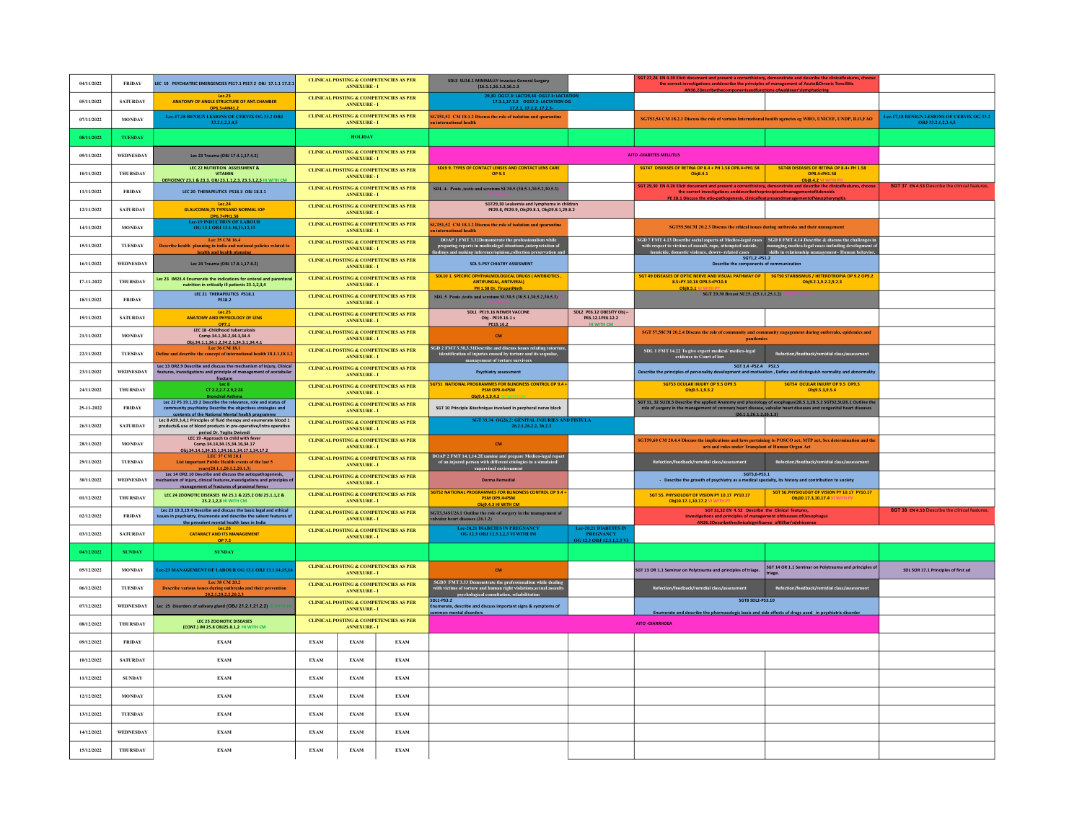| 04/11/2022 | <b>FRIDAY</b>    | LEC 19 PSYCHIATRIC EMERGENCIES PS17.1 PS17.2 OBJ 17.1.1 17.2.1                                                                                                                                                         |             | <b>ANNEXURE - I</b> | <b>CLINICAL POSTING &amp; COMPETENCIES AS PER</b> | <b>SDL3 SU16.1 MINIMALLY invasive General Surgery</b><br>(16.1.1, 16.1.2, 16.1.3)                                                                                                        |                                                                              | SGT 27,28 EN 4.39 Elicit document and present a correcthistory, demonstrate and describe the clinicalfeatures, cho<br>the correct investigations and<br>describe the principles of management of Acute&Chronic Tonsillitis<br>AMPC 2December to                     |                                                                            |                                                                         |
|------------|------------------|------------------------------------------------------------------------------------------------------------------------------------------------------------------------------------------------------------------------|-------------|---------------------|---------------------------------------------------|------------------------------------------------------------------------------------------------------------------------------------------------------------------------------------------|------------------------------------------------------------------------------|---------------------------------------------------------------------------------------------------------------------------------------------------------------------------------------------------------------------------------------------------------------------|----------------------------------------------------------------------------|-------------------------------------------------------------------------|
| 05/11/2022 | <b>SATURDAY</b>  | Lec.23<br><b>ANATOMY OF ANGLE STRUCTURE OF ANT.CHAMBER</b><br>OP6.5+AN41.2                                                                                                                                             |             | <b>ANNEXURE-I</b>   | <b>CLINICAL POSTING &amp; COMPETENCIES AS PER</b> | 29,30 OG17.3: LACT29,30 OG17.3: LACTAT<br>17.3.1,17.3.2    0617.2: LACTATION OG                                                                                                          |                                                                              |                                                                                                                                                                                                                                                                     |                                                                            |                                                                         |
| 07/11/2022 | <b>MONDAY</b>    | Lee-17.18 BENIGN LESIONS OF CERVIX OG 33.2 OBJ<br>33.2.1.2.3.4.5                                                                                                                                                       |             | <b>ANNEXURE - I</b> | <b>CLINICAL POSTING &amp; COMPETENCIES AS PER</b> | SGT51,52 CM 18.1.2 Discuss the role of isolation and quarantine<br>international health                                                                                                  |                                                                              | SGT53,54 CM 18.2.1 Discuss the role of various International health agencies eg WHO, UNICEF, UNDP, ILO,FAO                                                                                                                                                          |                                                                            | <b>Lee-17.18 BENIGN LESIONS OF CERVIX OG 33.2</b><br>OBJ 33.2.1.2.3.4.5 |
| 08/11/2022 | THESDAY          |                                                                                                                                                                                                                        |             | <b>HOLIDAY</b>      |                                                   |                                                                                                                                                                                          |                                                                              |                                                                                                                                                                                                                                                                     |                                                                            |                                                                         |
| 09/11/2022 | WEDNESDAY        | Lec 23 Trauma (OBJ 17.4.1.17.4.2)                                                                                                                                                                                      |             | <b>ANNEXURE - I</b> | <b>CLINICAL POSTING &amp; COMPETENCIES AS PER</b> |                                                                                                                                                                                          |                                                                              | <b>AITO -DIABETES MELLITUS</b>                                                                                                                                                                                                                                      |                                                                            |                                                                         |
| 10/11/2022 | <b>THURSDAY</b>  | LEC 22 NUTRITION ASSESSMENT &<br><b>VITAMIN</b><br>DEFICIENCY 23.1 & 23.3, OBJ 23.1.1.2.3, 23.3.1.2.3 HI WITH CM                                                                                                       |             | <b>ANNEXURE - I</b> | <b>CLINICAL POSTING &amp; COMPETENCIES AS PER</b> | SDL9 9. TYPES OF CONTACT LENSES AND CONTACT LENS CARE<br>OP 9.3                                                                                                                          |                                                                              | SGT47 DISEASES OF RETINA OP 8.4 + PH 1.58 OP8.4+PH1.58<br>Obj8.4.1                                                                                                                                                                                                  | SGT48 DISEASES OF RETINA OP 8.4+ PH 1.58<br>OP8.4+PH1.58<br>Obi8.4.2       |                                                                         |
| 11/11/2022 | <b>FRIDAY</b>    | LEC 20 THERAPEUTICS PS18.3 OBJ 18.3.1                                                                                                                                                                                  |             | <b>ANNEXURE - I</b> | <b>CLINICAL POSTING &amp; COMPETENCIES AS PER</b> | SDL 4- Penis ,testis and scrotum SU30.5 (30.5.1,30.5.2,30.5.3)                                                                                                                           |                                                                              | SGT 29,30 EN 4.26 Elicit document and present a correcthistory, demonstrate and describe the clinicalfeatures, choose<br>the correct investigations and describe the principles of management of Adenoids<br>PE 28.1 Discuss the etio-pathogenesis, clinicalfe      |                                                                            | SGT 37 EN 4.53 Describe the clinical feature                            |
| 12/11/2022 | <b>SATURDAY</b>  | Lec.24<br><b>GLAUCOMAI,TS TYPESAND NORMAL IOP</b>                                                                                                                                                                      |             | <b>ANNEXURE - I</b> | <b>CLINICAL POSTING &amp; COMPETENCIES AS PER</b> | SGT29,30 Leukemia and lymphoma in childrer<br>PE29.8, PE29.9, Obj29.8.1, Obj29.8.1,29.8.2                                                                                                |                                                                              |                                                                                                                                                                                                                                                                     |                                                                            |                                                                         |
| 14/11/2022 | <b>MONDAY</b>    | OP6.7+PH1.58<br>-19 INDUCTION OF LABOUR<br>OG 13.1 OBJ 13.1.10,11,12,13                                                                                                                                                |             | <b>ANNEXURE - I</b> | <b>CLINICAL POSTING &amp; COMPETENCIES AS PER</b> | SGT51,52 CM 18.1.2 Discuss the role of isolation and quarantine<br>international health                                                                                                  |                                                                              | SGT55,56CM 20.2.3 Discuss the ethical issues during outbreaks and their management                                                                                                                                                                                  |                                                                            |                                                                         |
| 15/11/2022 | TUESDAY          | Lee 35 CM 16.4<br>Describe health planning in india and national policies related to<br>health and health plannin                                                                                                      |             | <b>ANNEXURE - I</b> | <b>CLINICAL POSTING &amp; COMPETENCIES AS PER</b> | DOAP 1 FMT 3.32Demonstrate the professionalism while<br>preparing reports in medicolegal situations ,interpretation of<br>ndines and makine inference/oninion.collection preservation an |                                                                              | $\rm SGD$ 7 FMT 4.13 Describe social aspects of Medico-legal cases $\sim$ SGD 8 FMT 4.14 Describe & discuss the challenges in with respect to victims of assault, rape, attempted suicide, and magging medico-legal cases including                                 |                                                                            |                                                                         |
| 16/11/2022 | WEDNESDAY        | Lec 24 Trauma (OBJ 17.8.1,17.8.2)                                                                                                                                                                                      |             | <b>ANNEXURE - I</b> | <b>CLINICAL POSTING &amp; COMPETENCIES AS PER</b> | SDL 5-PSY CHIATRY ASSESMENT                                                                                                                                                              |                                                                              | SGT1,2 -PS1.2<br>Describe the components of communication                                                                                                                                                                                                           |                                                                            |                                                                         |
| 17-11-2022 | <b>THURSDAY</b>  | Lec 23 IM23.4 Enumerate the indications for enteral and parenteral<br>nutrition in critically ill patients 23.1,2,3,4                                                                                                  |             | <b>ANNEXURE - I</b> | CLINICAL POSTING & COMPETENCIES AS PER            | SDL10 1. SPECIFIC OPHTHALMOLOGICAL DRUGS ( ANTIBIOTICS ,<br><b>ANTIFUNGAL, ANTIVIRAL)</b><br>PH 1.58 Dr. TirupatiNath                                                                    |                                                                              | SGT 49 DISEASES OF OPTIC NERVE AND VISUAL PATHWAY OP   SGT50 STARBISMUS / HETEROTROPIA OP 9.2 OP9.2<br>8.5+PY 10.18 OP8.5+PY10.8                                                                                                                                    | Obj9.2.1,9.2.2,9.2.3                                                       |                                                                         |
| 18/11/2022 | <b>FRIDAY</b>    | LEC 21 THERAPEUTICS PS18.1<br>PS18.2                                                                                                                                                                                   |             | <b>ANNEXURE - I</b> | <b>CLINICAL POSTING &amp; COMPETENCIES AS PER</b> | SDL 5 Penis ,testis and scrotum SU30.5 (30.5.1,30.5.2,30.5.3)                                                                                                                            |                                                                              | Obi8.5.1 VI WITH PY SGT 29,30 Breast SU25. (25.1.1,25.1.2)                                                                                                                                                                                                          |                                                                            |                                                                         |
| 19/11/2022 | <b>SATURDAY</b>  | Let.25<br>ANATOMY AND PHYSIOLOGY OF LENS<br>OP7.1                                                                                                                                                                      |             | <b>ANNEXURE - I</b> | CLINICAL POSTING & COMPETENCIES AS PER            | SDL1 PE19.16 NEWER VACCINE<br>Obi - PE19.16.1 s<br>PE19.16.2                                                                                                                             | SDL2 PE6.12 OBESITY Obj -<br>PE6.12.1PE6.12.2<br><b>HI WITH CM</b>           |                                                                                                                                                                                                                                                                     |                                                                            |                                                                         |
| 21/11/2022 | <b>MONDAY</b>    | <b>IFC 18 -Childhood tuberculosis</b><br>Comp.34.1,34.2,34.3,34.4<br>Obi.34.1.1.34.1.2.34.2.1.34.3.1.34.4.1                                                                                                            |             | <b>ANNEXURE - I</b> | <b>CLINICAL POSTING &amp; COMPETENCIES AS PER</b> | CM                                                                                                                                                                                       |                                                                              | SGT 57,58CM 20.2.4 Discuss the role of community and community engagement during outbreaks, epidemics and<br><b>pandemics</b>                                                                                                                                       |                                                                            |                                                                         |
| 22/11/2022 | TUESDAY          | Lee 36 CM 18.1<br>Define and describe the concept of international health 18.1.1,18.1.2                                                                                                                                |             | <b>ANNEXURE - I</b> | <b>CLINICAL POSTING &amp; COMPETENCIES AS PER</b> | SGD 2 FMT 3.30,3.31 Describe and discuss issues relating totortuidentification of injuries caused by torture and its sequalae,<br>gement of torture survivors                            |                                                                              | SDL 1 FMT 14.22 To give expert medical/ medico-legal<br>evidence in Court of law                                                                                                                                                                                    | Refection/feedback/remidial class/ass                                      |                                                                         |
| 23/11/2022 | WEDNESDAY        | Lec 13 OR2.9 Describe and discuss the mechanism of injury, Clinical<br>features, investigations and principle of management of acetabular<br>fracture                                                                  |             | <b>ANNEXURE - I</b> | <b>CLINICAL POSTING &amp; COMPETENCIES AS PER</b> | <b>Psychiatry assessment</b>                                                                                                                                                             |                                                                              | SGT 3,4 -PS2.4 PS2.5<br>Describe the principles of personality development and motivation, Define and distinguish normality and abnormality                                                                                                                         |                                                                            |                                                                         |
| 24/11/2022 | <b>THURSDAY</b>  | Lec <sub>8</sub><br>CT 2.2, 2.7. 2.9, 2.28                                                                                                                                                                             |             | <b>ANNEXURE - I</b> | <b>CLINICAL POSTING &amp; COMPETENCIES AS PER</b> | <b>GT51 NATIONAL PROGRAMMES FOR BLINDNESS CONTROL OP 9.4</b><br>PSM OP9.4+PSM<br>Ohi9.4.1.9.4.2                                                                                          |                                                                              | SGT53 OCULAR INJURY OP 9.5 OP9.5<br>Obj9.5.1,9.5.2                                                                                                                                                                                                                  | SGT54 OCULAR INJURY OP 9.5 OP9.5<br>Obj9.5.3,9.5.4                         |                                                                         |
| 25-11-2022 | <b>FRIDAY</b>    | Bronchial Asthma<br>Lec 22 PS 19.1,19.2 Describe the relevance, role and status of<br>community psychiatry Describe the objectives strategies and                                                                      |             | <b>ANNEXURE - I</b> | <b>CLINICAL POSTING &amp; COMPETENCIES AS PER</b> | SGT 10 Principle &technique involved in perpheral nerve block                                                                                                                            |                                                                              | SGT 31, 32 SU28.5 Describe the applied Anatomy and physiology of esophagus(28.5.1,28.5.2 SGT32,SU26.1 Outline the<br>role of surgery in the management of coronary heart disease, valvular heart diseases and congenital heart di<br>(26, 1, 1, 26, 1, 2, 26, 1, 3) |                                                                            |                                                                         |
| 26/11/2022 | <b>SATURDAY</b>  | contents of the National Mental health programme<br>Lec 8 AS9.3,4,1 Principles of fluid therapy and enumerate blood 1<br>products& use of blood products in pre-operative/intra operative<br>period Dr. Yogita Dwivedi |             | <b>ANNEXURE - I</b> | CLINICAL POSTING & COMPETENCIES AS PER            | SGT 33,34 OG26.2: GENITAL INJURIES AND FISTULA<br>26.2.1.26.2.2, 26.2.3                                                                                                                  |                                                                              |                                                                                                                                                                                                                                                                     |                                                                            |                                                                         |
| 28/11/2022 | <b>MONDAY</b>    | LEC 19 -Approach to child with fever<br>Comp.34.14.34.15.34.16.34.17<br>Obi.34.14.1.34.15.1.34.16.1.34.17.1.34.17.2                                                                                                    |             | <b>ANNEXURE - I</b> | <b>CLINICAL POSTING &amp; COMPETENCIES AS PER</b> | <b>CM</b>                                                                                                                                                                                |                                                                              | SGT59,60 CM 20.4.4 Discuss the implications and laws pertaining to POSCO act, MTP act, Sex determination and the<br>acts and rules under Transplant of Human Organ Ac                                                                                               |                                                                            |                                                                         |
| 29/11/2022 | TUESDAY          | List important Public Health events of the last 5<br>vears(20.1.1.20.1.2.20.1.3)                                                                                                                                       |             | <b>ANNEXURE-I</b>   | <b>CLINICAL POSTING &amp; COMPETENCIES AS PER</b> | $\frac{1}{100}$ DOAP 2 FMT 14.1,14.2<br>Examine and prepare Medico-legal repo<br>of an injured person with different etiologies in a simulated/                                          |                                                                              | Refection/feedback/remidial class/assessment                                                                                                                                                                                                                        | Refection/feedback/remidial class/assessment                               |                                                                         |
| 30/11/2022 | WEDNESDAY        | Lec 14 OR2.10 Describe and discuss the aetiopathogenesis,<br>chanism of injury, clinical features, investigations and principles of<br>management of fractures of proximal femur                                       |             | <b>ANNEXURE - I</b> | <b>CLINICAL POSTING &amp; COMPETENCIES AS PER</b> | <b>Derma Remedial</b>                                                                                                                                                                    |                                                                              | SGT5,6-PS3.1<br>- Describe the growth of psychiatry as a medical specialty, its history and contribution to society                                                                                                                                                 |                                                                            |                                                                         |
| 01/12/2022 | THURSDAY         | LEC 24 ZOONOTIC DISEASES IM 25.1 & 225.2 OBJ 25.1.1,2 &<br>25.2.1.2.3 HI WITH CM                                                                                                                                       |             | <b>ANNEXURE-I</b>   | <b>CLINICAL POSTING &amp; COMPETENCIES AS PER</b> | <b>GT52 NATIONAL PROGRAMMES FOR BLINDNESS CONTROL OP 9.4 -</b><br>PSM OP9.4+PSM<br>Obi9.4.3 HI WITH CM                                                                                   |                                                                              | SGT 55. PHYSIOLOGY OF VISION PY 10.17 PY10.17<br>Obi10.17.1.10.17.2 VI                                                                                                                                                                                              | SGT 56.PHYSIOLOGY OF VISION PY 10.17 PY10.17<br>Obj10.17.3,10.17.4 VI WITH |                                                                         |
| 02/12/2022 | <b>FRIDAY</b>    | Lec 23 19.3.19.4 Describe and discuss the basic legal and ethical<br>ssues in psychiatry, Enumerate and describe the salient features of<br>the prevalent mental health laws in India                                  |             | <b>ANNEXURE - I</b> | <b>CLINICAL POSTING &amp; COMPETENCIES AS PER</b> | SGT3,34SU26.1 Outline the role of surgery in the management of<br>Ivular heart diseases (26.1.2)                                                                                         |                                                                              | SGT 31.32 EN 4.52 Describe the Clinical features.<br>Investigations and principles of management ofdiseases ofOesophagus                                                                                                                                            |                                                                            | SGT 38 EN 4.53 Describe the clinical feature                            |
| 03/12/2022 | <b>SATURDAY</b>  | Lec.26<br><b>CATARACT AND ITS MANAGEMENT</b><br>OP 7.2                                                                                                                                                                 |             | <b>ANNEXURE - I</b> | <b>CLINICAL POSTING &amp; COMPETENCIES AS PER</b> | <b>Lec-20.21 DIABETES IN PREGNANCY</b><br>OG 12.3 OBJ 12.3.1,2,3 VI WITH IM                                                                                                              | <b>Lec-20.21 DIABETES IN</b><br><b>PREGNANCY</b><br>OG 12.3 ORJ 12.3.1.2.3 V |                                                                                                                                                                                                                                                                     |                                                                            |                                                                         |
| 04/12/2022 | <b>SUNDAY</b>    | <b>SUNDAY</b>                                                                                                                                                                                                          |             |                     |                                                   |                                                                                                                                                                                          |                                                                              |                                                                                                                                                                                                                                                                     |                                                                            |                                                                         |
| 05/12/2022 | <b>MONDAY</b>    | ee-23 MANAGEMENT OF LABOUR OG 13.1 OBJ 13.1.14,15,1                                                                                                                                                                    |             | <b>ANNEXURE - I</b> | CLINICAL POSTING & COMPETENCIES AS PER            | CM                                                                                                                                                                                       |                                                                              | SGT 13 OR 1.1 Seminar on Polytrauma and principles of triage.                                                                                                                                                                                                       | SGT 14 OR 1.1 Seminar on Polytrauma and principles of<br>riage             | SDL 5OR 17.1 Principles of first ad                                     |
| 06/12/2022 | <b>TUESDAY</b>   | Lee 38 CM 20.2<br>Describe various issues during outbreaks and their prevention<br>20.2.1.20.2.2.20.2.3                                                                                                                |             | <b>ANNEXURE - I</b> | CLINICAL POSTING & COMPETENCIES AS PER            | SGD3 FMT 3.33 Demonstrate the professionalism while dealing<br>with victims of torture and human right violations,<br>sexual assaults<br>nsvehological consultation. rehabilitation      |                                                                              | Refection/feedback/remidial class/assessment                                                                                                                                                                                                                        | Refection/feedback/remidial class/assessment                               |                                                                         |
| 07/12/2022 | WEDNESDAY        | Lec 25 Disorders of salivary gland (OBJ 21.2.1,21.2.2)                                                                                                                                                                 |             | <b>ANNEXURE-I</b>   | <b>CLINICAL POSTING &amp; COMPETENCIES AS PER</b> | <b>SDL1-PS3.2</b><br>umerate, describe and discuss important signs & symptoms of<br>mon mental disorders                                                                                 |                                                                              | <b>SGT8 SDL2-PS3.10</b><br>Enumerate and describe the pharmacologic basis and side effects of drugs used in psychiatric disorder                                                                                                                                    |                                                                            |                                                                         |
| 08/12/2022 | THURSDAY         | <b>LEC 25 ZOONOTIC DISEASES</b><br>(CONT.) IM 25.8 OBJ25.8.1.2 HI WITH CM                                                                                                                                              |             | <b>ANNEXURE - I</b> | <b>CLINICAL POSTING &amp; COMPETENCIES AS PER</b> |                                                                                                                                                                                          |                                                                              | <b>AITO - DIARRHOEA</b>                                                                                                                                                                                                                                             |                                                                            |                                                                         |
| 09/12/2022 | <b>FRIDAY</b>    | <b>EXAM</b>                                                                                                                                                                                                            | <b>EXAM</b> | <b>EXAM</b>         | <b>EXAM</b>                                       |                                                                                                                                                                                          |                                                                              |                                                                                                                                                                                                                                                                     |                                                                            |                                                                         |
| 10/12/2022 | <b>SATURDAY</b>  | <b>EXAM</b>                                                                                                                                                                                                            | <b>EXAM</b> | <b>EXAM</b>         | <b>EXAM</b>                                       |                                                                                                                                                                                          |                                                                              |                                                                                                                                                                                                                                                                     |                                                                            |                                                                         |
| 11/12/2022 | <b>SUNDAY</b>    | <b>EXAM</b>                                                                                                                                                                                                            | <b>EXAM</b> | <b>EXAM</b>         | <b>EXAM</b>                                       |                                                                                                                                                                                          |                                                                              |                                                                                                                                                                                                                                                                     |                                                                            |                                                                         |
| 12/12/2022 | <b>MONDAY</b>    | <b>EXAM</b>                                                                                                                                                                                                            | <b>EXAM</b> | <b>EXAM</b>         | <b>EXAM</b>                                       |                                                                                                                                                                                          |                                                                              |                                                                                                                                                                                                                                                                     |                                                                            |                                                                         |
| 13/12/2022 | <b>TUESDAY</b>   | <b>EXAM</b>                                                                                                                                                                                                            | <b>EXAM</b> | <b>EXAM</b>         | <b>EXAM</b>                                       |                                                                                                                                                                                          |                                                                              |                                                                                                                                                                                                                                                                     |                                                                            |                                                                         |
| 14/12/2022 | <b>WEDNESDAY</b> | <b>EXAM</b>                                                                                                                                                                                                            | <b>EXAM</b> | <b>EXAM</b>         | <b>EXAM</b>                                       |                                                                                                                                                                                          |                                                                              |                                                                                                                                                                                                                                                                     |                                                                            |                                                                         |
| 15/12/2022 | <b>THURSDAY</b>  | <b>EXAM</b>                                                                                                                                                                                                            | <b>EXAM</b> | <b>EXAM</b>         | <b>EXAM</b>                                       |                                                                                                                                                                                          |                                                                              |                                                                                                                                                                                                                                                                     |                                                                            |                                                                         |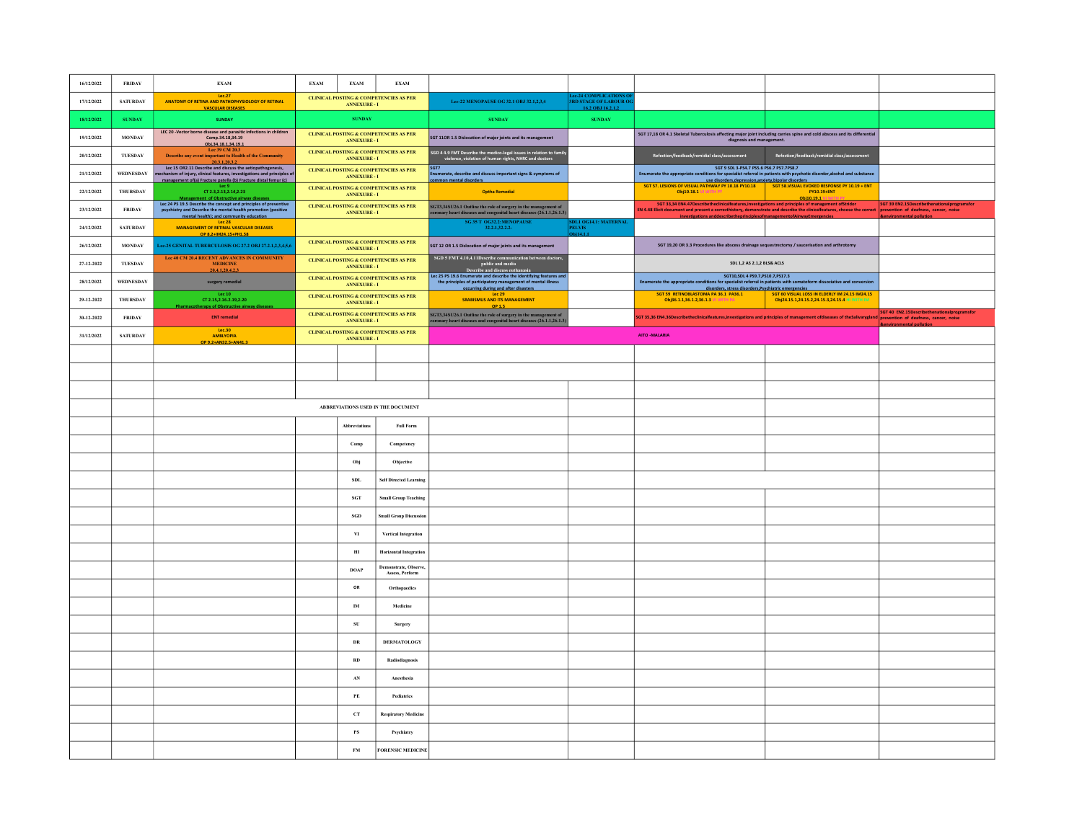| 16/12/2022 | <b>FRIDAY</b>    | <b>EXAM</b>                                                                                                                                                                                                               | <b>EXAM</b> | <b>EXAM</b>                                    | <b>EXAM</b>                                         |                                                                                                                                                                            |                                                                        |                                                                                                                                                                                                                                                                                                                                                           |                                                                                            |                                                                           |
|------------|------------------|---------------------------------------------------------------------------------------------------------------------------------------------------------------------------------------------------------------------------|-------------|------------------------------------------------|-----------------------------------------------------|----------------------------------------------------------------------------------------------------------------------------------------------------------------------------|------------------------------------------------------------------------|-----------------------------------------------------------------------------------------------------------------------------------------------------------------------------------------------------------------------------------------------------------------------------------------------------------------------------------------------------------|--------------------------------------------------------------------------------------------|---------------------------------------------------------------------------|
| 17/12/2022 | <b>SATURDAY</b>  | Lec.27<br>ANATOMY OF RETINA AND PATHOPHYSIOLOGY OF RETINAL<br><b>VASCULAR DISEASES</b>                                                                                                                                    |             | <b>ANNEXURE - I</b>                            | <b>CLINICAL POSTING &amp; COMPETENCIES AS PER</b>   | Lee-22 MENOPAUSE OG 32.1 OBJ 32.1,2,3,4                                                                                                                                    | e-24 COMPLICATIONS<br><b>RD STAGE OF LABOUR 0</b><br>16.2 OBJ 16.2.1.2 |                                                                                                                                                                                                                                                                                                                                                           |                                                                                            |                                                                           |
| 18/12/2022 | <b>SUNDAY</b>    | <b>SUNDAY</b>                                                                                                                                                                                                             |             | <b>SUNDAY</b>                                  |                                                     | <b>SUNDAY</b>                                                                                                                                                              | <b>SUNDAY</b>                                                          |                                                                                                                                                                                                                                                                                                                                                           |                                                                                            |                                                                           |
| 19/12/2022 | <b>MONDAY</b>    | LEC 20 -Vector borne disease and parasitic infections in children<br>Comp.34.18,34.19<br>Obi.34.18.1.34.19.1                                                                                                              |             | <b>ANNEXURE - I</b>                            | CLINICAL POSTING & COMPETENCIES AS PER              | SGT 11OR 1.5 Dislocation of major joints and its management                                                                                                                |                                                                        | SGT 17,18 OR 4.1 Skeletal Tuberculosis affecting major joint including carries spine and cold abscess and its differential<br>diagnosis and management.                                                                                                                                                                                                   |                                                                                            |                                                                           |
| 20/12/2022 | TUESDAY          | Lee 39 CM 20.3<br>Describe any event important to Health of the Community<br>20.3.1.20.3.2                                                                                                                                |             | <b>ANNEXURE - I</b>                            | CLINICAL POSTING & COMPETENCIES AS PER              | SGD 4 4.9 FMT Describe the medico-legal issues in relation to family<br>violence, violation of human rights, NHRC and doctors                                              |                                                                        | Refection/feedback/remidial class/assessment                                                                                                                                                                                                                                                                                                              | Refection/feedback/remidial class/assessment                                               |                                                                           |
| 21/12/2022 | <b>WEDNESDAY</b> | Lec 15 OR2.11 Describe and discuss the aetiopathogenesis,<br>echanism of injury, clinical features, investigations and principles of<br>management offa) Fracture patella (b) Fracture distal femur (c)                   |             | <b>ANNEXURE - I</b>                            | <b>CLINICAL POSTING &amp; COMPETENCIES AS PER</b>   | SGT7<br>Enumerate, describe and discuss important signs & symptoms of<br>mon mental disorders                                                                              |                                                                        | SGT 9 SDL 3-PS4.7 PS5.6 PS6.7 PS7.7PS8.7<br>Enumerate the appropriate conditions for specialist referral in patients with psychotic disorder, alcohol and substance                                                                                                                                                                                       |                                                                                            |                                                                           |
| 22/12/2022 | THURSDAY         | Tec <sub>9</sub><br>CT 2.3, 2.13, 2.14, 2.23                                                                                                                                                                              |             | ANNEXURE - I                                   | <b>CLINICAL POSTING &amp; COMPETENCIES AS PER</b>   | <b>Optha Remedial</b>                                                                                                                                                      |                                                                        | EST ST. LESIONS OF VISUAL PATHWAY PY 10.18 PY10.18 SGT ST. LESIONS OF VISUAL PATHWAY PY 10.18 PY10.18 SGT S8.VISUAL EVOKED RESPONSE PY 10.19 + ENT<br>Obj10.18.1 VI WITH PY                                                                                                                                                                               | PY10.19+ENT<br>Obi10.19.1 VI V                                                             |                                                                           |
| 23/12/2022 | <b>FRIDAY</b>    | Management of Obstructive airway diseases<br>Lec 24 PS 19.5 Describe the concept and principles of preventive<br>psychiatry and Describe the mental health promotion (positive<br>mental health): and community education |             | ANNEXURE - I                                   | <b>CLINICAL POSTING &amp; COMPETENCIES AS PER</b>   | $\rm SGT3,34SU26.1$ Outline the role of surgery in the management of coronary heart diseases and congenital heart diseases (26.1.1,26.1.3)                                 |                                                                        | SGT 33,34 EN4.47 Describe the dinical features, investigations and principles of management of Stridor<br>EN 4.48 Elicit document and present a correcthistory, demonstrate and describe the clinicalleatures, choose the correct prevention of dealness, cancer, noise<br>investigations and describe the principles of management of Airway Emergencies |                                                                                            | SGT 39 EN2.15Describethenationalprogramsfo<br><b>vironmental pollutio</b> |
| 24/12/2022 | <b>SATURDAY</b>  | Lec <sub>28</sub><br><b>MANAGEMENT OF RETINAL VASCULAR DISEASES</b><br>OP 8.2+IM24.15+PH1.58                                                                                                                              |             |                                                |                                                     | SG 35 T OG32.2:MENOPAUSE<br>32.2.1, 32.2.2                                                                                                                                 | <b>DL1 OG14.1: MATERNAL</b><br><b>PELVIS</b>                           |                                                                                                                                                                                                                                                                                                                                                           |                                                                                            |                                                                           |
| 26/12/2022 | <b>MONDAY</b>    | Lec-25 GENITAL TUBERCULOSIS OG 27.2 OBJ 27.2.1,2,3,4,5,6                                                                                                                                                                  |             | <b>ANNEXURE - I</b>                            | CLINICAL POSTING & COMPETENCIES AS PER              | SGT 12 OR 1.5 Dislocation of major joints and its management                                                                                                               |                                                                        | SGT 19,20 OR 3.3 Procedures like abscess drainage sequestrectomy / saucerisation and arthrotomy                                                                                                                                                                                                                                                           |                                                                                            |                                                                           |
| 27-12-2022 | <b>TUESDAY</b>   | Lee 40 CM 20.4 RECENT ADVANCES IN COMMUNITY<br><b>MEDICINE</b><br>20.4.1.20.4.2.3                                                                                                                                         |             | <b>ANNEXURE - I</b>                            | CLINICAL POSTING & COMPETENCIES AS PER              | SGD 5 FMT 4.10,4.11Describe communication between doctors<br>1.10,4.11Describe communication be<br>public and media<br>Describe and discuss euthanasia                     |                                                                        | SDL 1,2 AS 2.1,2 BLS& ACLS                                                                                                                                                                                                                                                                                                                                |                                                                                            |                                                                           |
| 28/12/2022 | WEDNESDAY        | surgery remedial                                                                                                                                                                                                          |             | <b>ANNEXURE - I</b>                            | <b>CLINICAL POSTING &amp; COMPETENCIES AS PER</b>   | Lec 25 PS 19.6 Enumerate and describe the identifying features and<br>the principles of participatory management of mental illness<br>occurring during and after disasters |                                                                        | SGT10.SDL4 PS9.7.PS10.7.PS17.3<br>Enumerate the appropriate conditions for specialist referral in patients with somatoform dissociative and conversion<br>disorders, stress disorders, Psychiatric emergencies                                                                                                                                            |                                                                                            |                                                                           |
| 29-12-2022 | THURSDAY         | Lec 10<br>CT 2.15, 2.16. 2.19, 2.20<br>Pharmacotherapy of Obstructive airway diseases                                                                                                                                     |             | ANNEXURE - I                                   | CLINICAL POSTING & COMPETENCIES AS PER              | Lec 29<br><b>SRABISMUS AND ITS MANAGEMENT</b>                                                                                                                              |                                                                        | SGT 59 RETINOBLASTOMA PA 36.1 PA36.1<br>Obi36.1.1.36.1.2.36.1.3 VI WITH PA                                                                                                                                                                                                                                                                                | SGT 60 VISUAL LOSS IN ELDERLY IM 24.15 IM24.15<br>Obj24.15.1,24.15.2,24.15.3,24.15.4 HI WI |                                                                           |
| 30-12-2022 | <b>FRIDAY</b>    | <b>ENT</b> remedial                                                                                                                                                                                                       |             |                                                | CLINICAL POSTING & COMPETENCIES AS PER ANNEXURE - I | OP 1.5<br>OP 1.5<br>SGT3,34SU26.1 Outline the role of surgery in the mar<br>ronary heart diseases and congenital heart diseases (26.1.1,26.1.3)                            |                                                                        | GT 35,36 EN4.36Describetheclinicalfeatures, investigations and principles of management ofdiseases of theSalivarygland prevention of deafness, cancer, noise                                                                                                                                                                                              |                                                                                            | SGT 40 EN2.15Describethenationalprop                                      |
| 31/12/2022 | <b>SATURDAY</b>  | Lec.30<br><b>AMBLYOPIA</b><br>OP 9.2+AN32.5+AN41.3                                                                                                                                                                        |             | $\operatorname{ANNEXURE}$ - $\operatorname{I}$ | CLINICAL POSTING & COMPETENCIES AS PER              |                                                                                                                                                                            |                                                                        | AITO - MAI ARIA                                                                                                                                                                                                                                                                                                                                           |                                                                                            |                                                                           |
|            |                  |                                                                                                                                                                                                                           |             |                                                |                                                     |                                                                                                                                                                            |                                                                        |                                                                                                                                                                                                                                                                                                                                                           |                                                                                            |                                                                           |
|            |                  |                                                                                                                                                                                                                           |             |                                                |                                                     |                                                                                                                                                                            |                                                                        |                                                                                                                                                                                                                                                                                                                                                           |                                                                                            |                                                                           |
|            |                  |                                                                                                                                                                                                                           |             |                                                |                                                     |                                                                                                                                                                            |                                                                        |                                                                                                                                                                                                                                                                                                                                                           |                                                                                            |                                                                           |
|            |                  | ABBREVIATIONS USED IN THE DOCUMENT                                                                                                                                                                                        |             |                                                |                                                     |                                                                                                                                                                            |                                                                        |                                                                                                                                                                                                                                                                                                                                                           |                                                                                            |                                                                           |
|            |                  |                                                                                                                                                                                                                           |             | Abbreviations                                  | <b>Full Form</b>                                    |                                                                                                                                                                            |                                                                        |                                                                                                                                                                                                                                                                                                                                                           |                                                                                            |                                                                           |
|            |                  |                                                                                                                                                                                                                           |             | Comp                                           | Competency                                          |                                                                                                                                                                            |                                                                        |                                                                                                                                                                                                                                                                                                                                                           |                                                                                            |                                                                           |
|            |                  |                                                                                                                                                                                                                           |             | Obj                                            | Objective                                           |                                                                                                                                                                            |                                                                        |                                                                                                                                                                                                                                                                                                                                                           |                                                                                            |                                                                           |
|            |                  |                                                                                                                                                                                                                           |             | SDL                                            | <b>Self Directed Learning</b>                       |                                                                                                                                                                            |                                                                        |                                                                                                                                                                                                                                                                                                                                                           |                                                                                            |                                                                           |
|            |                  |                                                                                                                                                                                                                           |             | $_{\rm SGT}$                                   | <b>Small Group Teaching</b>                         |                                                                                                                                                                            |                                                                        |                                                                                                                                                                                                                                                                                                                                                           |                                                                                            |                                                                           |
|            |                  |                                                                                                                                                                                                                           |             | <b>SGD</b>                                     | <b>Small Group Discussion</b>                       |                                                                                                                                                                            |                                                                        |                                                                                                                                                                                                                                                                                                                                                           |                                                                                            |                                                                           |
|            |                  |                                                                                                                                                                                                                           |             | <b>VI</b>                                      | <b>Vertical Integration</b>                         |                                                                                                                                                                            |                                                                        |                                                                                                                                                                                                                                                                                                                                                           |                                                                                            |                                                                           |
|            |                  |                                                                                                                                                                                                                           |             | $_{\rm HI}$                                    | <b>Horizontal Integration</b>                       |                                                                                                                                                                            |                                                                        |                                                                                                                                                                                                                                                                                                                                                           |                                                                                            |                                                                           |
|            |                  |                                                                                                                                                                                                                           |             | <b>DOAP</b>                                    | <b>Demonstrate, Observe</b><br>Assess, Perform      |                                                                                                                                                                            |                                                                        |                                                                                                                                                                                                                                                                                                                                                           |                                                                                            |                                                                           |
|            |                  |                                                                                                                                                                                                                           |             | OR                                             | Orthopaedics                                        |                                                                                                                                                                            |                                                                        |                                                                                                                                                                                                                                                                                                                                                           |                                                                                            |                                                                           |
|            |                  |                                                                                                                                                                                                                           |             | $\mathbf{IM}$                                  | Medicine                                            |                                                                                                                                                                            |                                                                        |                                                                                                                                                                                                                                                                                                                                                           |                                                                                            |                                                                           |
|            |                  |                                                                                                                                                                                                                           |             | <b>SU</b>                                      | Surgery                                             |                                                                                                                                                                            |                                                                        |                                                                                                                                                                                                                                                                                                                                                           |                                                                                            |                                                                           |
|            |                  |                                                                                                                                                                                                                           |             | DR                                             | <b>DERMATOLOGY</b>                                  |                                                                                                                                                                            |                                                                        |                                                                                                                                                                                                                                                                                                                                                           |                                                                                            |                                                                           |
|            |                  |                                                                                                                                                                                                                           |             | RD                                             | Radiodiagnosis                                      |                                                                                                                                                                            |                                                                        |                                                                                                                                                                                                                                                                                                                                                           |                                                                                            |                                                                           |
|            |                  |                                                                                                                                                                                                                           |             | AN                                             | Anesthesia                                          |                                                                                                                                                                            |                                                                        |                                                                                                                                                                                                                                                                                                                                                           |                                                                                            |                                                                           |
|            |                  |                                                                                                                                                                                                                           |             | $\mathbf{P}\mathbf{E}$                         | Pediatrics                                          |                                                                                                                                                                            |                                                                        |                                                                                                                                                                                                                                                                                                                                                           |                                                                                            |                                                                           |
|            |                  |                                                                                                                                                                                                                           |             | ${\rm cr}$                                     | <b>Respiratory Medicine</b>                         |                                                                                                                                                                            |                                                                        |                                                                                                                                                                                                                                                                                                                                                           |                                                                                            |                                                                           |
|            |                  |                                                                                                                                                                                                                           |             | PS                                             | Psychiatry                                          |                                                                                                                                                                            |                                                                        |                                                                                                                                                                                                                                                                                                                                                           |                                                                                            |                                                                           |
|            |                  |                                                                                                                                                                                                                           |             | <b>FM</b>                                      | <b>FORENSIC MEDICINE</b>                            |                                                                                                                                                                            |                                                                        |                                                                                                                                                                                                                                                                                                                                                           |                                                                                            |                                                                           |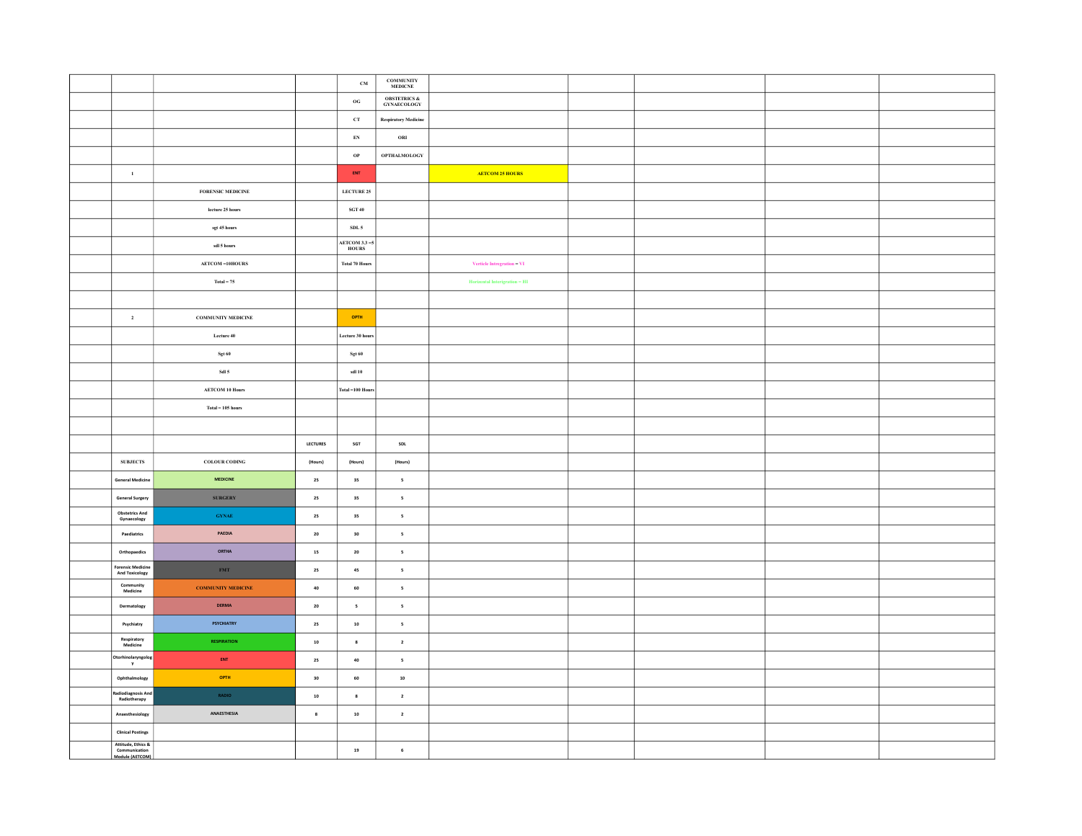|                                                |                                      |            | $\mathbf{C}\mathbf{M}$                    | $\begin{array}{ll} \textbf{COMMUNITY} \\ \textbf{MEDICNE} \end{array}$ |                                                                |  |  |
|------------------------------------------------|--------------------------------------|------------|-------------------------------------------|------------------------------------------------------------------------|----------------------------------------------------------------|--|--|
|                                                |                                      |            | $_{\mathbf{OG}}$                          | <b>OBSTETRICS &amp;</b><br>$\operatorname{GYNAECOLOGY}$                |                                                                |  |  |
|                                                |                                      |            | ${\rm cr}$                                | <b>Respiratory Medicine</b>                                            |                                                                |  |  |
|                                                |                                      |            | ${\bf E}{\bf N}$                          | ORI                                                                    |                                                                |  |  |
|                                                |                                      |            | $_{\mathrm{OP}}$                          | <b>OPTHALMOLOGY</b>                                                    |                                                                |  |  |
| $\mathbf 1$                                    |                                      |            | ENT                                       |                                                                        | <b>AETCOM 25 HOURS</b>                                         |  |  |
|                                                | FORENSIC MEDICINE                    |            | <b>LECTURE 25</b>                         |                                                                        |                                                                |  |  |
|                                                | ${\rm lecture}$ 25 ${\rm hours}$     |            | $\operatorname{\mathbf{SGT}}\nolimits$ 40 |                                                                        |                                                                |  |  |
|                                                | sgt 45 hours                         |            | $\textbf{SDL}$ 5                          |                                                                        |                                                                |  |  |
|                                                | sdl 5 hours                          |            | AETCOM 3.3-5<br>HOURS                     |                                                                        |                                                                |  |  |
|                                                | $\Lambda\text{ETCOM}-\text{10HOURS}$ |            | <b>Total 70 Hours</b>                     |                                                                        | Verticle Intregration $-$ VI $\,$                              |  |  |
|                                                | $\mathrm{Total} = 75$                |            |                                           |                                                                        | $\label{eq:2} \textbf{Horizontal Interigration} = \textbf{HI}$ |  |  |
|                                                |                                      |            |                                           |                                                                        |                                                                |  |  |
| $\overline{\mathbf{2}}$                        | COMMUNITY MEDICINE                   |            | OPTH                                      |                                                                        |                                                                |  |  |
|                                                | Lecture 40                           |            | Lecture 30 hour                           |                                                                        |                                                                |  |  |
|                                                | $_{\rm Sgt}$ 60                      |            | $_{\rm Sgt\,60}$                          |                                                                        |                                                                |  |  |
|                                                | Sdl 5                                |            | sdl $10$                                  |                                                                        |                                                                |  |  |
|                                                | AETCOM 10 Hours                      |            | Total-100 Hours                           |                                                                        |                                                                |  |  |
|                                                | $\textbf{Total} = 105 \text{ hours}$ |            |                                           |                                                                        |                                                                |  |  |
|                                                |                                      |            |                                           |                                                                        |                                                                |  |  |
|                                                |                                      | LECTURES   | SGT                                       | SDL                                                                    |                                                                |  |  |
| <b>SUBJECTS</b>                                | COLOUR CODING                        | (Hours)    | (Hours)                                   | (Hours)                                                                |                                                                |  |  |
| <b>General Medicine</b>                        | MEDICINE                             | 25         | 35                                        | $\overline{\phantom{a}}$                                               |                                                                |  |  |
| General Surgery                                | <b>SURGERY</b>                       | ${\bf 25}$ | 35                                        | $\mathsf{s}$                                                           |                                                                |  |  |
| <b>Obstetrics And</b><br>Gynaecology           | $\sqrt{\textbf{GY}}\textbf{NAE}$     | ${\bf 25}$ | 35                                        | $\overline{\phantom{a}}$                                               |                                                                |  |  |
| $\sf Pacdiaries$                               | PAEDIA                               | ${\bf 20}$ | 30                                        | $\sqrt{5}$                                                             |                                                                |  |  |
| Orthopaedics                                   | <b>ORTHA</b>                         | ${\bf 15}$ | 20                                        | $\overline{\phantom{a}}$                                               |                                                                |  |  |
| <b>Forensic Medicine</b><br>And Toxicology     | $\ensuremath{\mathsf{FMT}}$          | 25         | 45                                        | $\overline{\phantom{a}}$                                               |                                                                |  |  |
| <b>Community</b><br>Medicine                   | <b>COMMUNITY MEDICINE</b>            | $\bf{40}$  | 60                                        | $\overline{\phantom{a}}$                                               |                                                                |  |  |
| Dermatology                                    | DERMA                                | $\bf{20}$  | $\,$ 5 $\,$                               | $\overline{\phantom{a}}$                                               |                                                                |  |  |
| Psychiatry                                     | PSYCHIATRY                           | $\bf 25$   | ${\bf 10}$                                | $\mathsf{s}$                                                           |                                                                |  |  |
| Respiratory<br>Medicine                        | <b>RESPIRATION</b>                   | ${\bf 10}$ | $\bf 8$                                   | $\overline{\mathbf{2}}$                                                |                                                                |  |  |
| Otorhinolaryngol<br>$\mathbf{y}$               | ENT                                  | 25         | 40                                        | $\overline{\phantom{a}}$                                               |                                                                |  |  |
| Ophthalmology                                  | OPTH                                 | 30         | 60                                        | ${\bf 10}$                                                             |                                                                |  |  |
| tadiodiagnosis Ant<br>Radiotherapy             | RADIO                                | ${\bf 10}$ | $\bf{8}$                                  | $\overline{\mathbf{2}}$                                                |                                                                |  |  |
| Anaesthesiology                                | ANAESTHESIA                          | $\bf{8}$   | $10\,$                                    | $\overline{2}$                                                         |                                                                |  |  |
| <b>Clinical Postings</b><br>Attitude, Ethics & |                                      |            |                                           |                                                                        |                                                                |  |  |
| Communication<br>Module (AETCOM)               |                                      |            | 19                                        | $\bf 6$                                                                |                                                                |  |  |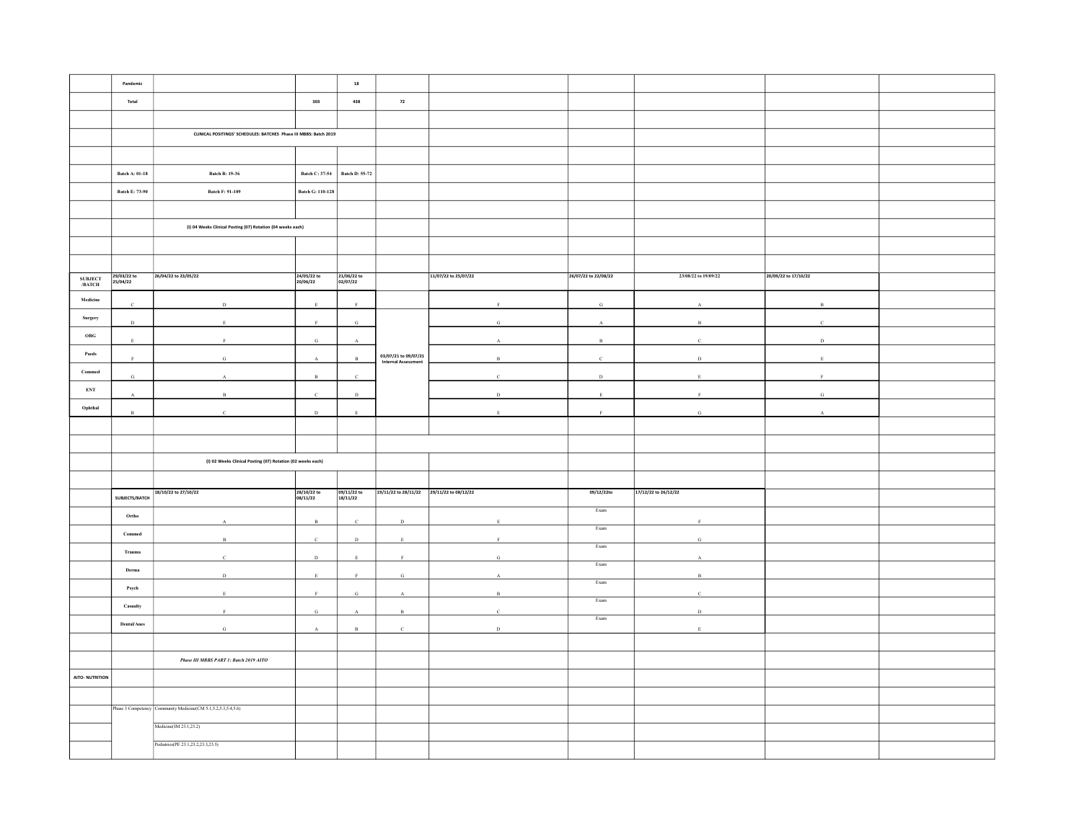|                                                         | Pandemic                |                                                                  |                         | 18                      |                                           |                      |                              |                      |                      |  |
|---------------------------------------------------------|-------------------------|------------------------------------------------------------------|-------------------------|-------------------------|-------------------------------------------|----------------------|------------------------------|----------------------|----------------------|--|
|                                                         | Total                   |                                                                  | 303                     | 438                     | 72                                        |                      |                              |                      |                      |  |
|                                                         |                         |                                                                  |                         |                         |                                           |                      |                              |                      |                      |  |
|                                                         |                         | CUNICAL POSITINGS' SCHEDULES: BATCHES Phase III MBBS: Batch 2019 |                         |                         |                                           |                      |                              |                      |                      |  |
|                                                         |                         |                                                                  |                         |                         |                                           |                      |                              |                      |                      |  |
|                                                         |                         |                                                                  |                         |                         |                                           |                      |                              |                      |                      |  |
|                                                         | <b>Batch A: 01-18</b>   | <b>Batch B: 19-36</b>                                            | Batch C: 37-54          | <b>Batch D: 55-72</b>   |                                           |                      |                              |                      |                      |  |
|                                                         | Batch E: 73-90          | <b>Batch F: 91-109</b>                                           | <b>Batch G: 110-128</b> |                         |                                           |                      |                              |                      |                      |  |
|                                                         |                         |                                                                  |                         |                         |                                           |                      |                              |                      |                      |  |
|                                                         |                         | (I) 04 Weeks Clinical Posting (07) Rotation (04 weeks each)      |                         |                         |                                           |                      |                              |                      |                      |  |
|                                                         |                         |                                                                  |                         |                         |                                           |                      |                              |                      |                      |  |
|                                                         |                         |                                                                  |                         |                         |                                           |                      |                              |                      |                      |  |
|                                                         | 29/03/22 to<br>25/04/22 | 26/04/22 to 23/05/22                                             | 24/05/22 to             | 21/06/22 to<br>02/07/22 |                                           | 11/07/22 to 25/07/22 | 26/07/22 to 22/08/22         | 23/08/22 to 19/09/22 | 20/09/22 to 17/10/22 |  |
| <b>SUBJECT<br/>/BATCH</b>                               |                         |                                                                  | 20/06/22                |                         |                                           |                      |                              |                      |                      |  |
| Medicine                                                |                         | $\bar{D}$                                                        |                         |                         |                                           |                      | G                            |                      | $\mathbf{B}$         |  |
| Surgery                                                 | $\,$ D                  |                                                                  |                         | ${\bf G}$               |                                           | G                    |                              | $\overline{R}$       |                      |  |
| $_{\mathrm{OBG}}$                                       |                         |                                                                  | $\mathbf{G}$            |                         |                                           |                      | $\mathbf{R}$                 |                      | $\mathbf{D}$         |  |
| $\mathbf{P}\mathbf{a} \mathbf{e} \mathbf{d} \mathbf{s}$ |                         | $\alpha$                                                         |                         | $\mathbf{R}$            | 03/07/21 to 09/07/21                      | B                    |                              | D.                   |                      |  |
| Commed                                                  | G.                      |                                                                  |                         |                         | <b>Internal Assessment</b>                |                      | D                            |                      |                      |  |
| ${\bf ENT}$                                             |                         |                                                                  |                         |                         |                                           |                      |                              |                      |                      |  |
| Ophthal                                                 |                         |                                                                  |                         | $\mathbb D$             |                                           | $\mathbf D$          |                              |                      |                      |  |
|                                                         | $_{\rm B}$              | $\epsilon$                                                       | $\,$ D                  | $\,$ E                  |                                           | $\mathbf E$          | $\mathbf{F}$                 | G                    |                      |  |
|                                                         |                         |                                                                  |                         |                         |                                           |                      |                              |                      |                      |  |
|                                                         |                         |                                                                  |                         |                         |                                           |                      |                              |                      |                      |  |
|                                                         |                         | (I) 02 Weeks Clinical Posting (07) Rotation (02 weeks each)      |                         |                         |                                           |                      |                              |                      |                      |  |
|                                                         |                         |                                                                  |                         |                         |                                           |                      |                              |                      |                      |  |
|                                                         | SUBJECTS/BATCH          | 18/10/22 to 27/10/22                                             | 28/10/22 to<br>08/11/22 | 09/11/22 to<br>18/11/22 | 19/11/22 to 28/11/22 29/11/22 to 08/12/22 |                      | 09/12/22to                   | 17/12/22 to 26/12/22 |                      |  |
|                                                         | Ortho                   |                                                                  |                         |                         |                                           |                      | Exam                         |                      |                      |  |
|                                                         | $\mathbf{Commed}$       |                                                                  |                         |                         | D                                         |                      | Exam                         |                      |                      |  |
|                                                         |                         |                                                                  |                         | D                       | $\mathbf{F}$                              |                      | $\ensuremath{\textsc{Exam}}$ |                      |                      |  |
|                                                         | Trauma                  |                                                                  | $\,$ D                  |                         |                                           |                      | $\ensuremath{\textsc{Exam}}$ |                      |                      |  |
|                                                         | Derma                   |                                                                  |                         |                         | G                                         |                      | Exam                         |                      |                      |  |
|                                                         | Psych                   |                                                                  |                         | G                       |                                           |                      | Exam                         |                      |                      |  |
|                                                         | Casualty                |                                                                  | G                       |                         | $\mathbf{R}$                              | $\mathcal{C}$        |                              | $\mathbf{D}$         |                      |  |
|                                                         | $\mbox{Dental/Anes}$    | $\mathbf G$                                                      | $\mathbf{A}$            | $_{\rm B}$              | $\mathbf c$                               | $\,$ D               | $\ensuremath{\mathsf{Exam}}$ |                      |                      |  |
|                                                         |                         |                                                                  |                         |                         |                                           |                      |                              |                      |                      |  |
|                                                         |                         | Phase III MBBS PART 1: Batch 2019 AITO                           |                         |                         |                                           |                      |                              |                      |                      |  |
| AITO- NUTRITION                                         |                         |                                                                  |                         |                         |                                           |                      |                              |                      |                      |  |
|                                                         |                         |                                                                  |                         |                         |                                           |                      |                              |                      |                      |  |
|                                                         |                         | Phase 3 Competency Community Medicine(CM 5.1,5.2,5.3,5.4,5.6)    |                         |                         |                                           |                      |                              |                      |                      |  |
|                                                         |                         | Medicine(IM 23.1,23.2)                                           |                         |                         |                                           |                      |                              |                      |                      |  |
|                                                         |                         | Pediatrics(PE 23.1,23.2,23.3,23.5)                               |                         |                         |                                           |                      |                              |                      |                      |  |
|                                                         |                         |                                                                  |                         |                         |                                           |                      |                              |                      |                      |  |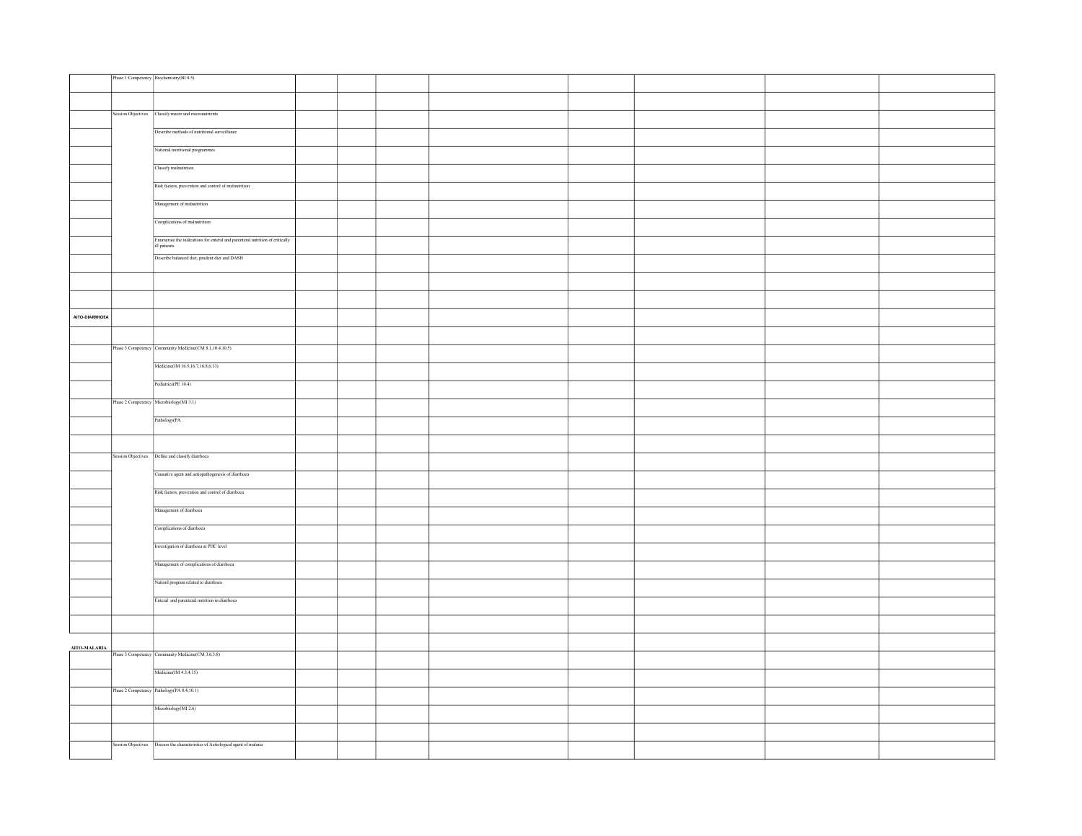|                | Phase 1 Competency Biochemistry(BI 8.5)                                                                                       |  |  |  |  |
|----------------|-------------------------------------------------------------------------------------------------------------------------------|--|--|--|--|
|                |                                                                                                                               |  |  |  |  |
|                |                                                                                                                               |  |  |  |  |
|                | Session Objectives Classify macro and micronutrients                                                                          |  |  |  |  |
|                | Describe methods of nutritional surveillance                                                                                  |  |  |  |  |
|                | National nutritional programmes                                                                                               |  |  |  |  |
|                | Classify malnutrition                                                                                                         |  |  |  |  |
|                | Risk factors, prevention and control of malnutrition                                                                          |  |  |  |  |
|                | Management of malnutrition                                                                                                    |  |  |  |  |
|                | Complications of malnutrition                                                                                                 |  |  |  |  |
|                | $\overline{\text{E} \text{n} \text{umerate}}$ the indications for enteral and parenteral nutrition of critically ill patients |  |  |  |  |
|                | Describe balanced diet, prudent diet and DASH                                                                                 |  |  |  |  |
|                |                                                                                                                               |  |  |  |  |
|                |                                                                                                                               |  |  |  |  |
| AITO-DIARRHOEA |                                                                                                                               |  |  |  |  |
|                |                                                                                                                               |  |  |  |  |
|                | Phase 3 Competency Community Medicine(CM 8.1,10.4,10.5)                                                                       |  |  |  |  |
|                | Medicine(IM 16.5,16.7,16.8,6.13)                                                                                              |  |  |  |  |
|                | Pediatrics(PE 10.4)                                                                                                           |  |  |  |  |
|                | Phase 2 Competency Microbiology (MI 3.1)                                                                                      |  |  |  |  |
|                | Pathology(PA                                                                                                                  |  |  |  |  |
|                |                                                                                                                               |  |  |  |  |
|                | Session Objectives  Define and classify diarrhoea                                                                             |  |  |  |  |
|                | Causative agent and actiopathogenesis of diarrhoea                                                                            |  |  |  |  |
|                | Risk factors, prevention and control of diarrhoea                                                                             |  |  |  |  |
|                | Management of diarrhoea                                                                                                       |  |  |  |  |
|                | Complications of diarrhoea                                                                                                    |  |  |  |  |
|                | Investigation of diarrhoea at PHC level                                                                                       |  |  |  |  |
|                | Management of complications of diarrhoea                                                                                      |  |  |  |  |
|                | Nationl program related to diarrhoea<br>Enteral and parenteral nutrition in diarrhoea                                         |  |  |  |  |
|                |                                                                                                                               |  |  |  |  |
|                |                                                                                                                               |  |  |  |  |
| AITO-MALARIA   | Phase 3 Competency Community Medicine(CM 3.6,3.8)                                                                             |  |  |  |  |
|                | Medicine(M 4.3, 4.15)                                                                                                         |  |  |  |  |
|                | Phase 2 Competency Pathology (PA 8.4, 10.1)                                                                                   |  |  |  |  |
|                | Microbiology(MI 2.6)                                                                                                          |  |  |  |  |
|                |                                                                                                                               |  |  |  |  |
|                | Session Objectives   Discuss the characteristics of Aetiological agent of malaria                                             |  |  |  |  |
|                |                                                                                                                               |  |  |  |  |